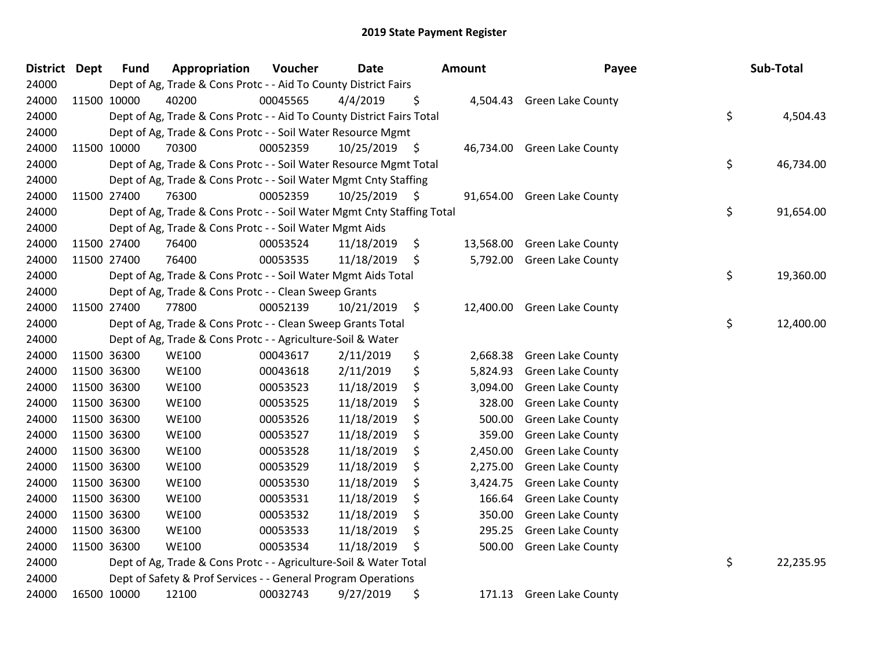| District Dept |             | <b>Fund</b> | Appropriation                                                          | Voucher  | <b>Date</b>     |               | Amount    | Payee                      | Sub-Total       |
|---------------|-------------|-------------|------------------------------------------------------------------------|----------|-----------------|---------------|-----------|----------------------------|-----------------|
| 24000         |             |             | Dept of Ag, Trade & Cons Protc - - Aid To County District Fairs        |          |                 |               |           |                            |                 |
| 24000         | 11500 10000 |             | 40200                                                                  | 00045565 | 4/4/2019        | \$            |           | 4,504.43 Green Lake County |                 |
| 24000         |             |             | Dept of Ag, Trade & Cons Protc - - Aid To County District Fairs Total  |          |                 |               |           |                            | \$<br>4,504.43  |
| 24000         |             |             | Dept of Ag, Trade & Cons Protc - - Soil Water Resource Mgmt            |          |                 |               |           |                            |                 |
| 24000         |             | 11500 10000 | 70300                                                                  | 00052359 | 10/25/2019 \$   |               | 46,734.00 | <b>Green Lake County</b>   |                 |
| 24000         |             |             | Dept of Ag, Trade & Cons Protc - - Soil Water Resource Mgmt Total      |          |                 |               |           |                            | \$<br>46,734.00 |
| 24000         |             |             | Dept of Ag, Trade & Cons Protc - - Soil Water Mgmt Cnty Staffing       |          |                 |               |           |                            |                 |
| 24000         |             | 11500 27400 | 76300                                                                  | 00052359 | $10/25/2019$ \$ |               | 91,654.00 | <b>Green Lake County</b>   |                 |
| 24000         |             |             | Dept of Ag, Trade & Cons Protc - - Soil Water Mgmt Cnty Staffing Total |          |                 |               |           |                            | \$<br>91,654.00 |
| 24000         |             |             | Dept of Ag, Trade & Cons Protc - - Soil Water Mgmt Aids                |          |                 |               |           |                            |                 |
| 24000         |             | 11500 27400 | 76400                                                                  | 00053524 | 11/18/2019      | \$            | 13,568.00 | <b>Green Lake County</b>   |                 |
| 24000         | 11500 27400 |             | 76400                                                                  | 00053535 | 11/18/2019      | \$            | 5,792.00  | <b>Green Lake County</b>   |                 |
| 24000         |             |             | Dept of Ag, Trade & Cons Protc - - Soil Water Mgmt Aids Total          |          |                 |               |           |                            | \$<br>19,360.00 |
| 24000         |             |             | Dept of Ag, Trade & Cons Protc - - Clean Sweep Grants                  |          |                 |               |           |                            |                 |
| 24000         |             | 11500 27400 | 77800                                                                  | 00052139 | 10/21/2019      | $\ddot{\phi}$ | 12,400.00 | <b>Green Lake County</b>   |                 |
| 24000         |             |             | Dept of Ag, Trade & Cons Protc - - Clean Sweep Grants Total            |          |                 |               |           |                            | \$<br>12,400.00 |
| 24000         |             |             | Dept of Ag, Trade & Cons Protc - - Agriculture-Soil & Water            |          |                 |               |           |                            |                 |
| 24000         |             | 11500 36300 | <b>WE100</b>                                                           | 00043617 | 2/11/2019       | \$            | 2,668.38  | Green Lake County          |                 |
| 24000         | 11500 36300 |             | <b>WE100</b>                                                           | 00043618 | 2/11/2019       | \$            | 5,824.93  | <b>Green Lake County</b>   |                 |
| 24000         |             | 11500 36300 | <b>WE100</b>                                                           | 00053523 | 11/18/2019      | \$            | 3,094.00  | <b>Green Lake County</b>   |                 |
| 24000         |             | 11500 36300 | <b>WE100</b>                                                           | 00053525 | 11/18/2019      | \$            | 328.00    | <b>Green Lake County</b>   |                 |
| 24000         |             | 11500 36300 | <b>WE100</b>                                                           | 00053526 | 11/18/2019      | \$            | 500.00    | Green Lake County          |                 |
| 24000         | 11500 36300 |             | <b>WE100</b>                                                           | 00053527 | 11/18/2019      | \$            | 359.00    | <b>Green Lake County</b>   |                 |
| 24000         | 11500 36300 |             | <b>WE100</b>                                                           | 00053528 | 11/18/2019      | \$            | 2,450.00  | <b>Green Lake County</b>   |                 |
| 24000         | 11500 36300 |             | <b>WE100</b>                                                           | 00053529 | 11/18/2019      | \$            | 2,275.00  | <b>Green Lake County</b>   |                 |
| 24000         |             | 11500 36300 | <b>WE100</b>                                                           | 00053530 | 11/18/2019      | \$            | 3,424.75  | <b>Green Lake County</b>   |                 |
| 24000         |             | 11500 36300 | <b>WE100</b>                                                           | 00053531 | 11/18/2019      | \$            | 166.64    | Green Lake County          |                 |
| 24000         | 11500 36300 |             | <b>WE100</b>                                                           | 00053532 | 11/18/2019      | \$            | 350.00    | Green Lake County          |                 |
| 24000         | 11500 36300 |             | <b>WE100</b>                                                           | 00053533 | 11/18/2019      | \$            | 295.25    | <b>Green Lake County</b>   |                 |
| 24000         |             | 11500 36300 | <b>WE100</b>                                                           | 00053534 | 11/18/2019      | \$            | 500.00    | Green Lake County          |                 |
| 24000         |             |             | Dept of Ag, Trade & Cons Protc - - Agriculture-Soil & Water Total      |          |                 |               |           |                            | \$<br>22,235.95 |
| 24000         |             |             | Dept of Safety & Prof Services - - General Program Operations          |          |                 |               |           |                            |                 |
| 24000         | 16500 10000 |             | 12100                                                                  | 00032743 | 9/27/2019       | \$            | 171.13    | <b>Green Lake County</b>   |                 |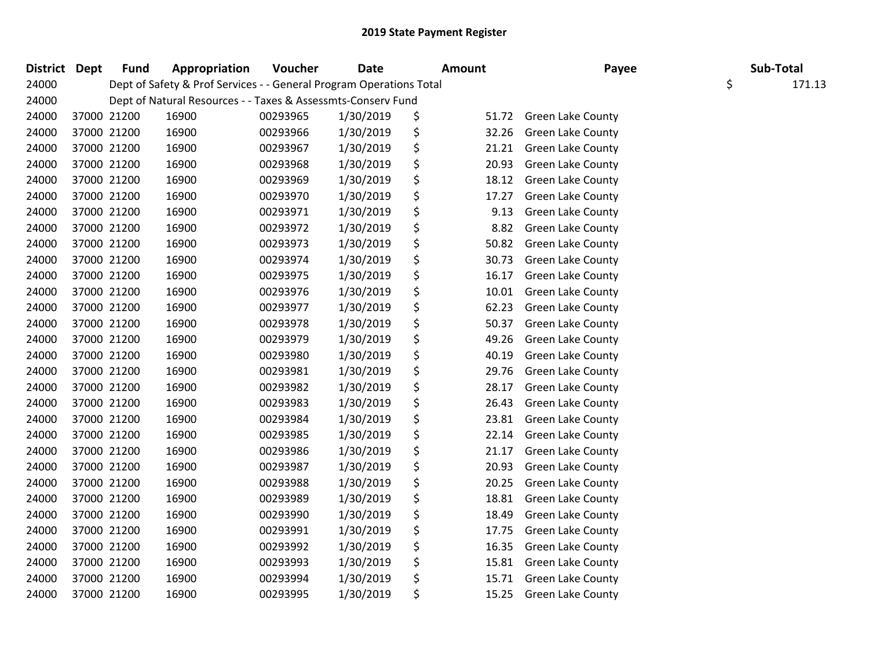| District Dept | <b>Fund</b> | Appropriation                                                       | Voucher  | <b>Date</b> | <b>Amount</b> | Payee                    | Sub-Total    |  |
|---------------|-------------|---------------------------------------------------------------------|----------|-------------|---------------|--------------------------|--------------|--|
| 24000         |             | Dept of Safety & Prof Services - - General Program Operations Total |          |             |               |                          | \$<br>171.13 |  |
| 24000         |             | Dept of Natural Resources - - Taxes & Assessmts-Conserv Fund        |          |             |               |                          |              |  |
| 24000         | 37000 21200 | 16900                                                               | 00293965 | 1/30/2019   | \$<br>51.72   | <b>Green Lake County</b> |              |  |
| 24000         | 37000 21200 | 16900                                                               | 00293966 | 1/30/2019   | \$<br>32.26   | <b>Green Lake County</b> |              |  |
| 24000         | 37000 21200 | 16900                                                               | 00293967 | 1/30/2019   | \$<br>21.21   | <b>Green Lake County</b> |              |  |
| 24000         | 37000 21200 | 16900                                                               | 00293968 | 1/30/2019   | \$<br>20.93   | <b>Green Lake County</b> |              |  |
| 24000         | 37000 21200 | 16900                                                               | 00293969 | 1/30/2019   | \$<br>18.12   | <b>Green Lake County</b> |              |  |
| 24000         | 37000 21200 | 16900                                                               | 00293970 | 1/30/2019   | \$<br>17.27   | <b>Green Lake County</b> |              |  |
| 24000         | 37000 21200 | 16900                                                               | 00293971 | 1/30/2019   | \$<br>9.13    | Green Lake County        |              |  |
| 24000         | 37000 21200 | 16900                                                               | 00293972 | 1/30/2019   | \$<br>8.82    | <b>Green Lake County</b> |              |  |
| 24000         | 37000 21200 | 16900                                                               | 00293973 | 1/30/2019   | \$<br>50.82   | Green Lake County        |              |  |
| 24000         | 37000 21200 | 16900                                                               | 00293974 | 1/30/2019   | \$<br>30.73   | <b>Green Lake County</b> |              |  |
| 24000         | 37000 21200 | 16900                                                               | 00293975 | 1/30/2019   | \$<br>16.17   | <b>Green Lake County</b> |              |  |
| 24000         | 37000 21200 | 16900                                                               | 00293976 | 1/30/2019   | \$<br>10.01   | <b>Green Lake County</b> |              |  |
| 24000         | 37000 21200 | 16900                                                               | 00293977 | 1/30/2019   | \$<br>62.23   | <b>Green Lake County</b> |              |  |
| 24000         | 37000 21200 | 16900                                                               | 00293978 | 1/30/2019   | \$<br>50.37   | <b>Green Lake County</b> |              |  |
| 24000         | 37000 21200 | 16900                                                               | 00293979 | 1/30/2019   | \$<br>49.26   | <b>Green Lake County</b> |              |  |
| 24000         | 37000 21200 | 16900                                                               | 00293980 | 1/30/2019   | \$<br>40.19   | <b>Green Lake County</b> |              |  |
| 24000         | 37000 21200 | 16900                                                               | 00293981 | 1/30/2019   | \$<br>29.76   | <b>Green Lake County</b> |              |  |
| 24000         | 37000 21200 | 16900                                                               | 00293982 | 1/30/2019   | \$<br>28.17   | <b>Green Lake County</b> |              |  |
| 24000         | 37000 21200 | 16900                                                               | 00293983 | 1/30/2019   | \$<br>26.43   | Green Lake County        |              |  |
| 24000         | 37000 21200 | 16900                                                               | 00293984 | 1/30/2019   | \$<br>23.81   | <b>Green Lake County</b> |              |  |
| 24000         | 37000 21200 | 16900                                                               | 00293985 | 1/30/2019   | \$<br>22.14   | Green Lake County        |              |  |
| 24000         | 37000 21200 | 16900                                                               | 00293986 | 1/30/2019   | \$<br>21.17   | <b>Green Lake County</b> |              |  |
| 24000         | 37000 21200 | 16900                                                               | 00293987 | 1/30/2019   | \$<br>20.93   | <b>Green Lake County</b> |              |  |
| 24000         | 37000 21200 | 16900                                                               | 00293988 | 1/30/2019   | \$<br>20.25   | <b>Green Lake County</b> |              |  |
| 24000         | 37000 21200 | 16900                                                               | 00293989 | 1/30/2019   | \$<br>18.81   | Green Lake County        |              |  |
| 24000         | 37000 21200 | 16900                                                               | 00293990 | 1/30/2019   | \$<br>18.49   | <b>Green Lake County</b> |              |  |
| 24000         | 37000 21200 | 16900                                                               | 00293991 | 1/30/2019   | \$<br>17.75   | <b>Green Lake County</b> |              |  |
| 24000         | 37000 21200 | 16900                                                               | 00293992 | 1/30/2019   | \$<br>16.35   | <b>Green Lake County</b> |              |  |
| 24000         | 37000 21200 | 16900                                                               | 00293993 | 1/30/2019   | \$<br>15.81   | <b>Green Lake County</b> |              |  |
| 24000         | 37000 21200 | 16900                                                               | 00293994 | 1/30/2019   | \$<br>15.71   | <b>Green Lake County</b> |              |  |
| 24000         | 37000 21200 | 16900                                                               | 00293995 | 1/30/2019   | \$<br>15.25   | <b>Green Lake County</b> |              |  |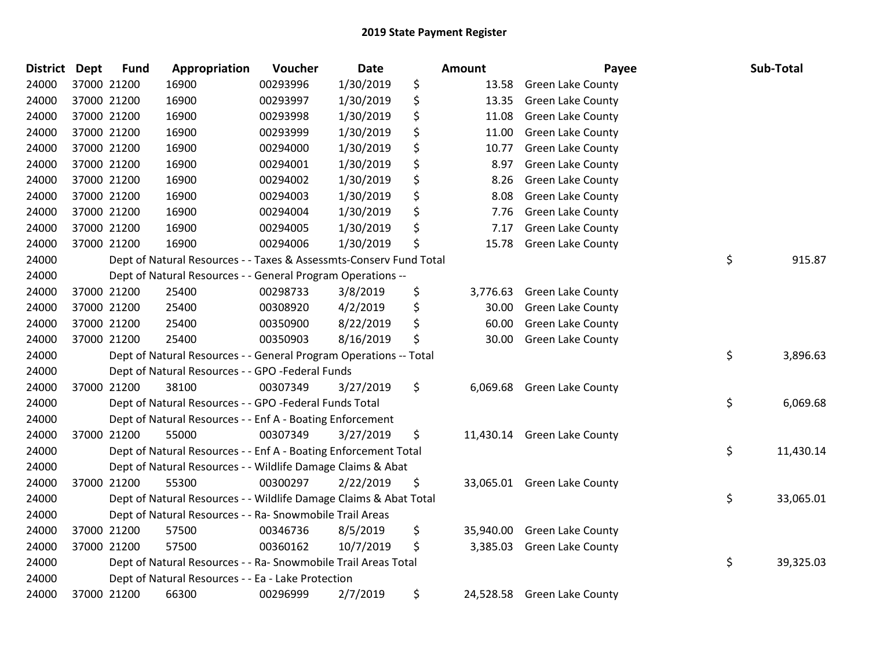| <b>District</b> | <b>Dept</b> | <b>Fund</b> | Appropriation                                                      | Voucher  | <b>Date</b> | <b>Amount</b>   | Payee                       | Sub-Total       |
|-----------------|-------------|-------------|--------------------------------------------------------------------|----------|-------------|-----------------|-----------------------------|-----------------|
| 24000           |             | 37000 21200 | 16900                                                              | 00293996 | 1/30/2019   | \$<br>13.58     | <b>Green Lake County</b>    |                 |
| 24000           |             | 37000 21200 | 16900                                                              | 00293997 | 1/30/2019   | \$<br>13.35     | <b>Green Lake County</b>    |                 |
| 24000           | 37000 21200 |             | 16900                                                              | 00293998 | 1/30/2019   | \$<br>11.08     | <b>Green Lake County</b>    |                 |
| 24000           | 37000 21200 |             | 16900                                                              | 00293999 | 1/30/2019   | \$<br>11.00     | Green Lake County           |                 |
| 24000           | 37000 21200 |             | 16900                                                              | 00294000 | 1/30/2019   | \$<br>10.77     | Green Lake County           |                 |
| 24000           |             | 37000 21200 | 16900                                                              | 00294001 | 1/30/2019   | \$<br>8.97      | <b>Green Lake County</b>    |                 |
| 24000           |             | 37000 21200 | 16900                                                              | 00294002 | 1/30/2019   | \$<br>8.26      | Green Lake County           |                 |
| 24000           | 37000 21200 |             | 16900                                                              | 00294003 | 1/30/2019   | \$<br>8.08      | Green Lake County           |                 |
| 24000           | 37000 21200 |             | 16900                                                              | 00294004 | 1/30/2019   | \$<br>7.76      | Green Lake County           |                 |
| 24000           | 37000 21200 |             | 16900                                                              | 00294005 | 1/30/2019   | \$<br>7.17      | Green Lake County           |                 |
| 24000           |             | 37000 21200 | 16900                                                              | 00294006 | 1/30/2019   | \$<br>15.78     | Green Lake County           |                 |
| 24000           |             |             | Dept of Natural Resources - - Taxes & Assessmts-Conserv Fund Total |          |             |                 |                             | \$<br>915.87    |
| 24000           |             |             | Dept of Natural Resources - - General Program Operations --        |          |             |                 |                             |                 |
| 24000           |             | 37000 21200 | 25400                                                              | 00298733 | 3/8/2019    | \$<br>3,776.63  | <b>Green Lake County</b>    |                 |
| 24000           |             | 37000 21200 | 25400                                                              | 00308920 | 4/2/2019    | \$<br>30.00     | <b>Green Lake County</b>    |                 |
| 24000           |             | 37000 21200 | 25400                                                              | 00350900 | 8/22/2019   | \$<br>60.00     | Green Lake County           |                 |
| 24000           |             | 37000 21200 | 25400                                                              | 00350903 | 8/16/2019   | \$<br>30.00     | <b>Green Lake County</b>    |                 |
| 24000           |             |             | Dept of Natural Resources - - General Program Operations -- Total  |          |             |                 |                             | \$<br>3,896.63  |
| 24000           |             |             | Dept of Natural Resources - - GPO -Federal Funds                   |          |             |                 |                             |                 |
| 24000           |             | 37000 21200 | 38100                                                              | 00307349 | 3/27/2019   | \$<br>6,069.68  | <b>Green Lake County</b>    |                 |
| 24000           |             |             | Dept of Natural Resources - - GPO -Federal Funds Total             |          |             |                 |                             | \$<br>6,069.68  |
| 24000           |             |             | Dept of Natural Resources - - Enf A - Boating Enforcement          |          |             |                 |                             |                 |
| 24000           |             | 37000 21200 | 55000                                                              | 00307349 | 3/27/2019   | \$              | 11,430.14 Green Lake County |                 |
| 24000           |             |             | Dept of Natural Resources - - Enf A - Boating Enforcement Total    |          |             |                 |                             | \$<br>11,430.14 |
| 24000           |             |             | Dept of Natural Resources - - Wildlife Damage Claims & Abat        |          |             |                 |                             |                 |
| 24000           |             | 37000 21200 | 55300                                                              | 00300297 | 2/22/2019   | \$              | 33,065.01 Green Lake County |                 |
| 24000           |             |             | Dept of Natural Resources - - Wildlife Damage Claims & Abat Total  |          |             |                 |                             | \$<br>33,065.01 |
| 24000           |             |             | Dept of Natural Resources - - Ra- Snowmobile Trail Areas           |          |             |                 |                             |                 |
| 24000           |             | 37000 21200 | 57500                                                              | 00346736 | 8/5/2019    | \$<br>35,940.00 | <b>Green Lake County</b>    |                 |
| 24000           |             | 37000 21200 | 57500                                                              | 00360162 | 10/7/2019   | \$<br>3,385.03  | <b>Green Lake County</b>    |                 |
| 24000           |             |             | Dept of Natural Resources - - Ra- Snowmobile Trail Areas Total     |          |             |                 |                             | \$<br>39,325.03 |
| 24000           |             |             | Dept of Natural Resources - - Ea - Lake Protection                 |          |             |                 |                             |                 |
| 24000           |             | 37000 21200 | 66300                                                              | 00296999 | 2/7/2019    | \$<br>24,528.58 | <b>Green Lake County</b>    |                 |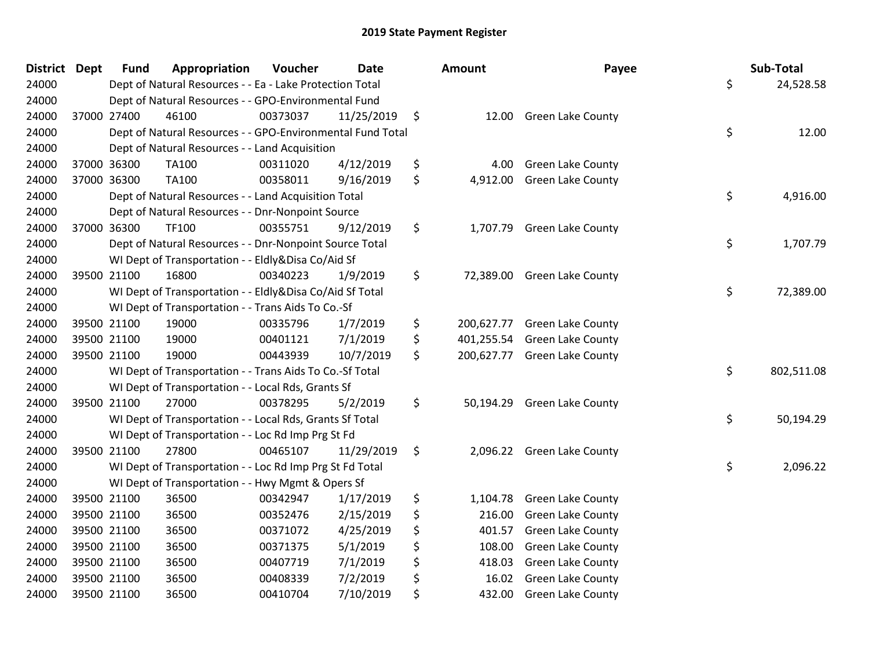| <b>District</b> | Dept        | <b>Fund</b> | Appropriation                                              | Voucher  | <b>Date</b> | Amount           | Payee                        | Sub-Total        |
|-----------------|-------------|-------------|------------------------------------------------------------|----------|-------------|------------------|------------------------------|------------------|
| 24000           |             |             | Dept of Natural Resources - - Ea - Lake Protection Total   |          |             |                  |                              | \$<br>24,528.58  |
| 24000           |             |             | Dept of Natural Resources - - GPO-Environmental Fund       |          |             |                  |                              |                  |
| 24000           |             | 37000 27400 | 46100                                                      | 00373037 | 11/25/2019  | \$               | 12.00 Green Lake County      |                  |
| 24000           |             |             | Dept of Natural Resources - - GPO-Environmental Fund Total |          |             |                  |                              | \$<br>12.00      |
| 24000           |             |             | Dept of Natural Resources - - Land Acquisition             |          |             |                  |                              |                  |
| 24000           | 37000 36300 |             | TA100                                                      | 00311020 | 4/12/2019   | \$<br>4.00       | <b>Green Lake County</b>     |                  |
| 24000           | 37000 36300 |             | <b>TA100</b>                                               | 00358011 | 9/16/2019   | \$<br>4,912.00   | <b>Green Lake County</b>     |                  |
| 24000           |             |             | Dept of Natural Resources - - Land Acquisition Total       |          |             |                  |                              | \$<br>4,916.00   |
| 24000           |             |             | Dept of Natural Resources - - Dnr-Nonpoint Source          |          |             |                  |                              |                  |
| 24000           | 37000 36300 |             | TF100                                                      | 00355751 | 9/12/2019   | \$<br>1,707.79   | <b>Green Lake County</b>     |                  |
| 24000           |             |             | Dept of Natural Resources - - Dnr-Nonpoint Source Total    |          |             |                  |                              | \$<br>1,707.79   |
| 24000           |             |             | WI Dept of Transportation - - Eldly&Disa Co/Aid Sf         |          |             |                  |                              |                  |
| 24000           | 39500 21100 |             | 16800                                                      | 00340223 | 1/9/2019    | \$               | 72,389.00 Green Lake County  |                  |
| 24000           |             |             | WI Dept of Transportation - - Eldly&Disa Co/Aid Sf Total   |          |             |                  |                              | \$<br>72,389.00  |
| 24000           |             |             | WI Dept of Transportation - - Trans Aids To Co.-Sf         |          |             |                  |                              |                  |
| 24000           | 39500 21100 |             | 19000                                                      | 00335796 | 1/7/2019    | \$<br>200,627.77 | <b>Green Lake County</b>     |                  |
| 24000           | 39500 21100 |             | 19000                                                      | 00401121 | 7/1/2019    | \$<br>401,255.54 | <b>Green Lake County</b>     |                  |
| 24000           | 39500 21100 |             | 19000                                                      | 00443939 | 10/7/2019   | \$               | 200,627.77 Green Lake County |                  |
| 24000           |             |             | WI Dept of Transportation - - Trans Aids To Co.-Sf Total   |          |             |                  |                              | \$<br>802,511.08 |
| 24000           |             |             | WI Dept of Transportation - - Local Rds, Grants Sf         |          |             |                  |                              |                  |
| 24000           | 39500 21100 |             | 27000                                                      | 00378295 | 5/2/2019    | \$<br>50,194.29  | <b>Green Lake County</b>     |                  |
| 24000           |             |             | WI Dept of Transportation - - Local Rds, Grants Sf Total   |          |             |                  |                              | \$<br>50,194.29  |
| 24000           |             |             | WI Dept of Transportation - - Loc Rd Imp Prg St Fd         |          |             |                  |                              |                  |
| 24000           | 39500 21100 |             | 27800                                                      | 00465107 | 11/29/2019  | \$               | 2,096.22 Green Lake County   |                  |
| 24000           |             |             | WI Dept of Transportation - - Loc Rd Imp Prg St Fd Total   |          |             |                  |                              | \$<br>2,096.22   |
| 24000           |             |             | WI Dept of Transportation - - Hwy Mgmt & Opers Sf          |          |             |                  |                              |                  |
| 24000           | 39500 21100 |             | 36500                                                      | 00342947 | 1/17/2019   | \$<br>1,104.78   | <b>Green Lake County</b>     |                  |
| 24000           | 39500 21100 |             | 36500                                                      | 00352476 | 2/15/2019   | \$<br>216.00     | Green Lake County            |                  |
| 24000           | 39500 21100 |             | 36500                                                      | 00371072 | 4/25/2019   | \$<br>401.57     | <b>Green Lake County</b>     |                  |
| 24000           | 39500 21100 |             | 36500                                                      | 00371375 | 5/1/2019    | \$<br>108.00     | Green Lake County            |                  |
| 24000           | 39500 21100 |             | 36500                                                      | 00407719 | 7/1/2019    | \$<br>418.03     | <b>Green Lake County</b>     |                  |
| 24000           | 39500 21100 |             | 36500                                                      | 00408339 | 7/2/2019    | \$<br>16.02      | Green Lake County            |                  |
| 24000           | 39500 21100 |             | 36500                                                      | 00410704 | 7/10/2019   | \$<br>432.00     | <b>Green Lake County</b>     |                  |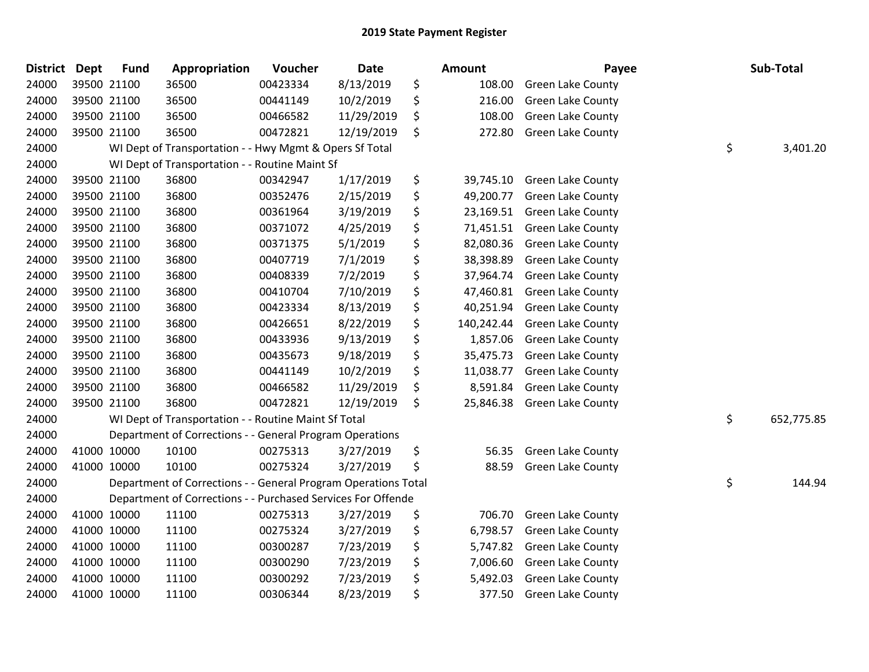| <b>District</b> | <b>Dept</b> | <b>Fund</b> | Appropriation                                                  | Voucher  | <b>Date</b> | <b>Amount</b>    | Payee                    | Sub-Total        |
|-----------------|-------------|-------------|----------------------------------------------------------------|----------|-------------|------------------|--------------------------|------------------|
| 24000           |             | 39500 21100 | 36500                                                          | 00423334 | 8/13/2019   | \$<br>108.00     | Green Lake County        |                  |
| 24000           |             | 39500 21100 | 36500                                                          | 00441149 | 10/2/2019   | \$<br>216.00     | <b>Green Lake County</b> |                  |
| 24000           |             | 39500 21100 | 36500                                                          | 00466582 | 11/29/2019  | \$<br>108.00     | <b>Green Lake County</b> |                  |
| 24000           |             | 39500 21100 | 36500                                                          | 00472821 | 12/19/2019  | \$<br>272.80     | <b>Green Lake County</b> |                  |
| 24000           |             |             | WI Dept of Transportation - - Hwy Mgmt & Opers Sf Total        |          |             |                  |                          | \$<br>3,401.20   |
| 24000           |             |             | WI Dept of Transportation - - Routine Maint Sf                 |          |             |                  |                          |                  |
| 24000           |             | 39500 21100 | 36800                                                          | 00342947 | 1/17/2019   | \$<br>39,745.10  | <b>Green Lake County</b> |                  |
| 24000           |             | 39500 21100 | 36800                                                          | 00352476 | 2/15/2019   | \$<br>49,200.77  | <b>Green Lake County</b> |                  |
| 24000           |             | 39500 21100 | 36800                                                          | 00361964 | 3/19/2019   | \$<br>23,169.51  | Green Lake County        |                  |
| 24000           |             | 39500 21100 | 36800                                                          | 00371072 | 4/25/2019   | \$<br>71,451.51  | Green Lake County        |                  |
| 24000           |             | 39500 21100 | 36800                                                          | 00371375 | 5/1/2019    | \$<br>82,080.36  | Green Lake County        |                  |
| 24000           |             | 39500 21100 | 36800                                                          | 00407719 | 7/1/2019    | \$<br>38,398.89  | Green Lake County        |                  |
| 24000           |             | 39500 21100 | 36800                                                          | 00408339 | 7/2/2019    | \$<br>37,964.74  | <b>Green Lake County</b> |                  |
| 24000           |             | 39500 21100 | 36800                                                          | 00410704 | 7/10/2019   | \$<br>47,460.81  | <b>Green Lake County</b> |                  |
| 24000           |             | 39500 21100 | 36800                                                          | 00423334 | 8/13/2019   | \$<br>40,251.94  | Green Lake County        |                  |
| 24000           |             | 39500 21100 | 36800                                                          | 00426651 | 8/22/2019   | \$<br>140,242.44 | Green Lake County        |                  |
| 24000           |             | 39500 21100 | 36800                                                          | 00433936 | 9/13/2019   | \$<br>1,857.06   | <b>Green Lake County</b> |                  |
| 24000           |             | 39500 21100 | 36800                                                          | 00435673 | 9/18/2019   | \$<br>35,475.73  | <b>Green Lake County</b> |                  |
| 24000           |             | 39500 21100 | 36800                                                          | 00441149 | 10/2/2019   | \$<br>11,038.77  | <b>Green Lake County</b> |                  |
| 24000           |             | 39500 21100 | 36800                                                          | 00466582 | 11/29/2019  | \$<br>8,591.84   | Green Lake County        |                  |
| 24000           |             | 39500 21100 | 36800                                                          | 00472821 | 12/19/2019  | \$<br>25,846.38  | <b>Green Lake County</b> |                  |
| 24000           |             |             | WI Dept of Transportation - - Routine Maint Sf Total           |          |             |                  |                          | \$<br>652,775.85 |
| 24000           |             |             | Department of Corrections - - General Program Operations       |          |             |                  |                          |                  |
| 24000           |             | 41000 10000 | 10100                                                          | 00275313 | 3/27/2019   | \$<br>56.35      | Green Lake County        |                  |
| 24000           | 41000 10000 |             | 10100                                                          | 00275324 | 3/27/2019   | \$<br>88.59      | Green Lake County        |                  |
| 24000           |             |             | Department of Corrections - - General Program Operations Total |          |             |                  |                          | \$<br>144.94     |
| 24000           |             |             | Department of Corrections - - Purchased Services For Offende   |          |             |                  |                          |                  |
| 24000           |             | 41000 10000 | 11100                                                          | 00275313 | 3/27/2019   | \$<br>706.70     | <b>Green Lake County</b> |                  |
| 24000           |             | 41000 10000 | 11100                                                          | 00275324 | 3/27/2019   | \$<br>6,798.57   | Green Lake County        |                  |
| 24000           | 41000 10000 |             | 11100                                                          | 00300287 | 7/23/2019   | \$<br>5,747.82   | <b>Green Lake County</b> |                  |
| 24000           |             | 41000 10000 | 11100                                                          | 00300290 | 7/23/2019   | \$<br>7,006.60   | Green Lake County        |                  |
| 24000           |             | 41000 10000 | 11100                                                          | 00300292 | 7/23/2019   | \$<br>5,492.03   | Green Lake County        |                  |
| 24000           |             | 41000 10000 | 11100                                                          | 00306344 | 8/23/2019   | \$<br>377.50     | Green Lake County        |                  |
|                 |             |             |                                                                |          |             |                  |                          |                  |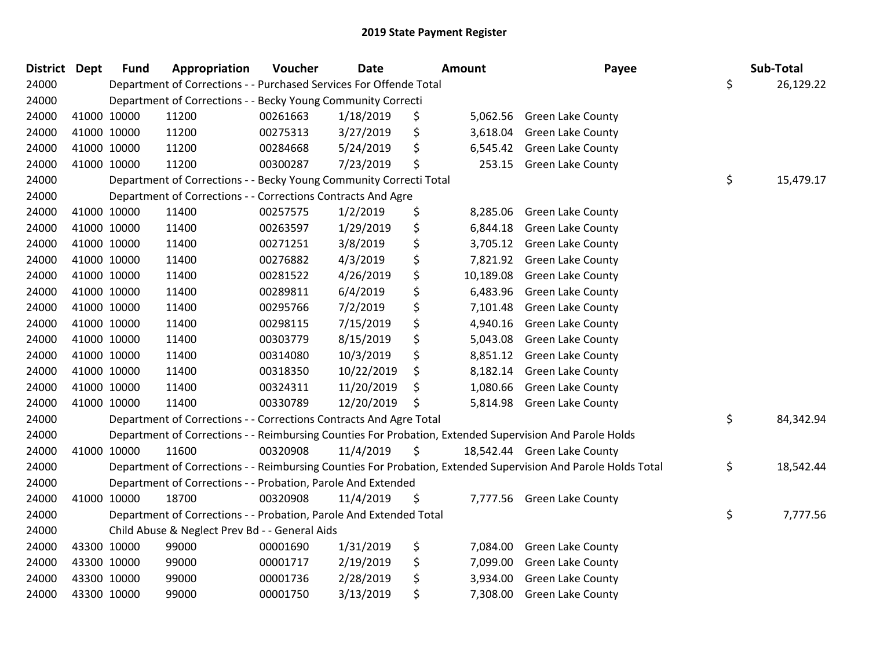| <b>District Dept</b> |             | <b>Fund</b> | Appropriation                                                      | Voucher  | <b>Date</b> |    | Amount    | Payee                                                                                                         | Sub-Total       |
|----------------------|-------------|-------------|--------------------------------------------------------------------|----------|-------------|----|-----------|---------------------------------------------------------------------------------------------------------------|-----------------|
| 24000                |             |             | Department of Corrections - - Purchased Services For Offende Total |          |             |    |           |                                                                                                               | \$<br>26,129.22 |
| 24000                |             |             | Department of Corrections - - Becky Young Community Correcti       |          |             |    |           |                                                                                                               |                 |
| 24000                |             | 41000 10000 | 11200                                                              | 00261663 | 1/18/2019   | \$ | 5,062.56  | <b>Green Lake County</b>                                                                                      |                 |
| 24000                |             | 41000 10000 | 11200                                                              | 00275313 | 3/27/2019   | \$ | 3,618.04  | <b>Green Lake County</b>                                                                                      |                 |
| 24000                |             | 41000 10000 | 11200                                                              | 00284668 | 5/24/2019   | \$ | 6,545.42  | Green Lake County                                                                                             |                 |
| 24000                |             | 41000 10000 | 11200                                                              | 00300287 | 7/23/2019   | \$ | 253.15    | Green Lake County                                                                                             |                 |
| 24000                |             |             | Department of Corrections - - Becky Young Community Correcti Total |          |             |    |           |                                                                                                               | \$<br>15,479.17 |
| 24000                |             |             | Department of Corrections - - Corrections Contracts And Agre       |          |             |    |           |                                                                                                               |                 |
| 24000                |             | 41000 10000 | 11400                                                              | 00257575 | 1/2/2019    | \$ | 8,285.06  | <b>Green Lake County</b>                                                                                      |                 |
| 24000                |             | 41000 10000 | 11400                                                              | 00263597 | 1/29/2019   | \$ | 6,844.18  | Green Lake County                                                                                             |                 |
| 24000                |             | 41000 10000 | 11400                                                              | 00271251 | 3/8/2019    | \$ | 3,705.12  | <b>Green Lake County</b>                                                                                      |                 |
| 24000                |             | 41000 10000 | 11400                                                              | 00276882 | 4/3/2019    | \$ | 7,821.92  | Green Lake County                                                                                             |                 |
| 24000                |             | 41000 10000 | 11400                                                              | 00281522 | 4/26/2019   | \$ | 10,189.08 | <b>Green Lake County</b>                                                                                      |                 |
| 24000                | 41000 10000 |             | 11400                                                              | 00289811 | 6/4/2019    | \$ | 6,483.96  | <b>Green Lake County</b>                                                                                      |                 |
| 24000                | 41000 10000 |             | 11400                                                              | 00295766 | 7/2/2019    | \$ | 7,101.48  | Green Lake County                                                                                             |                 |
| 24000                |             | 41000 10000 | 11400                                                              | 00298115 | 7/15/2019   | \$ | 4,940.16  | <b>Green Lake County</b>                                                                                      |                 |
| 24000                |             | 41000 10000 | 11400                                                              | 00303779 | 8/15/2019   | \$ | 5,043.08  | <b>Green Lake County</b>                                                                                      |                 |
| 24000                |             | 41000 10000 | 11400                                                              | 00314080 | 10/3/2019   | \$ | 8,851.12  | <b>Green Lake County</b>                                                                                      |                 |
| 24000                |             | 41000 10000 | 11400                                                              | 00318350 | 10/22/2019  | \$ |           | 8,182.14 Green Lake County                                                                                    |                 |
| 24000                |             | 41000 10000 | 11400                                                              | 00324311 | 11/20/2019  | \$ | 1,080.66  | Green Lake County                                                                                             |                 |
| 24000                |             | 41000 10000 | 11400                                                              | 00330789 | 12/20/2019  | Ś  |           | 5,814.98 Green Lake County                                                                                    |                 |
| 24000                |             |             | Department of Corrections - - Corrections Contracts And Agre Total |          |             |    |           |                                                                                                               | \$<br>84,342.94 |
| 24000                |             |             |                                                                    |          |             |    |           | Department of Corrections - - Reimbursing Counties For Probation, Extended Supervision And Parole Holds       |                 |
| 24000                |             | 41000 10000 | 11600                                                              | 00320908 | 11/4/2019   | \$ |           | 18,542.44 Green Lake County                                                                                   |                 |
| 24000                |             |             |                                                                    |          |             |    |           | Department of Corrections - - Reimbursing Counties For Probation, Extended Supervision And Parole Holds Total | \$<br>18,542.44 |
| 24000                |             |             | Department of Corrections - - Probation, Parole And Extended       |          |             |    |           |                                                                                                               |                 |
| 24000                | 41000 10000 |             | 18700                                                              | 00320908 | 11/4/2019   | \$ |           | 7,777.56 Green Lake County                                                                                    |                 |
| 24000                |             |             | Department of Corrections - - Probation, Parole And Extended Total |          |             |    |           |                                                                                                               | \$<br>7,777.56  |
| 24000                |             |             | Child Abuse & Neglect Prev Bd - - General Aids                     |          |             |    |           |                                                                                                               |                 |
| 24000                |             | 43300 10000 | 99000                                                              | 00001690 | 1/31/2019   | \$ | 7,084.00  | Green Lake County                                                                                             |                 |
| 24000                |             | 43300 10000 | 99000                                                              | 00001717 | 2/19/2019   | \$ | 7,099.00  | <b>Green Lake County</b>                                                                                      |                 |
| 24000                |             | 43300 10000 | 99000                                                              | 00001736 | 2/28/2019   | \$ | 3,934.00  | <b>Green Lake County</b>                                                                                      |                 |
| 24000                | 43300 10000 |             | 99000                                                              | 00001750 | 3/13/2019   | \$ | 7,308.00  | <b>Green Lake County</b>                                                                                      |                 |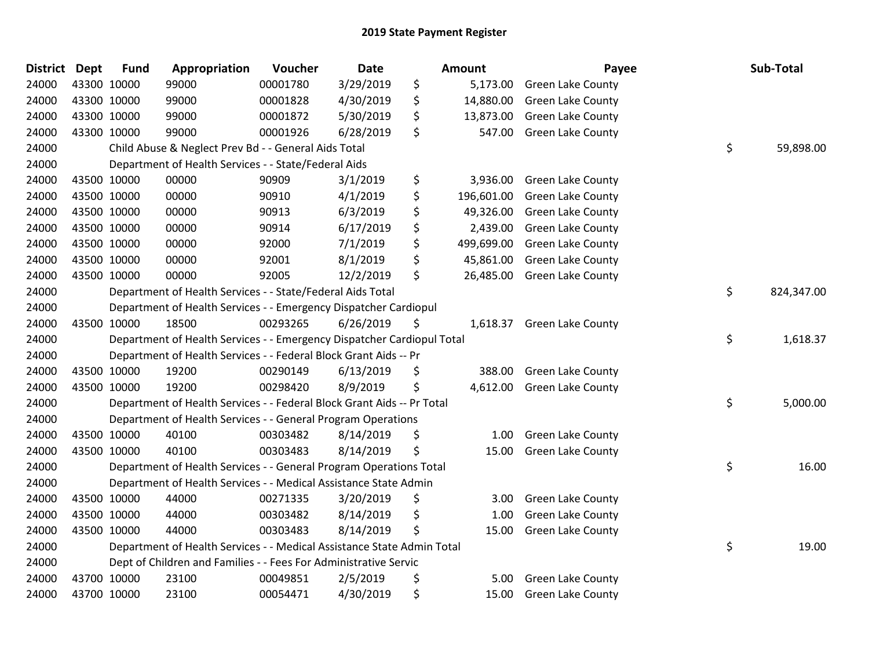| <b>District Dept</b> |             | <b>Fund</b> | Appropriation                                                          | Voucher  | <b>Date</b> | <b>Amount</b>    | Payee                    | Sub-Total        |
|----------------------|-------------|-------------|------------------------------------------------------------------------|----------|-------------|------------------|--------------------------|------------------|
| 24000                |             | 43300 10000 | 99000                                                                  | 00001780 | 3/29/2019   | \$<br>5,173.00   | <b>Green Lake County</b> |                  |
| 24000                |             | 43300 10000 | 99000                                                                  | 00001828 | 4/30/2019   | \$<br>14,880.00  | Green Lake County        |                  |
| 24000                | 43300 10000 |             | 99000                                                                  | 00001872 | 5/30/2019   | \$<br>13,873.00  | <b>Green Lake County</b> |                  |
| 24000                |             | 43300 10000 | 99000                                                                  | 00001926 | 6/28/2019   | \$<br>547.00     | Green Lake County        |                  |
| 24000                |             |             | Child Abuse & Neglect Prev Bd - - General Aids Total                   |          |             |                  |                          | \$<br>59,898.00  |
| 24000                |             |             | Department of Health Services - - State/Federal Aids                   |          |             |                  |                          |                  |
| 24000                |             | 43500 10000 | 00000                                                                  | 90909    | 3/1/2019    | \$<br>3,936.00   | <b>Green Lake County</b> |                  |
| 24000                |             | 43500 10000 | 00000                                                                  | 90910    | 4/1/2019    | \$<br>196,601.00 | <b>Green Lake County</b> |                  |
| 24000                |             | 43500 10000 | 00000                                                                  | 90913    | 6/3/2019    | \$<br>49,326.00  | Green Lake County        |                  |
| 24000                |             | 43500 10000 | 00000                                                                  | 90914    | 6/17/2019   | \$<br>2,439.00   | <b>Green Lake County</b> |                  |
| 24000                |             | 43500 10000 | 00000                                                                  | 92000    | 7/1/2019    | \$<br>499,699.00 | <b>Green Lake County</b> |                  |
| 24000                |             | 43500 10000 | 00000                                                                  | 92001    | 8/1/2019    | \$<br>45,861.00  | <b>Green Lake County</b> |                  |
| 24000                |             | 43500 10000 | 00000                                                                  | 92005    | 12/2/2019   | \$<br>26,485.00  | <b>Green Lake County</b> |                  |
| 24000                |             |             | Department of Health Services - - State/Federal Aids Total             |          |             |                  |                          | \$<br>824,347.00 |
| 24000                |             |             | Department of Health Services - - Emergency Dispatcher Cardiopul       |          |             |                  |                          |                  |
| 24000                |             | 43500 10000 | 18500                                                                  | 00293265 | 6/26/2019   | \$<br>1,618.37   | <b>Green Lake County</b> |                  |
| 24000                |             |             | Department of Health Services - - Emergency Dispatcher Cardiopul Total |          |             |                  |                          | \$<br>1,618.37   |
| 24000                |             |             | Department of Health Services - - Federal Block Grant Aids -- Pr       |          |             |                  |                          |                  |
| 24000                |             | 43500 10000 | 19200                                                                  | 00290149 | 6/13/2019   | \$<br>388.00     | <b>Green Lake County</b> |                  |
| 24000                |             | 43500 10000 | 19200                                                                  | 00298420 | 8/9/2019    | \$<br>4,612.00   | <b>Green Lake County</b> |                  |
| 24000                |             |             | Department of Health Services - - Federal Block Grant Aids -- Pr Total |          |             |                  |                          | \$<br>5,000.00   |
| 24000                |             |             | Department of Health Services - - General Program Operations           |          |             |                  |                          |                  |
| 24000                |             | 43500 10000 | 40100                                                                  | 00303482 | 8/14/2019   | \$<br>1.00       | <b>Green Lake County</b> |                  |
| 24000                |             | 43500 10000 | 40100                                                                  | 00303483 | 8/14/2019   | \$<br>15.00      | <b>Green Lake County</b> |                  |
| 24000                |             |             | Department of Health Services - - General Program Operations Total     |          |             |                  |                          | \$<br>16.00      |
| 24000                |             |             | Department of Health Services - - Medical Assistance State Admin       |          |             |                  |                          |                  |
| 24000                |             | 43500 10000 | 44000                                                                  | 00271335 | 3/20/2019   | \$<br>3.00       | Green Lake County        |                  |
| 24000                |             | 43500 10000 | 44000                                                                  | 00303482 | 8/14/2019   | \$<br>1.00       | <b>Green Lake County</b> |                  |
| 24000                |             | 43500 10000 | 44000                                                                  | 00303483 | 8/14/2019   | \$<br>15.00      | <b>Green Lake County</b> |                  |
| 24000                |             |             | Department of Health Services - - Medical Assistance State Admin Total |          |             |                  |                          | \$<br>19.00      |
| 24000                |             |             | Dept of Children and Families - - Fees For Administrative Servic       |          |             |                  |                          |                  |
| 24000                |             | 43700 10000 | 23100                                                                  | 00049851 | 2/5/2019    | \$<br>5.00       | Green Lake County        |                  |
| 24000                |             | 43700 10000 | 23100                                                                  | 00054471 | 4/30/2019   | \$<br>15.00      | <b>Green Lake County</b> |                  |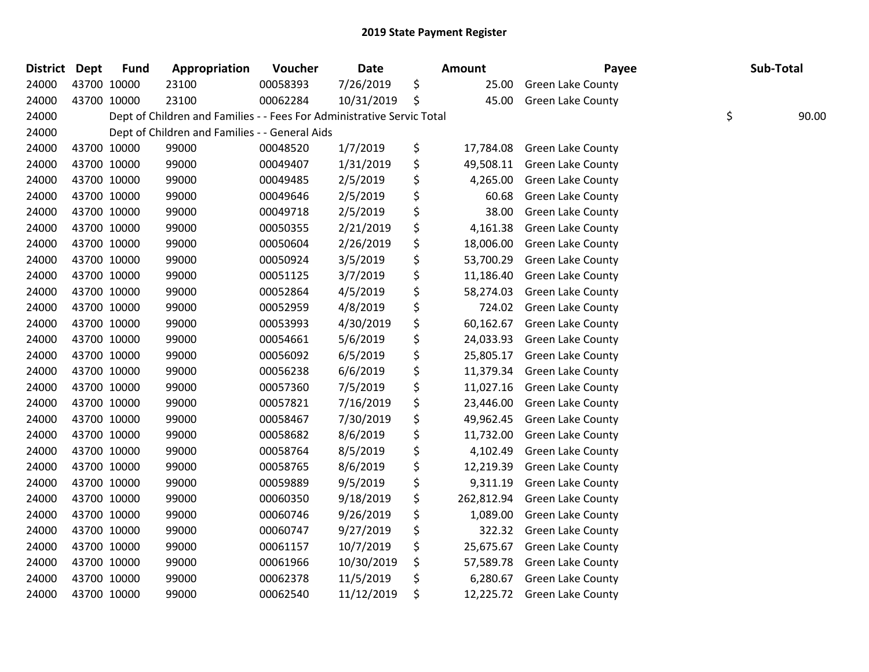| <b>District</b> | <b>Dept</b> | <b>Fund</b> | Appropriation                                                          | Voucher  | <b>Date</b> | Amount           | Payee                    | Sub-Total   |
|-----------------|-------------|-------------|------------------------------------------------------------------------|----------|-------------|------------------|--------------------------|-------------|
| 24000           |             | 43700 10000 | 23100                                                                  | 00058393 | 7/26/2019   | \$<br>25.00      | <b>Green Lake County</b> |             |
| 24000           |             | 43700 10000 | 23100                                                                  | 00062284 | 10/31/2019  | \$<br>45.00      | <b>Green Lake County</b> |             |
| 24000           |             |             | Dept of Children and Families - - Fees For Administrative Servic Total |          |             |                  |                          | \$<br>90.00 |
| 24000           |             |             | Dept of Children and Families - - General Aids                         |          |             |                  |                          |             |
| 24000           |             | 43700 10000 | 99000                                                                  | 00048520 | 1/7/2019    | \$<br>17,784.08  | Green Lake County        |             |
| 24000           |             | 43700 10000 | 99000                                                                  | 00049407 | 1/31/2019   | \$<br>49,508.11  | <b>Green Lake County</b> |             |
| 24000           |             | 43700 10000 | 99000                                                                  | 00049485 | 2/5/2019    | \$<br>4,265.00   | <b>Green Lake County</b> |             |
| 24000           |             | 43700 10000 | 99000                                                                  | 00049646 | 2/5/2019    | \$<br>60.68      | Green Lake County        |             |
| 24000           |             | 43700 10000 | 99000                                                                  | 00049718 | 2/5/2019    | \$<br>38.00      | Green Lake County        |             |
| 24000           |             | 43700 10000 | 99000                                                                  | 00050355 | 2/21/2019   | \$<br>4,161.38   | <b>Green Lake County</b> |             |
| 24000           |             | 43700 10000 | 99000                                                                  | 00050604 | 2/26/2019   | \$<br>18,006.00  | <b>Green Lake County</b> |             |
| 24000           |             | 43700 10000 | 99000                                                                  | 00050924 | 3/5/2019    | \$<br>53,700.29  | <b>Green Lake County</b> |             |
| 24000           |             | 43700 10000 | 99000                                                                  | 00051125 | 3/7/2019    | \$<br>11,186.40  | <b>Green Lake County</b> |             |
| 24000           |             | 43700 10000 | 99000                                                                  | 00052864 | 4/5/2019    | \$<br>58,274.03  | Green Lake County        |             |
| 24000           |             | 43700 10000 | 99000                                                                  | 00052959 | 4/8/2019    | \$<br>724.02     | Green Lake County        |             |
| 24000           |             | 43700 10000 | 99000                                                                  | 00053993 | 4/30/2019   | \$<br>60,162.67  | <b>Green Lake County</b> |             |
| 24000           |             | 43700 10000 | 99000                                                                  | 00054661 | 5/6/2019    | \$<br>24,033.93  | <b>Green Lake County</b> |             |
| 24000           |             | 43700 10000 | 99000                                                                  | 00056092 | 6/5/2019    | \$<br>25,805.17  | Green Lake County        |             |
| 24000           |             | 43700 10000 | 99000                                                                  | 00056238 | 6/6/2019    | \$<br>11,379.34  | Green Lake County        |             |
| 24000           |             | 43700 10000 | 99000                                                                  | 00057360 | 7/5/2019    | \$<br>11,027.16  | <b>Green Lake County</b> |             |
| 24000           |             | 43700 10000 | 99000                                                                  | 00057821 | 7/16/2019   | \$<br>23,446.00  | <b>Green Lake County</b> |             |
| 24000           |             | 43700 10000 | 99000                                                                  | 00058467 | 7/30/2019   | \$<br>49,962.45  | <b>Green Lake County</b> |             |
| 24000           |             | 43700 10000 | 99000                                                                  | 00058682 | 8/6/2019    | \$<br>11,732.00  | <b>Green Lake County</b> |             |
| 24000           |             | 43700 10000 | 99000                                                                  | 00058764 | 8/5/2019    | \$<br>4,102.49   | <b>Green Lake County</b> |             |
| 24000           |             | 43700 10000 | 99000                                                                  | 00058765 | 8/6/2019    | \$<br>12,219.39  | Green Lake County        |             |
| 24000           |             | 43700 10000 | 99000                                                                  | 00059889 | 9/5/2019    | \$<br>9,311.19   | Green Lake County        |             |
| 24000           |             | 43700 10000 | 99000                                                                  | 00060350 | 9/18/2019   | \$<br>262,812.94 | Green Lake County        |             |
| 24000           |             | 43700 10000 | 99000                                                                  | 00060746 | 9/26/2019   | \$<br>1,089.00   | Green Lake County        |             |
| 24000           |             | 43700 10000 | 99000                                                                  | 00060747 | 9/27/2019   | \$<br>322.32     | <b>Green Lake County</b> |             |
| 24000           |             | 43700 10000 | 99000                                                                  | 00061157 | 10/7/2019   | \$<br>25,675.67  | <b>Green Lake County</b> |             |
| 24000           |             | 43700 10000 | 99000                                                                  | 00061966 | 10/30/2019  | \$<br>57,589.78  | <b>Green Lake County</b> |             |
| 24000           |             | 43700 10000 | 99000                                                                  | 00062378 | 11/5/2019   | \$<br>6,280.67   | Green Lake County        |             |
| 24000           |             | 43700 10000 | 99000                                                                  | 00062540 | 11/12/2019  | \$<br>12,225.72  | <b>Green Lake County</b> |             |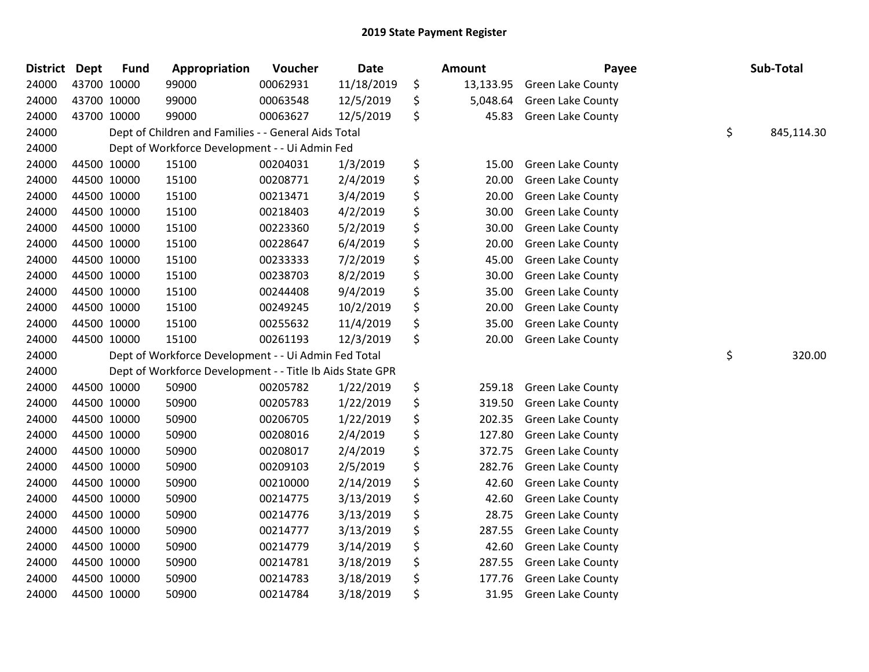| <b>District</b> | <b>Dept</b> | <b>Fund</b> | Appropriation                                             | Voucher  | <b>Date</b> | <b>Amount</b>   | Payee                    | Sub-Total        |
|-----------------|-------------|-------------|-----------------------------------------------------------|----------|-------------|-----------------|--------------------------|------------------|
| 24000           | 43700 10000 |             | 99000                                                     | 00062931 | 11/18/2019  | \$<br>13,133.95 | <b>Green Lake County</b> |                  |
| 24000           | 43700 10000 |             | 99000                                                     | 00063548 | 12/5/2019   | \$<br>5,048.64  | <b>Green Lake County</b> |                  |
| 24000           | 43700 10000 |             | 99000                                                     | 00063627 | 12/5/2019   | \$<br>45.83     | <b>Green Lake County</b> |                  |
| 24000           |             |             | Dept of Children and Families - - General Aids Total      |          |             |                 |                          | \$<br>845,114.30 |
| 24000           |             |             | Dept of Workforce Development - - Ui Admin Fed            |          |             |                 |                          |                  |
| 24000           | 44500 10000 |             | 15100                                                     | 00204031 | 1/3/2019    | \$<br>15.00     | Green Lake County        |                  |
| 24000           | 44500 10000 |             | 15100                                                     | 00208771 | 2/4/2019    | \$<br>20.00     | <b>Green Lake County</b> |                  |
| 24000           | 44500 10000 |             | 15100                                                     | 00213471 | 3/4/2019    | \$<br>20.00     | Green Lake County        |                  |
| 24000           | 44500 10000 |             | 15100                                                     | 00218403 | 4/2/2019    | \$<br>30.00     | Green Lake County        |                  |
| 24000           | 44500 10000 |             | 15100                                                     | 00223360 | 5/2/2019    | \$<br>30.00     | Green Lake County        |                  |
| 24000           | 44500 10000 |             | 15100                                                     | 00228647 | 6/4/2019    | \$<br>20.00     | Green Lake County        |                  |
| 24000           | 44500 10000 |             | 15100                                                     | 00233333 | 7/2/2019    | \$<br>45.00     | Green Lake County        |                  |
| 24000           | 44500 10000 |             | 15100                                                     | 00238703 | 8/2/2019    | \$<br>30.00     | <b>Green Lake County</b> |                  |
| 24000           | 44500 10000 |             | 15100                                                     | 00244408 | 9/4/2019    | \$<br>35.00     | Green Lake County        |                  |
| 24000           | 44500 10000 |             | 15100                                                     | 00249245 | 10/2/2019   | \$<br>20.00     | Green Lake County        |                  |
| 24000           | 44500 10000 |             | 15100                                                     | 00255632 | 11/4/2019   | \$<br>35.00     | Green Lake County        |                  |
| 24000           | 44500 10000 |             | 15100                                                     | 00261193 | 12/3/2019   | \$<br>20.00     | Green Lake County        |                  |
| 24000           |             |             | Dept of Workforce Development - - Ui Admin Fed Total      |          |             |                 |                          | \$<br>320.00     |
| 24000           |             |             | Dept of Workforce Development - - Title Ib Aids State GPR |          |             |                 |                          |                  |
| 24000           | 44500 10000 |             | 50900                                                     | 00205782 | 1/22/2019   | \$<br>259.18    | Green Lake County        |                  |
| 24000           | 44500 10000 |             | 50900                                                     | 00205783 | 1/22/2019   | \$<br>319.50    | <b>Green Lake County</b> |                  |
| 24000           | 44500 10000 |             | 50900                                                     | 00206705 | 1/22/2019   | \$<br>202.35    | Green Lake County        |                  |
| 24000           | 44500 10000 |             | 50900                                                     | 00208016 | 2/4/2019    | \$<br>127.80    | <b>Green Lake County</b> |                  |
| 24000           | 44500 10000 |             | 50900                                                     | 00208017 | 2/4/2019    | \$<br>372.75    | Green Lake County        |                  |
| 24000           | 44500 10000 |             | 50900                                                     | 00209103 | 2/5/2019    | \$<br>282.76    | Green Lake County        |                  |
| 24000           | 44500 10000 |             | 50900                                                     | 00210000 | 2/14/2019   | \$<br>42.60     | <b>Green Lake County</b> |                  |
| 24000           | 44500 10000 |             | 50900                                                     | 00214775 | 3/13/2019   | \$<br>42.60     | <b>Green Lake County</b> |                  |
| 24000           | 44500 10000 |             | 50900                                                     | 00214776 | 3/13/2019   | \$<br>28.75     | <b>Green Lake County</b> |                  |
| 24000           | 44500 10000 |             | 50900                                                     | 00214777 | 3/13/2019   | \$<br>287.55    | Green Lake County        |                  |
| 24000           | 44500 10000 |             | 50900                                                     | 00214779 | 3/14/2019   | \$<br>42.60     | Green Lake County        |                  |
| 24000           | 44500 10000 |             | 50900                                                     | 00214781 | 3/18/2019   | \$<br>287.55    | <b>Green Lake County</b> |                  |
| 24000           | 44500 10000 |             | 50900                                                     | 00214783 | 3/18/2019   | \$<br>177.76    | <b>Green Lake County</b> |                  |
| 24000           | 44500 10000 |             | 50900                                                     | 00214784 | 3/18/2019   | \$<br>31.95     | Green Lake County        |                  |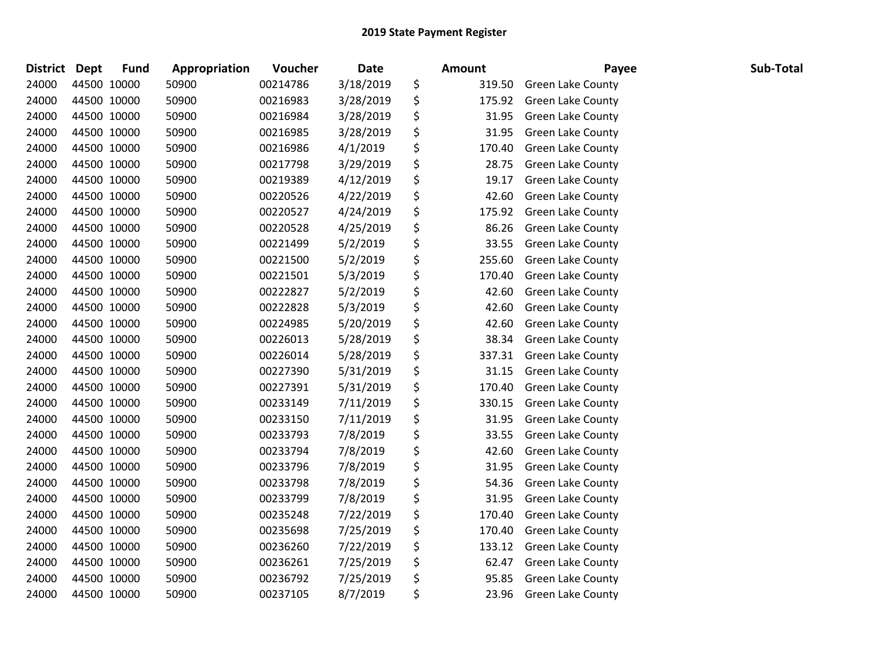| District | <b>Dept</b> | <b>Fund</b> | Appropriation | Voucher  | <b>Date</b> | <b>Amount</b> | Payee                    | Sub-Total |
|----------|-------------|-------------|---------------|----------|-------------|---------------|--------------------------|-----------|
| 24000    | 44500 10000 |             | 50900         | 00214786 | 3/18/2019   | \$<br>319.50  | <b>Green Lake County</b> |           |
| 24000    | 44500 10000 |             | 50900         | 00216983 | 3/28/2019   | \$<br>175.92  | <b>Green Lake County</b> |           |
| 24000    | 44500 10000 |             | 50900         | 00216984 | 3/28/2019   | \$<br>31.95   | <b>Green Lake County</b> |           |
| 24000    | 44500 10000 |             | 50900         | 00216985 | 3/28/2019   | \$<br>31.95   | <b>Green Lake County</b> |           |
| 24000    | 44500 10000 |             | 50900         | 00216986 | 4/1/2019    | \$<br>170.40  | <b>Green Lake County</b> |           |
| 24000    | 44500 10000 |             | 50900         | 00217798 | 3/29/2019   | \$<br>28.75   | <b>Green Lake County</b> |           |
| 24000    | 44500 10000 |             | 50900         | 00219389 | 4/12/2019   | \$<br>19.17   | <b>Green Lake County</b> |           |
| 24000    | 44500 10000 |             | 50900         | 00220526 | 4/22/2019   | \$<br>42.60   | Green Lake County        |           |
| 24000    | 44500 10000 |             | 50900         | 00220527 | 4/24/2019   | \$<br>175.92  | <b>Green Lake County</b> |           |
| 24000    | 44500 10000 |             | 50900         | 00220528 | 4/25/2019   | \$<br>86.26   | <b>Green Lake County</b> |           |
| 24000    | 44500 10000 |             | 50900         | 00221499 | 5/2/2019    | \$<br>33.55   | <b>Green Lake County</b> |           |
| 24000    | 44500 10000 |             | 50900         | 00221500 | 5/2/2019    | \$<br>255.60  | <b>Green Lake County</b> |           |
| 24000    | 44500 10000 |             | 50900         | 00221501 | 5/3/2019    | \$<br>170.40  | Green Lake County        |           |
| 24000    | 44500 10000 |             | 50900         | 00222827 | 5/2/2019    | \$<br>42.60   | <b>Green Lake County</b> |           |
| 24000    | 44500 10000 |             | 50900         | 00222828 | 5/3/2019    | \$<br>42.60   | <b>Green Lake County</b> |           |
| 24000    | 44500 10000 |             | 50900         | 00224985 | 5/20/2019   | \$<br>42.60   | <b>Green Lake County</b> |           |
| 24000    | 44500 10000 |             | 50900         | 00226013 | 5/28/2019   | \$<br>38.34   | <b>Green Lake County</b> |           |
| 24000    | 44500 10000 |             | 50900         | 00226014 | 5/28/2019   | \$<br>337.31  | <b>Green Lake County</b> |           |
| 24000    | 44500 10000 |             | 50900         | 00227390 | 5/31/2019   | \$<br>31.15   | Green Lake County        |           |
| 24000    | 44500 10000 |             | 50900         | 00227391 | 5/31/2019   | \$<br>170.40  | <b>Green Lake County</b> |           |
| 24000    | 44500 10000 |             | 50900         | 00233149 | 7/11/2019   | \$<br>330.15  | <b>Green Lake County</b> |           |
| 24000    | 44500 10000 |             | 50900         | 00233150 | 7/11/2019   | \$<br>31.95   | Green Lake County        |           |
| 24000    | 44500 10000 |             | 50900         | 00233793 | 7/8/2019    | \$<br>33.55   | <b>Green Lake County</b> |           |
| 24000    | 44500 10000 |             | 50900         | 00233794 | 7/8/2019    | \$<br>42.60   | Green Lake County        |           |
| 24000    | 44500 10000 |             | 50900         | 00233796 | 7/8/2019    | \$<br>31.95   | Green Lake County        |           |
| 24000    | 44500 10000 |             | 50900         | 00233798 | 7/8/2019    | \$<br>54.36   | <b>Green Lake County</b> |           |
| 24000    | 44500 10000 |             | 50900         | 00233799 | 7/8/2019    | \$<br>31.95   | Green Lake County        |           |
| 24000    | 44500 10000 |             | 50900         | 00235248 | 7/22/2019   | \$<br>170.40  | Green Lake County        |           |
| 24000    | 44500 10000 |             | 50900         | 00235698 | 7/25/2019   | \$<br>170.40  | Green Lake County        |           |
| 24000    | 44500 10000 |             | 50900         | 00236260 | 7/22/2019   | \$<br>133.12  | Green Lake County        |           |
| 24000    | 44500 10000 |             | 50900         | 00236261 | 7/25/2019   | \$<br>62.47   | <b>Green Lake County</b> |           |
| 24000    | 44500 10000 |             | 50900         | 00236792 | 7/25/2019   | \$<br>95.85   | Green Lake County        |           |
| 24000    | 44500 10000 |             | 50900         | 00237105 | 8/7/2019    | \$<br>23.96   | <b>Green Lake County</b> |           |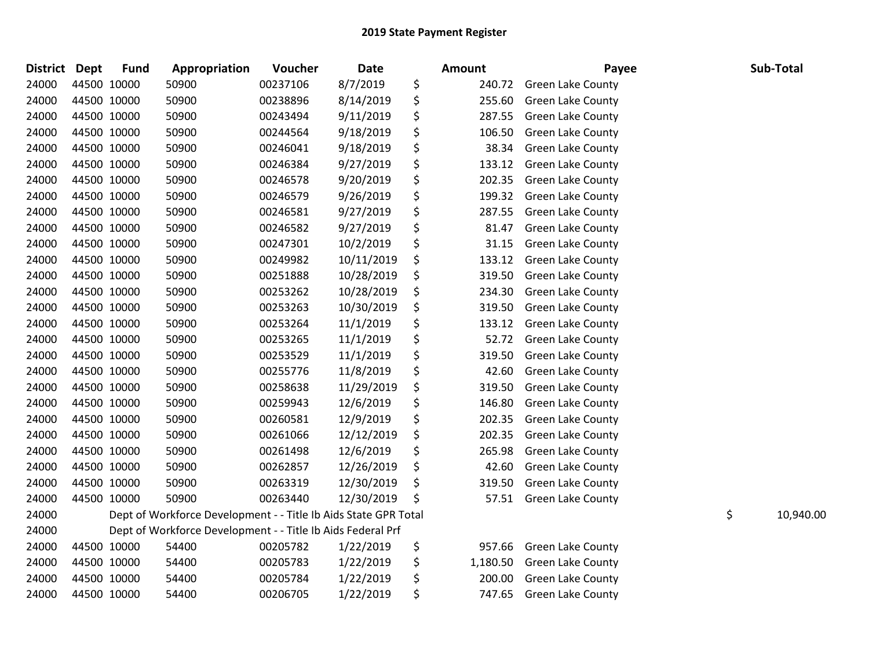| <b>District</b> | <b>Dept</b> | <b>Fund</b> | Appropriation                                                   | Voucher  | Date       | <b>Amount</b>  | Payee                    | Sub-Total       |
|-----------------|-------------|-------------|-----------------------------------------------------------------|----------|------------|----------------|--------------------------|-----------------|
| 24000           |             | 44500 10000 | 50900                                                           | 00237106 | 8/7/2019   | \$<br>240.72   | <b>Green Lake County</b> |                 |
| 24000           |             | 44500 10000 | 50900                                                           | 00238896 | 8/14/2019  | \$<br>255.60   | <b>Green Lake County</b> |                 |
| 24000           |             | 44500 10000 | 50900                                                           | 00243494 | 9/11/2019  | \$<br>287.55   | <b>Green Lake County</b> |                 |
| 24000           | 44500 10000 |             | 50900                                                           | 00244564 | 9/18/2019  | \$<br>106.50   | <b>Green Lake County</b> |                 |
| 24000           |             | 44500 10000 | 50900                                                           | 00246041 | 9/18/2019  | \$<br>38.34    | Green Lake County        |                 |
| 24000           |             | 44500 10000 | 50900                                                           | 00246384 | 9/27/2019  | \$<br>133.12   | <b>Green Lake County</b> |                 |
| 24000           |             | 44500 10000 | 50900                                                           | 00246578 | 9/20/2019  | \$<br>202.35   | Green Lake County        |                 |
| 24000           |             | 44500 10000 | 50900                                                           | 00246579 | 9/26/2019  | \$<br>199.32   | Green Lake County        |                 |
| 24000           |             | 44500 10000 | 50900                                                           | 00246581 | 9/27/2019  | \$<br>287.55   | <b>Green Lake County</b> |                 |
| 24000           |             | 44500 10000 | 50900                                                           | 00246582 | 9/27/2019  | \$<br>81.47    | <b>Green Lake County</b> |                 |
| 24000           |             | 44500 10000 | 50900                                                           | 00247301 | 10/2/2019  | \$<br>31.15    | Green Lake County        |                 |
| 24000           |             | 44500 10000 | 50900                                                           | 00249982 | 10/11/2019 | \$<br>133.12   | <b>Green Lake County</b> |                 |
| 24000           |             | 44500 10000 | 50900                                                           | 00251888 | 10/28/2019 | \$<br>319.50   | <b>Green Lake County</b> |                 |
| 24000           |             | 44500 10000 | 50900                                                           | 00253262 | 10/28/2019 | \$<br>234.30   | <b>Green Lake County</b> |                 |
| 24000           |             | 44500 10000 | 50900                                                           | 00253263 | 10/30/2019 | \$<br>319.50   | <b>Green Lake County</b> |                 |
| 24000           |             | 44500 10000 | 50900                                                           | 00253264 | 11/1/2019  | \$<br>133.12   | <b>Green Lake County</b> |                 |
| 24000           |             | 44500 10000 | 50900                                                           | 00253265 | 11/1/2019  | \$<br>52.72    | <b>Green Lake County</b> |                 |
| 24000           |             | 44500 10000 | 50900                                                           | 00253529 | 11/1/2019  | \$<br>319.50   | <b>Green Lake County</b> |                 |
| 24000           |             | 44500 10000 | 50900                                                           | 00255776 | 11/8/2019  | \$<br>42.60    | <b>Green Lake County</b> |                 |
| 24000           |             | 44500 10000 | 50900                                                           | 00258638 | 11/29/2019 | \$<br>319.50   | <b>Green Lake County</b> |                 |
| 24000           | 44500 10000 |             | 50900                                                           | 00259943 | 12/6/2019  | \$<br>146.80   | <b>Green Lake County</b> |                 |
| 24000           |             | 44500 10000 | 50900                                                           | 00260581 | 12/9/2019  | \$<br>202.35   | Green Lake County        |                 |
| 24000           |             | 44500 10000 | 50900                                                           | 00261066 | 12/12/2019 | \$<br>202.35   | Green Lake County        |                 |
| 24000           |             | 44500 10000 | 50900                                                           | 00261498 | 12/6/2019  | \$<br>265.98   | Green Lake County        |                 |
| 24000           |             | 44500 10000 | 50900                                                           | 00262857 | 12/26/2019 | \$<br>42.60    | Green Lake County        |                 |
| 24000           |             | 44500 10000 | 50900                                                           | 00263319 | 12/30/2019 | \$<br>319.50   | <b>Green Lake County</b> |                 |
| 24000           | 44500 10000 |             | 50900                                                           | 00263440 | 12/30/2019 | \$<br>57.51    | <b>Green Lake County</b> |                 |
| 24000           |             |             | Dept of Workforce Development - - Title Ib Aids State GPR Total |          |            |                |                          | \$<br>10,940.00 |
| 24000           |             |             | Dept of Workforce Development - - Title Ib Aids Federal Prf     |          |            |                |                          |                 |
| 24000           |             | 44500 10000 | 54400                                                           | 00205782 | 1/22/2019  | \$<br>957.66   | <b>Green Lake County</b> |                 |
| 24000           |             | 44500 10000 | 54400                                                           | 00205783 | 1/22/2019  | \$<br>1,180.50 | <b>Green Lake County</b> |                 |
| 24000           |             | 44500 10000 | 54400                                                           | 00205784 | 1/22/2019  | \$<br>200.00   | <b>Green Lake County</b> |                 |
| 24000           |             | 44500 10000 | 54400                                                           | 00206705 | 1/22/2019  | \$<br>747.65   | <b>Green Lake County</b> |                 |
|                 |             |             |                                                                 |          |            |                |                          |                 |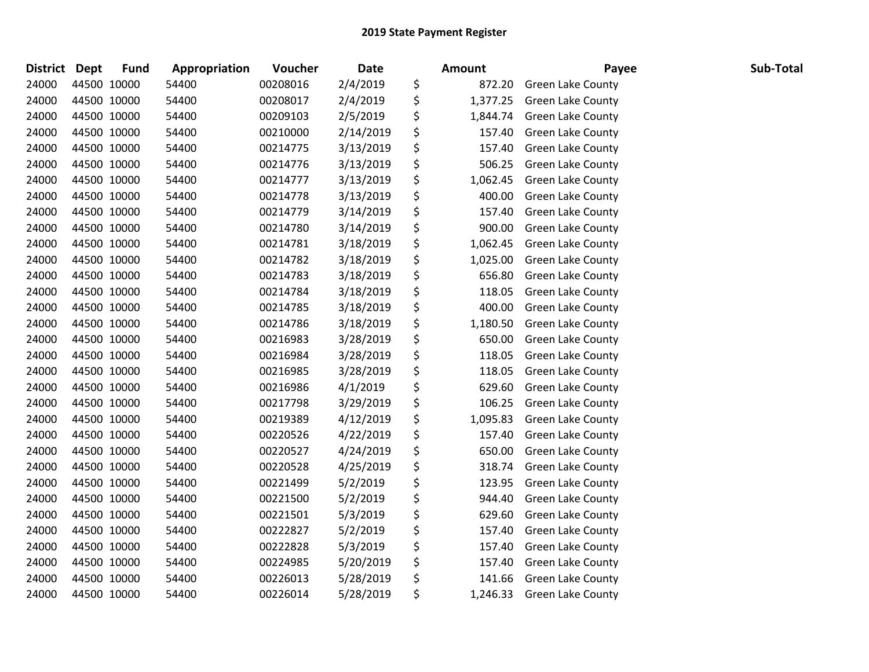| <b>District</b> | <b>Dept</b> | <b>Fund</b> | Appropriation | Voucher  | <b>Date</b> | Amount         | Payee                    | Sub-Total |
|-----------------|-------------|-------------|---------------|----------|-------------|----------------|--------------------------|-----------|
| 24000           | 44500 10000 |             | 54400         | 00208016 | 2/4/2019    | \$<br>872.20   | <b>Green Lake County</b> |           |
| 24000           | 44500 10000 |             | 54400         | 00208017 | 2/4/2019    | \$<br>1,377.25 | Green Lake County        |           |
| 24000           | 44500 10000 |             | 54400         | 00209103 | 2/5/2019    | \$<br>1,844.74 | Green Lake County        |           |
| 24000           | 44500 10000 |             | 54400         | 00210000 | 2/14/2019   | \$<br>157.40   | Green Lake County        |           |
| 24000           | 44500 10000 |             | 54400         | 00214775 | 3/13/2019   | \$<br>157.40   | <b>Green Lake County</b> |           |
| 24000           | 44500 10000 |             | 54400         | 00214776 | 3/13/2019   | \$<br>506.25   | <b>Green Lake County</b> |           |
| 24000           | 44500 10000 |             | 54400         | 00214777 | 3/13/2019   | \$<br>1,062.45 | <b>Green Lake County</b> |           |
| 24000           | 44500 10000 |             | 54400         | 00214778 | 3/13/2019   | \$<br>400.00   | Green Lake County        |           |
| 24000           | 44500 10000 |             | 54400         | 00214779 | 3/14/2019   | \$<br>157.40   | Green Lake County        |           |
| 24000           | 44500 10000 |             | 54400         | 00214780 | 3/14/2019   | \$<br>900.00   | Green Lake County        |           |
| 24000           | 44500 10000 |             | 54400         | 00214781 | 3/18/2019   | \$<br>1,062.45 | Green Lake County        |           |
| 24000           | 44500 10000 |             | 54400         | 00214782 | 3/18/2019   | \$<br>1,025.00 | Green Lake County        |           |
| 24000           | 44500 10000 |             | 54400         | 00214783 | 3/18/2019   | \$<br>656.80   | <b>Green Lake County</b> |           |
| 24000           | 44500 10000 |             | 54400         | 00214784 | 3/18/2019   | \$<br>118.05   | Green Lake County        |           |
| 24000           | 44500 10000 |             | 54400         | 00214785 | 3/18/2019   | \$<br>400.00   | <b>Green Lake County</b> |           |
| 24000           | 44500 10000 |             | 54400         | 00214786 | 3/18/2019   | \$<br>1,180.50 | <b>Green Lake County</b> |           |
| 24000           | 44500 10000 |             | 54400         | 00216983 | 3/28/2019   | \$<br>650.00   | Green Lake County        |           |
| 24000           | 44500 10000 |             | 54400         | 00216984 | 3/28/2019   | \$<br>118.05   | Green Lake County        |           |
| 24000           | 44500 10000 |             | 54400         | 00216985 | 3/28/2019   | \$<br>118.05   | Green Lake County        |           |
| 24000           | 44500 10000 |             | 54400         | 00216986 | 4/1/2019    | \$<br>629.60   | <b>Green Lake County</b> |           |
| 24000           | 44500 10000 |             | 54400         | 00217798 | 3/29/2019   | \$<br>106.25   | <b>Green Lake County</b> |           |
| 24000           | 44500 10000 |             | 54400         | 00219389 | 4/12/2019   | \$<br>1,095.83 | <b>Green Lake County</b> |           |
| 24000           | 44500 10000 |             | 54400         | 00220526 | 4/22/2019   | \$<br>157.40   | Green Lake County        |           |
| 24000           | 44500 10000 |             | 54400         | 00220527 | 4/24/2019   | \$<br>650.00   | Green Lake County        |           |
| 24000           | 44500 10000 |             | 54400         | 00220528 | 4/25/2019   | \$<br>318.74   | Green Lake County        |           |
| 24000           | 44500 10000 |             | 54400         | 00221499 | 5/2/2019    | \$<br>123.95   | <b>Green Lake County</b> |           |
| 24000           | 44500 10000 |             | 54400         | 00221500 | 5/2/2019    | \$<br>944.40   | <b>Green Lake County</b> |           |
| 24000           | 44500 10000 |             | 54400         | 00221501 | 5/3/2019    | \$<br>629.60   | <b>Green Lake County</b> |           |
| 24000           | 44500 10000 |             | 54400         | 00222827 | 5/2/2019    | \$<br>157.40   | Green Lake County        |           |
| 24000           |             | 44500 10000 | 54400         | 00222828 | 5/3/2019    | \$<br>157.40   | Green Lake County        |           |
| 24000           | 44500 10000 |             | 54400         | 00224985 | 5/20/2019   | \$<br>157.40   | Green Lake County        |           |
| 24000           | 44500 10000 |             | 54400         | 00226013 | 5/28/2019   | \$<br>141.66   | <b>Green Lake County</b> |           |
| 24000           | 44500 10000 |             | 54400         | 00226014 | 5/28/2019   | \$<br>1,246.33 | <b>Green Lake County</b> |           |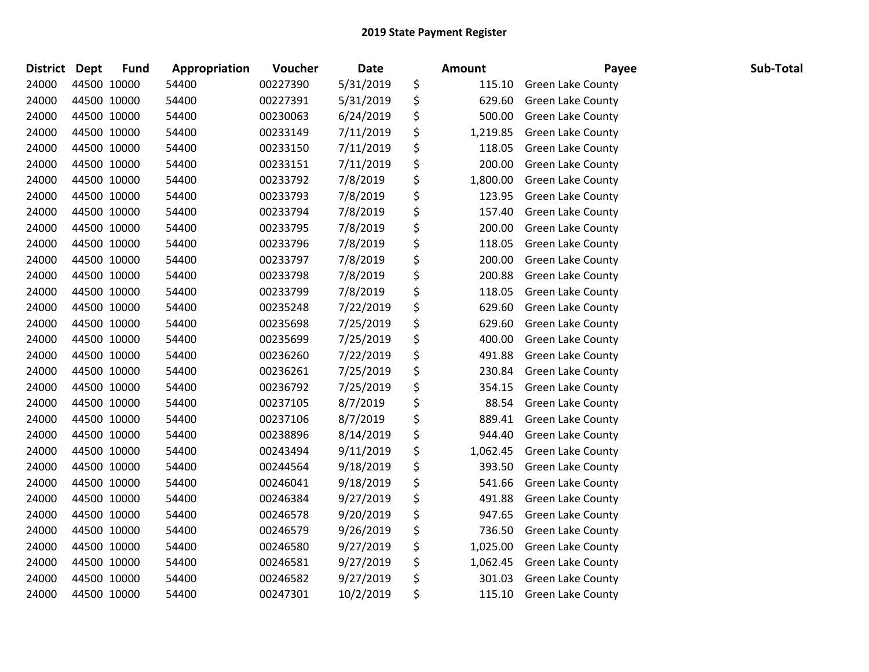| <b>District</b> | <b>Dept</b> | <b>Fund</b> | Appropriation | Voucher  | <b>Date</b> | <b>Amount</b>  | Payee                    | Sub-Total |
|-----------------|-------------|-------------|---------------|----------|-------------|----------------|--------------------------|-----------|
| 24000           | 44500 10000 |             | 54400         | 00227390 | 5/31/2019   | \$<br>115.10   | <b>Green Lake County</b> |           |
| 24000           | 44500 10000 |             | 54400         | 00227391 | 5/31/2019   | \$<br>629.60   | <b>Green Lake County</b> |           |
| 24000           | 44500 10000 |             | 54400         | 00230063 | 6/24/2019   | \$<br>500.00   | Green Lake County        |           |
| 24000           | 44500 10000 |             | 54400         | 00233149 | 7/11/2019   | \$<br>1,219.85 | Green Lake County        |           |
| 24000           | 44500 10000 |             | 54400         | 00233150 | 7/11/2019   | \$<br>118.05   | <b>Green Lake County</b> |           |
| 24000           | 44500 10000 |             | 54400         | 00233151 | 7/11/2019   | \$<br>200.00   | <b>Green Lake County</b> |           |
| 24000           | 44500 10000 |             | 54400         | 00233792 | 7/8/2019    | \$<br>1,800.00 | <b>Green Lake County</b> |           |
| 24000           | 44500 10000 |             | 54400         | 00233793 | 7/8/2019    | \$<br>123.95   | Green Lake County        |           |
| 24000           | 44500 10000 |             | 54400         | 00233794 | 7/8/2019    | \$<br>157.40   | Green Lake County        |           |
| 24000           | 44500 10000 |             | 54400         | 00233795 | 7/8/2019    | \$<br>200.00   | Green Lake County        |           |
| 24000           | 44500 10000 |             | 54400         | 00233796 | 7/8/2019    | \$<br>118.05   | <b>Green Lake County</b> |           |
| 24000           | 44500 10000 |             | 54400         | 00233797 | 7/8/2019    | \$<br>200.00   | <b>Green Lake County</b> |           |
| 24000           | 44500 10000 |             | 54400         | 00233798 | 7/8/2019    | \$<br>200.88   | Green Lake County        |           |
| 24000           | 44500 10000 |             | 54400         | 00233799 | 7/8/2019    | \$<br>118.05   | Green Lake County        |           |
| 24000           | 44500 10000 |             | 54400         | 00235248 | 7/22/2019   | \$<br>629.60   | Green Lake County        |           |
| 24000           | 44500 10000 |             | 54400         | 00235698 | 7/25/2019   | \$<br>629.60   | Green Lake County        |           |
| 24000           | 44500 10000 |             | 54400         | 00235699 | 7/25/2019   | \$<br>400.00   | <b>Green Lake County</b> |           |
| 24000           | 44500 10000 |             | 54400         | 00236260 | 7/22/2019   | \$<br>491.88   | Green Lake County        |           |
| 24000           | 44500 10000 |             | 54400         | 00236261 | 7/25/2019   | \$<br>230.84   | Green Lake County        |           |
| 24000           | 44500 10000 |             | 54400         | 00236792 | 7/25/2019   | \$<br>354.15   | <b>Green Lake County</b> |           |
| 24000           | 44500 10000 |             | 54400         | 00237105 | 8/7/2019    | \$<br>88.54    | <b>Green Lake County</b> |           |
| 24000           | 44500 10000 |             | 54400         | 00237106 | 8/7/2019    | \$<br>889.41   | Green Lake County        |           |
| 24000           | 44500 10000 |             | 54400         | 00238896 | 8/14/2019   | \$<br>944.40   | Green Lake County        |           |
| 24000           | 44500 10000 |             | 54400         | 00243494 | 9/11/2019   | \$<br>1,062.45 | Green Lake County        |           |
| 24000           | 44500 10000 |             | 54400         | 00244564 | 9/18/2019   | \$<br>393.50   | <b>Green Lake County</b> |           |
| 24000           | 44500 10000 |             | 54400         | 00246041 | 9/18/2019   | \$<br>541.66   | Green Lake County        |           |
| 24000           | 44500 10000 |             | 54400         | 00246384 | 9/27/2019   | \$<br>491.88   | Green Lake County        |           |
| 24000           | 44500 10000 |             | 54400         | 00246578 | 9/20/2019   | \$<br>947.65   | Green Lake County        |           |
| 24000           | 44500 10000 |             | 54400         | 00246579 | 9/26/2019   | \$<br>736.50   | Green Lake County        |           |
| 24000           | 44500 10000 |             | 54400         | 00246580 | 9/27/2019   | \$<br>1,025.00 | Green Lake County        |           |
| 24000           | 44500 10000 |             | 54400         | 00246581 | 9/27/2019   | \$<br>1,062.45 | <b>Green Lake County</b> |           |
| 24000           | 44500 10000 |             | 54400         | 00246582 | 9/27/2019   | \$<br>301.03   | <b>Green Lake County</b> |           |
| 24000           | 44500 10000 |             | 54400         | 00247301 | 10/2/2019   | \$<br>115.10   | <b>Green Lake County</b> |           |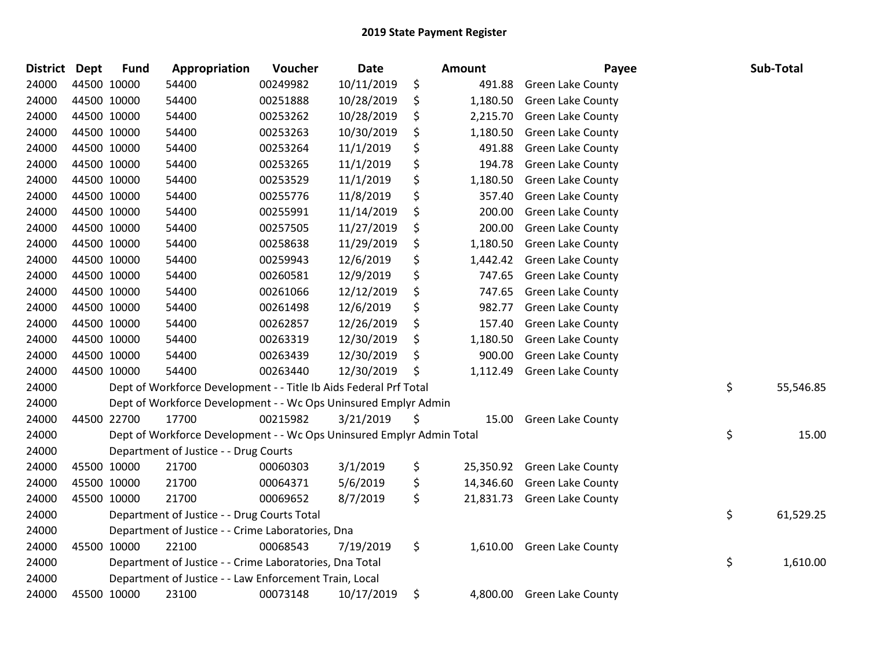| <b>District</b> | Dept | <b>Fund</b> | Appropriation                                                         | Voucher  | <b>Date</b> | <b>Amount</b>   | Payee                      | Sub-Total       |
|-----------------|------|-------------|-----------------------------------------------------------------------|----------|-------------|-----------------|----------------------------|-----------------|
| 24000           |      | 44500 10000 | 54400                                                                 | 00249982 | 10/11/2019  | \$<br>491.88    | <b>Green Lake County</b>   |                 |
| 24000           |      | 44500 10000 | 54400                                                                 | 00251888 | 10/28/2019  | \$<br>1,180.50  | <b>Green Lake County</b>   |                 |
| 24000           |      | 44500 10000 | 54400                                                                 | 00253262 | 10/28/2019  | \$<br>2,215.70  | <b>Green Lake County</b>   |                 |
| 24000           |      | 44500 10000 | 54400                                                                 | 00253263 | 10/30/2019  | \$<br>1,180.50  | <b>Green Lake County</b>   |                 |
| 24000           |      | 44500 10000 | 54400                                                                 | 00253264 | 11/1/2019   | \$<br>491.88    | <b>Green Lake County</b>   |                 |
| 24000           |      | 44500 10000 | 54400                                                                 | 00253265 | 11/1/2019   | \$<br>194.78    | <b>Green Lake County</b>   |                 |
| 24000           |      | 44500 10000 | 54400                                                                 | 00253529 | 11/1/2019   | \$<br>1,180.50  | <b>Green Lake County</b>   |                 |
| 24000           |      | 44500 10000 | 54400                                                                 | 00255776 | 11/8/2019   | \$<br>357.40    | Green Lake County          |                 |
| 24000           |      | 44500 10000 | 54400                                                                 | 00255991 | 11/14/2019  | \$<br>200.00    | Green Lake County          |                 |
| 24000           |      | 44500 10000 | 54400                                                                 | 00257505 | 11/27/2019  | \$<br>200.00    | <b>Green Lake County</b>   |                 |
| 24000           |      | 44500 10000 | 54400                                                                 | 00258638 | 11/29/2019  | \$<br>1,180.50  | <b>Green Lake County</b>   |                 |
| 24000           |      | 44500 10000 | 54400                                                                 | 00259943 | 12/6/2019   | \$<br>1,442.42  | <b>Green Lake County</b>   |                 |
| 24000           |      | 44500 10000 | 54400                                                                 | 00260581 | 12/9/2019   | \$<br>747.65    | <b>Green Lake County</b>   |                 |
| 24000           |      | 44500 10000 | 54400                                                                 | 00261066 | 12/12/2019  | \$<br>747.65    | <b>Green Lake County</b>   |                 |
| 24000           |      | 44500 10000 | 54400                                                                 | 00261498 | 12/6/2019   | \$<br>982.77    | <b>Green Lake County</b>   |                 |
| 24000           |      | 44500 10000 | 54400                                                                 | 00262857 | 12/26/2019  | \$<br>157.40    | Green Lake County          |                 |
| 24000           |      | 44500 10000 | 54400                                                                 | 00263319 | 12/30/2019  | \$<br>1,180.50  | Green Lake County          |                 |
| 24000           |      | 44500 10000 | 54400                                                                 | 00263439 | 12/30/2019  | \$<br>900.00    | <b>Green Lake County</b>   |                 |
| 24000           |      | 44500 10000 | 54400                                                                 | 00263440 | 12/30/2019  | \$<br>1,112.49  | Green Lake County          |                 |
| 24000           |      |             | Dept of Workforce Development - - Title Ib Aids Federal Prf Total     |          |             |                 |                            | \$<br>55,546.85 |
| 24000           |      |             | Dept of Workforce Development - - Wc Ops Uninsured Emplyr Admin       |          |             |                 |                            |                 |
| 24000           |      | 44500 22700 | 17700                                                                 | 00215982 | 3/21/2019   | \$<br>15.00     | <b>Green Lake County</b>   |                 |
| 24000           |      |             | Dept of Workforce Development - - Wc Ops Uninsured Emplyr Admin Total |          |             |                 |                            | \$<br>15.00     |
| 24000           |      |             | Department of Justice - - Drug Courts                                 |          |             |                 |                            |                 |
| 24000           |      | 45500 10000 | 21700                                                                 | 00060303 | 3/1/2019    | \$<br>25,350.92 | <b>Green Lake County</b>   |                 |
| 24000           |      | 45500 10000 | 21700                                                                 | 00064371 | 5/6/2019    | \$<br>14,346.60 | Green Lake County          |                 |
| 24000           |      | 45500 10000 | 21700                                                                 | 00069652 | 8/7/2019    | \$<br>21,831.73 | <b>Green Lake County</b>   |                 |
| 24000           |      |             | Department of Justice - - Drug Courts Total                           |          |             |                 |                            | \$<br>61,529.25 |
| 24000           |      |             | Department of Justice - - Crime Laboratories, Dna                     |          |             |                 |                            |                 |
| 24000           |      | 45500 10000 | 22100                                                                 | 00068543 | 7/19/2019   | \$              | 1,610.00 Green Lake County |                 |
| 24000           |      |             | Department of Justice - - Crime Laboratories, Dna Total               |          |             |                 |                            | \$<br>1,610.00  |
| 24000           |      |             | Department of Justice - - Law Enforcement Train, Local                |          |             |                 |                            |                 |
| 24000           |      | 45500 10000 | 23100                                                                 | 00073148 | 10/17/2019  | \$              | 4,800.00 Green Lake County |                 |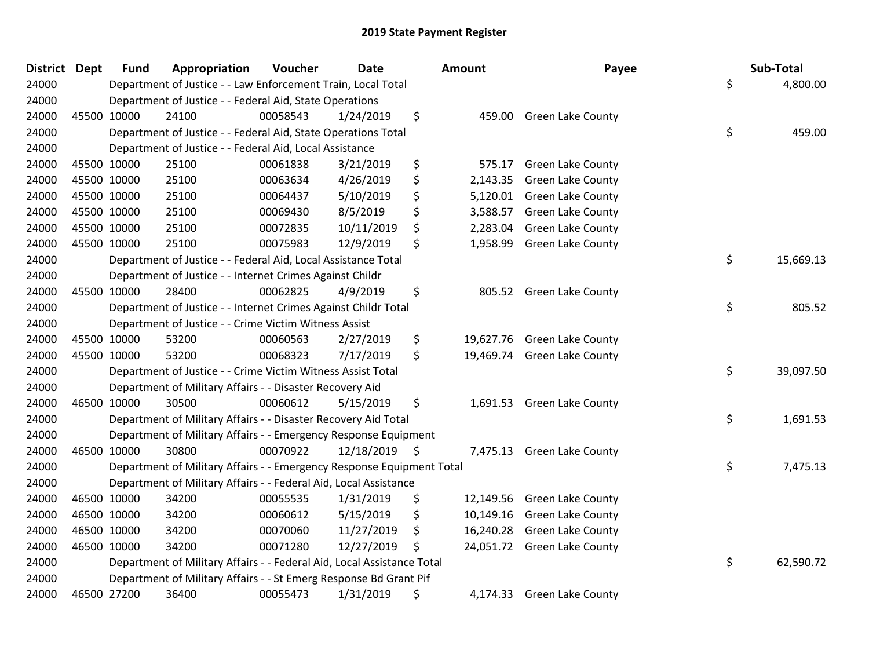| <b>District Dept</b> | <b>Fund</b> | Appropriation                                                          | Voucher  | <b>Date</b>   | Amount          | Payee                       | Sub-Total       |
|----------------------|-------------|------------------------------------------------------------------------|----------|---------------|-----------------|-----------------------------|-----------------|
| 24000                |             | Department of Justice - - Law Enforcement Train, Local Total           |          |               |                 |                             | \$<br>4,800.00  |
| 24000                |             | Department of Justice - - Federal Aid, State Operations                |          |               |                 |                             |                 |
| 24000                | 45500 10000 | 24100                                                                  | 00058543 | 1/24/2019     | \$              | 459.00 Green Lake County    |                 |
| 24000                |             | Department of Justice - - Federal Aid, State Operations Total          |          |               |                 |                             | \$<br>459.00    |
| 24000                |             | Department of Justice - - Federal Aid, Local Assistance                |          |               |                 |                             |                 |
| 24000                | 45500 10000 | 25100                                                                  | 00061838 | 3/21/2019     | \$<br>575.17    | <b>Green Lake County</b>    |                 |
| 24000                | 45500 10000 | 25100                                                                  | 00063634 | 4/26/2019     | \$<br>2,143.35  | <b>Green Lake County</b>    |                 |
| 24000                | 45500 10000 | 25100                                                                  | 00064437 | 5/10/2019     | \$<br>5,120.01  | <b>Green Lake County</b>    |                 |
| 24000                | 45500 10000 | 25100                                                                  | 00069430 | 8/5/2019      | \$<br>3,588.57  | Green Lake County           |                 |
| 24000                | 45500 10000 | 25100                                                                  | 00072835 | 10/11/2019    | \$<br>2,283.04  | Green Lake County           |                 |
| 24000                | 45500 10000 | 25100                                                                  | 00075983 | 12/9/2019     | \$<br>1,958.99  | <b>Green Lake County</b>    |                 |
| 24000                |             | Department of Justice - - Federal Aid, Local Assistance Total          |          |               |                 |                             | \$<br>15,669.13 |
| 24000                |             | Department of Justice - - Internet Crimes Against Childr               |          |               |                 |                             |                 |
| 24000                | 45500 10000 | 28400                                                                  | 00062825 | 4/9/2019      | \$<br>805.52    | <b>Green Lake County</b>    |                 |
| 24000                |             | Department of Justice - - Internet Crimes Against Childr Total         |          |               |                 |                             | \$<br>805.52    |
| 24000                |             | Department of Justice - - Crime Victim Witness Assist                  |          |               |                 |                             |                 |
| 24000                | 45500 10000 | 53200                                                                  | 00060563 | 2/27/2019     | \$<br>19,627.76 | <b>Green Lake County</b>    |                 |
| 24000                | 45500 10000 | 53200                                                                  | 00068323 | 7/17/2019     | \$              | 19,469.74 Green Lake County |                 |
| 24000                |             | Department of Justice - - Crime Victim Witness Assist Total            |          |               |                 |                             | \$<br>39,097.50 |
| 24000                |             | Department of Military Affairs - - Disaster Recovery Aid               |          |               |                 |                             |                 |
| 24000                | 46500 10000 | 30500                                                                  | 00060612 | 5/15/2019     | \$              | 1,691.53 Green Lake County  |                 |
| 24000                |             | Department of Military Affairs - - Disaster Recovery Aid Total         |          |               |                 |                             | \$<br>1,691.53  |
| 24000                |             | Department of Military Affairs - - Emergency Response Equipment        |          |               |                 |                             |                 |
| 24000                | 46500 10000 | 30800                                                                  | 00070922 | 12/18/2019 \$ | 7,475.13        | <b>Green Lake County</b>    |                 |
| 24000                |             | Department of Military Affairs - - Emergency Response Equipment Total  |          |               |                 |                             | \$<br>7,475.13  |
| 24000                |             | Department of Military Affairs - - Federal Aid, Local Assistance       |          |               |                 |                             |                 |
| 24000                | 46500 10000 | 34200                                                                  | 00055535 | 1/31/2019     | \$              | 12,149.56 Green Lake County |                 |
| 24000                | 46500 10000 | 34200                                                                  | 00060612 | 5/15/2019     | \$              | 10,149.16 Green Lake County |                 |
| 24000                | 46500 10000 | 34200                                                                  | 00070060 | 11/27/2019    | \$<br>16,240.28 | <b>Green Lake County</b>    |                 |
| 24000                | 46500 10000 | 34200                                                                  | 00071280 | 12/27/2019    | \$              | 24,051.72 Green Lake County |                 |
| 24000                |             | Department of Military Affairs - - Federal Aid, Local Assistance Total |          |               |                 |                             | \$<br>62,590.72 |
| 24000                |             | Department of Military Affairs - - St Emerg Response Bd Grant Pif      |          |               |                 |                             |                 |
| 24000                | 46500 27200 | 36400                                                                  | 00055473 | 1/31/2019     | \$              | 4,174.33 Green Lake County  |                 |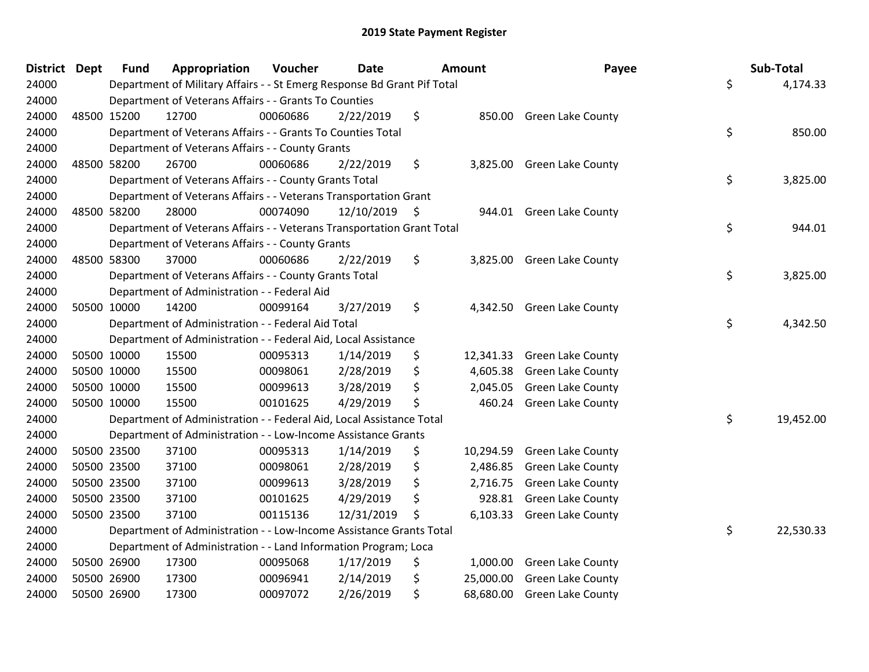| District Dept |             | <b>Fund</b> | Appropriation                                                           | Voucher  | <b>Date</b>   | Amount          | Payee                       | Sub-Total       |
|---------------|-------------|-------------|-------------------------------------------------------------------------|----------|---------------|-----------------|-----------------------------|-----------------|
| 24000         |             |             | Department of Military Affairs - - St Emerg Response Bd Grant Pif Total |          |               |                 |                             | \$<br>4,174.33  |
| 24000         |             |             | Department of Veterans Affairs - - Grants To Counties                   |          |               |                 |                             |                 |
| 24000         | 48500 15200 |             | 12700                                                                   | 00060686 | 2/22/2019     | \$              | 850.00 Green Lake County    |                 |
| 24000         |             |             | Department of Veterans Affairs - - Grants To Counties Total             |          |               |                 |                             | \$<br>850.00    |
| 24000         |             |             | Department of Veterans Affairs - - County Grants                        |          |               |                 |                             |                 |
| 24000         | 48500 58200 |             | 26700                                                                   | 00060686 | 2/22/2019     | \$              | 3,825.00 Green Lake County  |                 |
| 24000         |             |             | Department of Veterans Affairs - - County Grants Total                  |          |               |                 |                             | \$<br>3,825.00  |
| 24000         |             |             | Department of Veterans Affairs - - Veterans Transportation Grant        |          |               |                 |                             |                 |
| 24000         | 48500 58200 |             | 28000                                                                   | 00074090 | 12/10/2019 \$ | 944.01          | <b>Green Lake County</b>    |                 |
| 24000         |             |             | Department of Veterans Affairs - - Veterans Transportation Grant Total  |          |               |                 |                             | \$<br>944.01    |
| 24000         |             |             | Department of Veterans Affairs - - County Grants                        |          |               |                 |                             |                 |
| 24000         | 48500 58300 |             | 37000                                                                   | 00060686 | 2/22/2019     | \$              | 3,825.00 Green Lake County  |                 |
| 24000         |             |             | Department of Veterans Affairs - - County Grants Total                  |          |               |                 |                             | \$<br>3,825.00  |
| 24000         |             |             | Department of Administration - - Federal Aid                            |          |               |                 |                             |                 |
| 24000         | 50500 10000 |             | 14200                                                                   | 00099164 | 3/27/2019     | \$<br>4,342.50  | <b>Green Lake County</b>    |                 |
| 24000         |             |             | Department of Administration - - Federal Aid Total                      |          |               |                 |                             | \$<br>4,342.50  |
| 24000         |             |             | Department of Administration - - Federal Aid, Local Assistance          |          |               |                 |                             |                 |
| 24000         | 50500 10000 |             | 15500                                                                   | 00095313 | 1/14/2019     | \$              | 12,341.33 Green Lake County |                 |
| 24000         | 50500 10000 |             | 15500                                                                   | 00098061 | 2/28/2019     | \$<br>4,605.38  | <b>Green Lake County</b>    |                 |
| 24000         | 50500 10000 |             | 15500                                                                   | 00099613 | 3/28/2019     | \$<br>2,045.05  | <b>Green Lake County</b>    |                 |
| 24000         | 50500 10000 |             | 15500                                                                   | 00101625 | 4/29/2019     | \$<br>460.24    | <b>Green Lake County</b>    |                 |
| 24000         |             |             | Department of Administration - - Federal Aid, Local Assistance Total    |          |               |                 |                             | \$<br>19,452.00 |
| 24000         |             |             | Department of Administration - - Low-Income Assistance Grants           |          |               |                 |                             |                 |
| 24000         |             | 50500 23500 | 37100                                                                   | 00095313 | 1/14/2019     | \$<br>10,294.59 | <b>Green Lake County</b>    |                 |
| 24000         | 50500 23500 |             | 37100                                                                   | 00098061 | 2/28/2019     | \$<br>2,486.85  | <b>Green Lake County</b>    |                 |
| 24000         | 50500 23500 |             | 37100                                                                   | 00099613 | 3/28/2019     | \$<br>2,716.75  | Green Lake County           |                 |
| 24000         | 50500 23500 |             | 37100                                                                   | 00101625 | 4/29/2019     | \$<br>928.81    | <b>Green Lake County</b>    |                 |
| 24000         | 50500 23500 |             | 37100                                                                   | 00115136 | 12/31/2019    | \$<br>6,103.33  | <b>Green Lake County</b>    |                 |
| 24000         |             |             | Department of Administration - - Low-Income Assistance Grants Total     |          |               |                 |                             | \$<br>22,530.33 |
| 24000         |             |             | Department of Administration - - Land Information Program; Loca         |          |               |                 |                             |                 |
| 24000         | 50500 26900 |             | 17300                                                                   | 00095068 | 1/17/2019     | \$<br>1,000.00  | <b>Green Lake County</b>    |                 |
| 24000         | 50500 26900 |             | 17300                                                                   | 00096941 | 2/14/2019     | \$<br>25,000.00 | <b>Green Lake County</b>    |                 |
| 24000         | 50500 26900 |             | 17300                                                                   | 00097072 | 2/26/2019     | \$<br>68,680.00 | <b>Green Lake County</b>    |                 |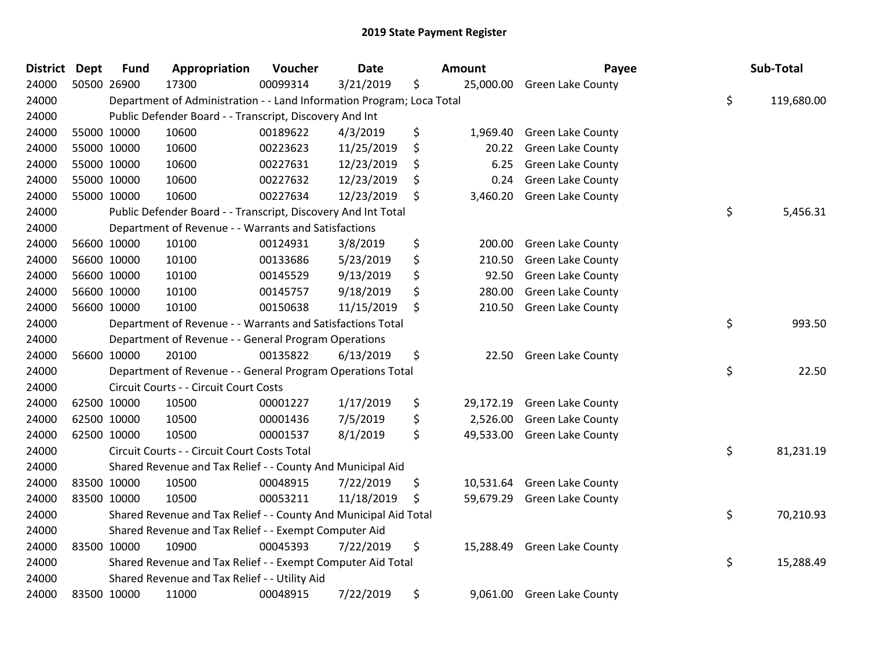| <b>District</b> | <b>Dept</b> | <b>Fund</b> | Appropriation                                                         | Voucher  | <b>Date</b> | Amount          | Payee                       | Sub-Total        |
|-----------------|-------------|-------------|-----------------------------------------------------------------------|----------|-------------|-----------------|-----------------------------|------------------|
| 24000           |             | 50500 26900 | 17300                                                                 | 00099314 | 3/21/2019   | \$<br>25,000.00 | <b>Green Lake County</b>    |                  |
| 24000           |             |             | Department of Administration - - Land Information Program; Loca Total |          |             |                 |                             | \$<br>119,680.00 |
| 24000           |             |             | Public Defender Board - - Transcript, Discovery And Int               |          |             |                 |                             |                  |
| 24000           |             | 55000 10000 | 10600                                                                 | 00189622 | 4/3/2019    | \$<br>1,969.40  | <b>Green Lake County</b>    |                  |
| 24000           |             | 55000 10000 | 10600                                                                 | 00223623 | 11/25/2019  | \$<br>20.22     | Green Lake County           |                  |
| 24000           |             | 55000 10000 | 10600                                                                 | 00227631 | 12/23/2019  | \$<br>6.25      | <b>Green Lake County</b>    |                  |
| 24000           |             | 55000 10000 | 10600                                                                 | 00227632 | 12/23/2019  | \$<br>0.24      | <b>Green Lake County</b>    |                  |
| 24000           |             | 55000 10000 | 10600                                                                 | 00227634 | 12/23/2019  | \$<br>3,460.20  | <b>Green Lake County</b>    |                  |
| 24000           |             |             | Public Defender Board - - Transcript, Discovery And Int Total         |          |             |                 |                             | \$<br>5,456.31   |
| 24000           |             |             | Department of Revenue - - Warrants and Satisfactions                  |          |             |                 |                             |                  |
| 24000           |             | 56600 10000 | 10100                                                                 | 00124931 | 3/8/2019    | \$<br>200.00    | <b>Green Lake County</b>    |                  |
| 24000           |             | 56600 10000 | 10100                                                                 | 00133686 | 5/23/2019   | \$<br>210.50    | Green Lake County           |                  |
| 24000           |             | 56600 10000 | 10100                                                                 | 00145529 | 9/13/2019   | \$<br>92.50     | Green Lake County           |                  |
| 24000           |             | 56600 10000 | 10100                                                                 | 00145757 | 9/18/2019   | \$<br>280.00    | <b>Green Lake County</b>    |                  |
| 24000           |             | 56600 10000 | 10100                                                                 | 00150638 | 11/15/2019  | \$<br>210.50    | Green Lake County           |                  |
| 24000           |             |             | Department of Revenue - - Warrants and Satisfactions Total            |          |             |                 |                             | \$<br>993.50     |
| 24000           |             |             | Department of Revenue - - General Program Operations                  |          |             |                 |                             |                  |
| 24000           |             | 56600 10000 | 20100                                                                 | 00135822 | 6/13/2019   | \$<br>22.50     | <b>Green Lake County</b>    |                  |
| 24000           |             |             | Department of Revenue - - General Program Operations Total            |          |             |                 |                             | \$<br>22.50      |
| 24000           |             |             | Circuit Courts - - Circuit Court Costs                                |          |             |                 |                             |                  |
| 24000           |             | 62500 10000 | 10500                                                                 | 00001227 | 1/17/2019   | \$<br>29,172.19 | <b>Green Lake County</b>    |                  |
| 24000           |             | 62500 10000 | 10500                                                                 | 00001436 | 7/5/2019    | \$<br>2,526.00  | <b>Green Lake County</b>    |                  |
| 24000           |             | 62500 10000 | 10500                                                                 | 00001537 | 8/1/2019    | \$<br>49,533.00 | <b>Green Lake County</b>    |                  |
| 24000           |             |             | Circuit Courts - - Circuit Court Costs Total                          |          |             |                 |                             | \$<br>81,231.19  |
| 24000           |             |             | Shared Revenue and Tax Relief - - County And Municipal Aid            |          |             |                 |                             |                  |
| 24000           |             | 83500 10000 | 10500                                                                 | 00048915 | 7/22/2019   | \$<br>10,531.64 | <b>Green Lake County</b>    |                  |
| 24000           |             | 83500 10000 | 10500                                                                 | 00053211 | 11/18/2019  | \$              | 59,679.29 Green Lake County |                  |
| 24000           |             |             | Shared Revenue and Tax Relief - - County And Municipal Aid Total      |          |             |                 |                             | \$<br>70,210.93  |
| 24000           |             |             | Shared Revenue and Tax Relief - - Exempt Computer Aid                 |          |             |                 |                             |                  |
| 24000           |             | 83500 10000 | 10900                                                                 | 00045393 | 7/22/2019   | \$              | 15,288.49 Green Lake County |                  |
| 24000           |             |             | Shared Revenue and Tax Relief - - Exempt Computer Aid Total           |          |             |                 |                             | \$<br>15,288.49  |
| 24000           |             |             | Shared Revenue and Tax Relief - - Utility Aid                         |          |             |                 |                             |                  |
| 24000           |             | 83500 10000 | 11000                                                                 | 00048915 | 7/22/2019   | \$              | 9,061.00 Green Lake County  |                  |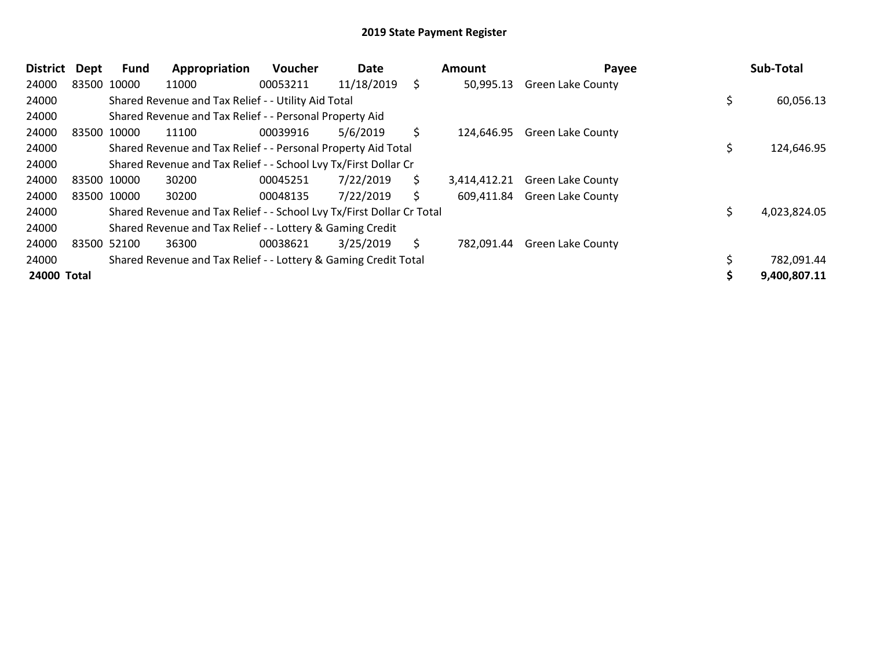| <b>District</b> | Dept | Fund        | Appropriation                                                         | <b>Voucher</b> | Date       | Amount             | Payee                    | Sub-Total    |
|-----------------|------|-------------|-----------------------------------------------------------------------|----------------|------------|--------------------|--------------------------|--------------|
| 24000           |      | 83500 10000 | 11000                                                                 | 00053211       | 11/18/2019 | \$<br>50,995.13    | <b>Green Lake County</b> |              |
| 24000           |      |             | Shared Revenue and Tax Relief - - Utility Aid Total                   |                |            |                    |                          | 60,056.13    |
| 24000           |      |             | Shared Revenue and Tax Relief - - Personal Property Aid               |                |            |                    |                          |              |
| 24000           |      | 83500 10000 | 11100                                                                 | 00039916       | 5/6/2019   | \$<br>124,646.95   | <b>Green Lake County</b> |              |
| 24000           |      |             | Shared Revenue and Tax Relief - - Personal Property Aid Total         |                |            |                    |                          | 124,646.95   |
| 24000           |      |             | Shared Revenue and Tax Relief - - School Lvy Tx/First Dollar Cr       |                |            |                    |                          |              |
| 24000           |      | 83500 10000 | 30200                                                                 | 00045251       | 7/22/2019  | \$<br>3,414,412.21 | <b>Green Lake County</b> |              |
| 24000           |      | 83500 10000 | 30200                                                                 | 00048135       | 7/22/2019  | \$<br>609,411.84   | <b>Green Lake County</b> |              |
| 24000           |      |             | Shared Revenue and Tax Relief - - School Lvy Tx/First Dollar Cr Total |                |            |                    |                          | 4,023,824.05 |
| 24000           |      |             | Shared Revenue and Tax Relief - - Lottery & Gaming Credit             |                |            |                    |                          |              |
| 24000           |      | 83500 52100 | 36300                                                                 | 00038621       | 3/25/2019  | \$<br>782,091.44   | <b>Green Lake County</b> |              |
| 24000           |      |             | Shared Revenue and Tax Relief - - Lottery & Gaming Credit Total       |                |            |                    |                          | 782,091.44   |
| 24000 Total     |      |             |                                                                       |                |            |                    |                          | 9,400,807.11 |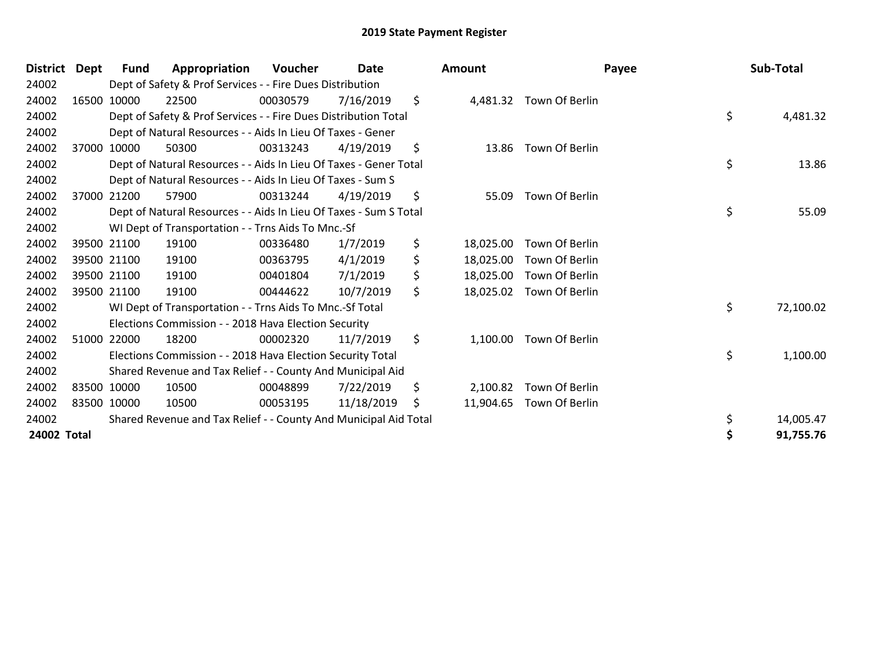| <b>District</b> | Dept        | Fund        | Appropriation                                                     | Voucher  | Date       | Amount          | Payee                    | Sub-Total       |
|-----------------|-------------|-------------|-------------------------------------------------------------------|----------|------------|-----------------|--------------------------|-----------------|
| 24002           |             |             | Dept of Safety & Prof Services - - Fire Dues Distribution         |          |            |                 |                          |                 |
| 24002           |             | 16500 10000 | 22500                                                             | 00030579 | 7/16/2019  | \$              | 4,481.32 Town Of Berlin  |                 |
| 24002           |             |             | Dept of Safety & Prof Services - - Fire Dues Distribution Total   |          |            |                 |                          | \$<br>4,481.32  |
| 24002           |             |             | Dept of Natural Resources - - Aids In Lieu Of Taxes - Gener       |          |            |                 |                          |                 |
| 24002           |             | 37000 10000 | 50300                                                             | 00313243 | 4/19/2019  | \$              | 13.86 Town Of Berlin     |                 |
| 24002           |             |             | Dept of Natural Resources - - Aids In Lieu Of Taxes - Gener Total |          |            |                 |                          | \$<br>13.86     |
| 24002           |             |             | Dept of Natural Resources - - Aids In Lieu Of Taxes - Sum S       |          |            |                 |                          |                 |
| 24002           |             | 37000 21200 | 57900                                                             | 00313244 | 4/19/2019  | \$<br>55.09     | Town Of Berlin           |                 |
| 24002           |             |             | Dept of Natural Resources - - Aids In Lieu Of Taxes - Sum S Total |          |            |                 |                          | \$<br>55.09     |
| 24002           |             |             | WI Dept of Transportation - - Trns Aids To Mnc.-Sf                |          |            |                 |                          |                 |
| 24002           |             | 39500 21100 | 19100                                                             | 00336480 | 1/7/2019   | \$<br>18,025.00 | Town Of Berlin           |                 |
| 24002           |             | 39500 21100 | 19100                                                             | 00363795 | 4/1/2019   | \$<br>18,025.00 | Town Of Berlin           |                 |
| 24002           |             | 39500 21100 | 19100                                                             | 00401804 | 7/1/2019   | \$<br>18,025.00 | Town Of Berlin           |                 |
| 24002           | 39500 21100 |             | 19100                                                             | 00444622 | 10/7/2019  | \$              | 18,025.02 Town Of Berlin |                 |
| 24002           |             |             | WI Dept of Transportation - - Trns Aids To Mnc.-Sf Total          |          |            |                 |                          | \$<br>72,100.02 |
| 24002           |             |             | Elections Commission - - 2018 Hava Election Security              |          |            |                 |                          |                 |
| 24002           |             | 51000 22000 | 18200                                                             | 00002320 | 11/7/2019  | \$<br>1,100.00  | Town Of Berlin           |                 |
| 24002           |             |             | Elections Commission - - 2018 Hava Election Security Total        |          |            |                 |                          | \$<br>1,100.00  |
| 24002           |             |             | Shared Revenue and Tax Relief - - County And Municipal Aid        |          |            |                 |                          |                 |
| 24002           | 83500 10000 |             | 10500                                                             | 00048899 | 7/22/2019  | \$<br>2,100.82  | Town Of Berlin           |                 |
| 24002           | 83500 10000 |             | 10500                                                             | 00053195 | 11/18/2019 | \$<br>11,904.65 | Town Of Berlin           |                 |
| 24002           |             |             | Shared Revenue and Tax Relief - - County And Municipal Aid Total  |          |            |                 |                          | \$<br>14,005.47 |
| 24002 Total     |             |             |                                                                   |          |            |                 |                          | \$<br>91,755.76 |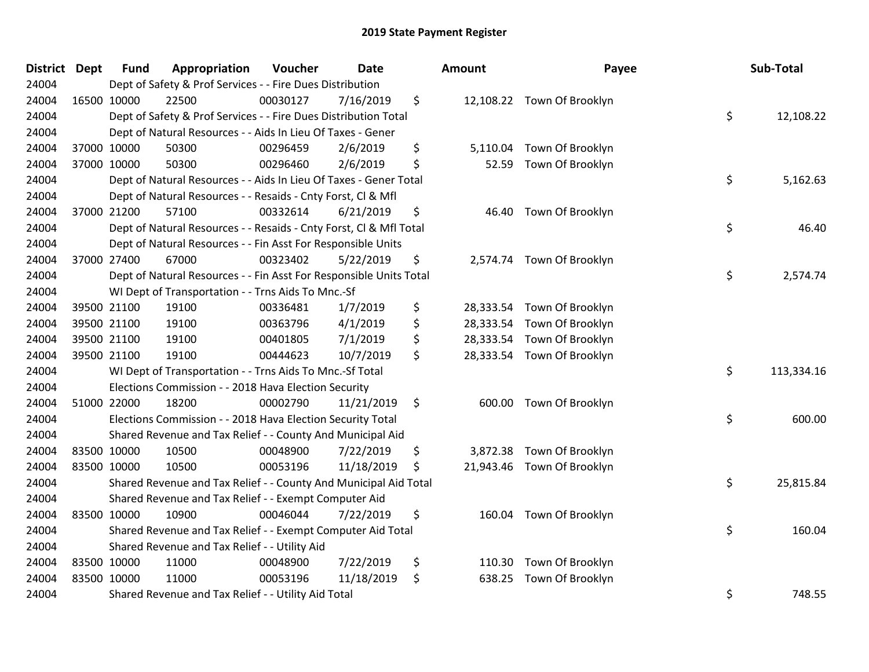| District Dept |             | <b>Fund</b> | Appropriation                                                      | Voucher  | <b>Date</b> | Amount         | Payee                      | Sub-Total        |
|---------------|-------------|-------------|--------------------------------------------------------------------|----------|-------------|----------------|----------------------------|------------------|
| 24004         |             |             | Dept of Safety & Prof Services - - Fire Dues Distribution          |          |             |                |                            |                  |
| 24004         | 16500 10000 |             | 22500                                                              | 00030127 | 7/16/2019   | \$             | 12,108.22 Town Of Brooklyn |                  |
| 24004         |             |             | Dept of Safety & Prof Services - - Fire Dues Distribution Total    |          |             |                |                            | \$<br>12,108.22  |
| 24004         |             |             | Dept of Natural Resources - - Aids In Lieu Of Taxes - Gener        |          |             |                |                            |                  |
| 24004         | 37000 10000 |             | 50300                                                              | 00296459 | 2/6/2019    | \$<br>5,110.04 | Town Of Brooklyn           |                  |
| 24004         | 37000 10000 |             | 50300                                                              | 00296460 | 2/6/2019    | \$<br>52.59    | Town Of Brooklyn           |                  |
| 24004         |             |             | Dept of Natural Resources - - Aids In Lieu Of Taxes - Gener Total  |          |             |                |                            | \$<br>5,162.63   |
| 24004         |             |             | Dept of Natural Resources - - Resaids - Cnty Forst, Cl & Mfl       |          |             |                |                            |                  |
| 24004         | 37000 21200 |             | 57100                                                              | 00332614 | 6/21/2019   | \$             | 46.40 Town Of Brooklyn     |                  |
| 24004         |             |             | Dept of Natural Resources - - Resaids - Cnty Forst, Cl & Mfl Total |          |             |                |                            | \$<br>46.40      |
| 24004         |             |             | Dept of Natural Resources - - Fin Asst For Responsible Units       |          |             |                |                            |                  |
| 24004         | 37000 27400 |             | 67000                                                              | 00323402 | 5/22/2019   | \$             | 2,574.74 Town Of Brooklyn  |                  |
| 24004         |             |             | Dept of Natural Resources - - Fin Asst For Responsible Units Total |          |             |                |                            | \$<br>2,574.74   |
| 24004         |             |             | WI Dept of Transportation - - Trns Aids To Mnc.-Sf                 |          |             |                |                            |                  |
| 24004         | 39500 21100 |             | 19100                                                              | 00336481 | 1/7/2019    | \$             | 28,333.54 Town Of Brooklyn |                  |
| 24004         | 39500 21100 |             | 19100                                                              | 00363796 | 4/1/2019    | \$             | 28,333.54 Town Of Brooklyn |                  |
| 24004         | 39500 21100 |             | 19100                                                              | 00401805 | 7/1/2019    | \$             | 28,333.54 Town Of Brooklyn |                  |
| 24004         | 39500 21100 |             | 19100                                                              | 00444623 | 10/7/2019   | \$             | 28,333.54 Town Of Brooklyn |                  |
| 24004         |             |             | WI Dept of Transportation - - Trns Aids To Mnc.-Sf Total           |          |             |                |                            | \$<br>113,334.16 |
| 24004         |             |             | Elections Commission - - 2018 Hava Election Security               |          |             |                |                            |                  |
| 24004         | 51000 22000 |             | 18200                                                              | 00002790 | 11/21/2019  | \$             | 600.00 Town Of Brooklyn    |                  |
| 24004         |             |             | Elections Commission - - 2018 Hava Election Security Total         |          |             |                |                            | \$<br>600.00     |
| 24004         |             |             | Shared Revenue and Tax Relief - - County And Municipal Aid         |          |             |                |                            |                  |
| 24004         | 83500 10000 |             | 10500                                                              | 00048900 | 7/22/2019   | \$             | 3,872.38 Town Of Brooklyn  |                  |
| 24004         | 83500 10000 |             | 10500                                                              | 00053196 | 11/18/2019  | \$             | 21,943.46 Town Of Brooklyn |                  |
| 24004         |             |             | Shared Revenue and Tax Relief - - County And Municipal Aid Total   |          |             |                |                            | \$<br>25,815.84  |
| 24004         |             |             | Shared Revenue and Tax Relief - - Exempt Computer Aid              |          |             |                |                            |                  |
| 24004         | 83500 10000 |             | 10900                                                              | 00046044 | 7/22/2019   | \$             | 160.04 Town Of Brooklyn    |                  |
| 24004         |             |             | Shared Revenue and Tax Relief - - Exempt Computer Aid Total        |          |             |                |                            | \$<br>160.04     |
| 24004         |             |             | Shared Revenue and Tax Relief - - Utility Aid                      |          |             |                |                            |                  |
| 24004         | 83500 10000 |             | 11000                                                              | 00048900 | 7/22/2019   | \$<br>110.30   | Town Of Brooklyn           |                  |
| 24004         | 83500 10000 |             | 11000                                                              | 00053196 | 11/18/2019  | \$<br>638.25   | Town Of Brooklyn           |                  |
| 24004         |             |             | Shared Revenue and Tax Relief - - Utility Aid Total                |          |             |                |                            | \$<br>748.55     |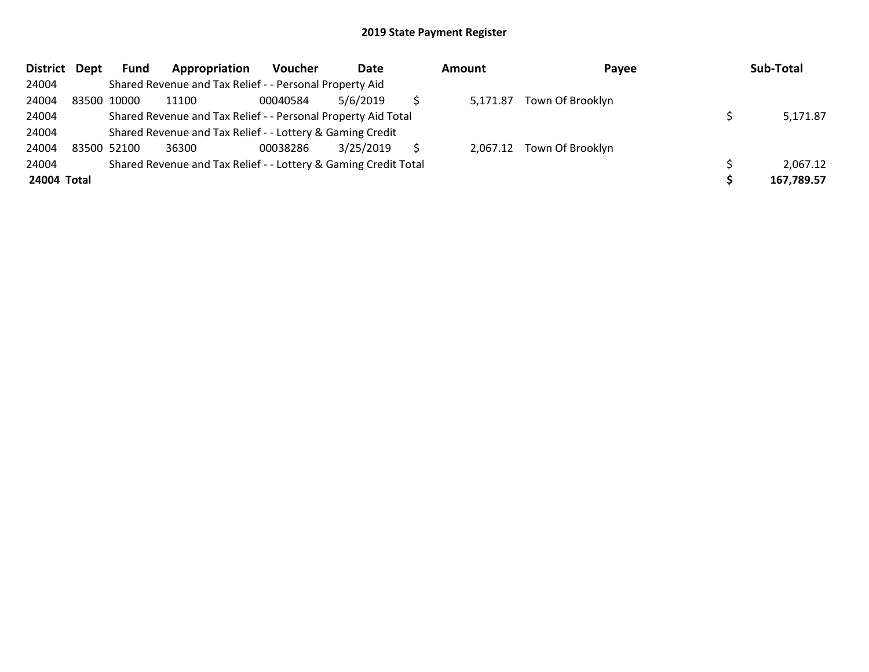| District Dept | <b>Fund</b> | Appropriation                                                   | Voucher  | Date      | <b>Amount</b> | Payee                     | Sub-Total  |
|---------------|-------------|-----------------------------------------------------------------|----------|-----------|---------------|---------------------------|------------|
| 24004         |             | Shared Revenue and Tax Relief - - Personal Property Aid         |          |           |               |                           |            |
| 24004         | 83500 10000 | 11100                                                           | 00040584 | 5/6/2019  | 5,171.87      | Town Of Brooklyn          |            |
| 24004         |             | Shared Revenue and Tax Relief - - Personal Property Aid Total   |          |           |               |                           | 5,171.87   |
| 24004         |             | Shared Revenue and Tax Relief - - Lottery & Gaming Credit       |          |           |               |                           |            |
| 24004         | 83500 52100 | 36300                                                           | 00038286 | 3/25/2019 |               | 2,067.12 Town Of Brooklyn |            |
| 24004         |             | Shared Revenue and Tax Relief - - Lottery & Gaming Credit Total |          |           |               |                           | 2,067.12   |
| 24004 Total   |             |                                                                 |          |           |               |                           | 167,789.57 |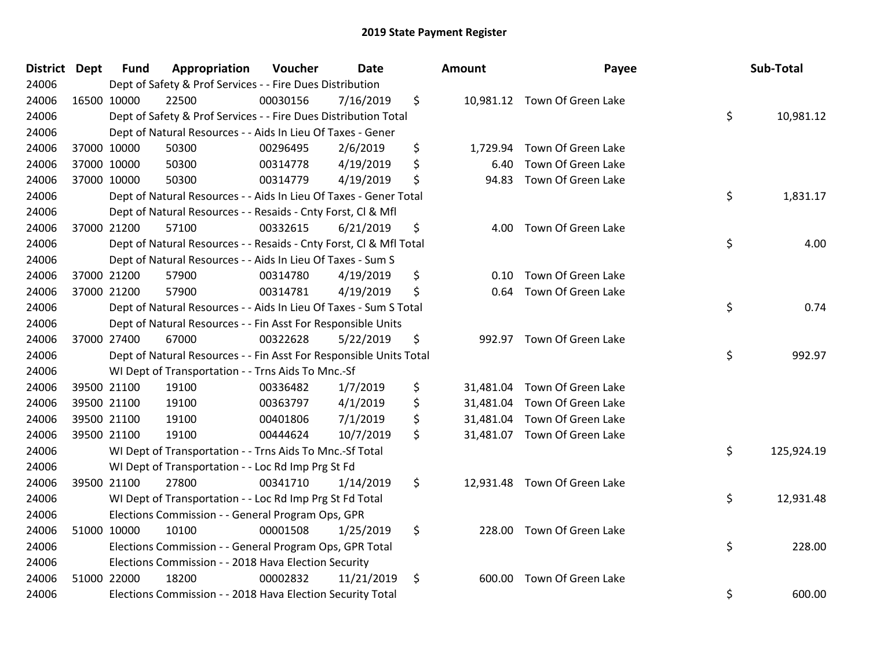| <b>District</b> | Dept | <b>Fund</b> | Appropriation                                                      | Voucher  | <b>Date</b> | <b>Amount</b>   | Payee                        | Sub-Total        |
|-----------------|------|-------------|--------------------------------------------------------------------|----------|-------------|-----------------|------------------------------|------------------|
| 24006           |      |             | Dept of Safety & Prof Services - - Fire Dues Distribution          |          |             |                 |                              |                  |
| 24006           |      | 16500 10000 | 22500                                                              | 00030156 | 7/16/2019   | \$              | 10,981.12 Town Of Green Lake |                  |
| 24006           |      |             | Dept of Safety & Prof Services - - Fire Dues Distribution Total    |          |             |                 |                              | \$<br>10,981.12  |
| 24006           |      |             | Dept of Natural Resources - - Aids In Lieu Of Taxes - Gener        |          |             |                 |                              |                  |
| 24006           |      | 37000 10000 | 50300                                                              | 00296495 | 2/6/2019    | \$<br>1,729.94  | Town Of Green Lake           |                  |
| 24006           |      | 37000 10000 | 50300                                                              | 00314778 | 4/19/2019   | \$<br>6.40      | Town Of Green Lake           |                  |
| 24006           |      | 37000 10000 | 50300                                                              | 00314779 | 4/19/2019   | \$<br>94.83     | Town Of Green Lake           |                  |
| 24006           |      |             | Dept of Natural Resources - - Aids In Lieu Of Taxes - Gener Total  |          |             |                 |                              | \$<br>1,831.17   |
| 24006           |      |             | Dept of Natural Resources - - Resaids - Cnty Forst, Cl & Mfl       |          |             |                 |                              |                  |
| 24006           |      | 37000 21200 | 57100                                                              | 00332615 | 6/21/2019   | \$<br>4.00      | Town Of Green Lake           |                  |
| 24006           |      |             | Dept of Natural Resources - - Resaids - Cnty Forst, Cl & Mfl Total |          |             |                 |                              | \$<br>4.00       |
| 24006           |      |             | Dept of Natural Resources - - Aids In Lieu Of Taxes - Sum S        |          |             |                 |                              |                  |
| 24006           |      | 37000 21200 | 57900                                                              | 00314780 | 4/19/2019   | \$<br>0.10      | Town Of Green Lake           |                  |
| 24006           |      | 37000 21200 | 57900                                                              | 00314781 | 4/19/2019   | \$<br>0.64      | Town Of Green Lake           |                  |
| 24006           |      |             | Dept of Natural Resources - - Aids In Lieu Of Taxes - Sum S Total  |          |             |                 |                              | \$<br>0.74       |
| 24006           |      |             | Dept of Natural Resources - - Fin Asst For Responsible Units       |          |             |                 |                              |                  |
| 24006           |      | 37000 27400 | 67000                                                              | 00322628 | 5/22/2019   | \$<br>992.97    | Town Of Green Lake           |                  |
| 24006           |      |             | Dept of Natural Resources - - Fin Asst For Responsible Units Total |          |             |                 |                              | \$<br>992.97     |
| 24006           |      |             | WI Dept of Transportation - - Trns Aids To Mnc.-Sf                 |          |             |                 |                              |                  |
| 24006           |      | 39500 21100 | 19100                                                              | 00336482 | 1/7/2019    | \$<br>31,481.04 | Town Of Green Lake           |                  |
| 24006           |      | 39500 21100 | 19100                                                              | 00363797 | 4/1/2019    | \$<br>31,481.04 | Town Of Green Lake           |                  |
| 24006           |      | 39500 21100 | 19100                                                              | 00401806 | 7/1/2019    | \$<br>31,481.04 | Town Of Green Lake           |                  |
| 24006           |      | 39500 21100 | 19100                                                              | 00444624 | 10/7/2019   | \$              | 31,481.07 Town Of Green Lake |                  |
| 24006           |      |             | WI Dept of Transportation - - Trns Aids To Mnc.-Sf Total           |          |             |                 |                              | \$<br>125,924.19 |
| 24006           |      |             | WI Dept of Transportation - - Loc Rd Imp Prg St Fd                 |          |             |                 |                              |                  |
| 24006           |      | 39500 21100 | 27800                                                              | 00341710 | 1/14/2019   | \$<br>12,931.48 | Town Of Green Lake           |                  |
| 24006           |      |             | WI Dept of Transportation - - Loc Rd Imp Prg St Fd Total           |          |             |                 |                              | \$<br>12,931.48  |
| 24006           |      |             | Elections Commission - - General Program Ops, GPR                  |          |             |                 |                              |                  |
| 24006           |      | 51000 10000 | 10100                                                              | 00001508 | 1/25/2019   | \$<br>228.00    | Town Of Green Lake           |                  |
| 24006           |      |             | Elections Commission - - General Program Ops, GPR Total            |          |             |                 |                              | \$<br>228.00     |
| 24006           |      |             | Elections Commission - - 2018 Hava Election Security               |          |             |                 |                              |                  |
| 24006           |      | 51000 22000 | 18200                                                              | 00002832 | 11/21/2019  | \$<br>600.00    | Town Of Green Lake           |                  |
| 24006           |      |             | Elections Commission - - 2018 Hava Election Security Total         |          |             |                 |                              | \$<br>600.00     |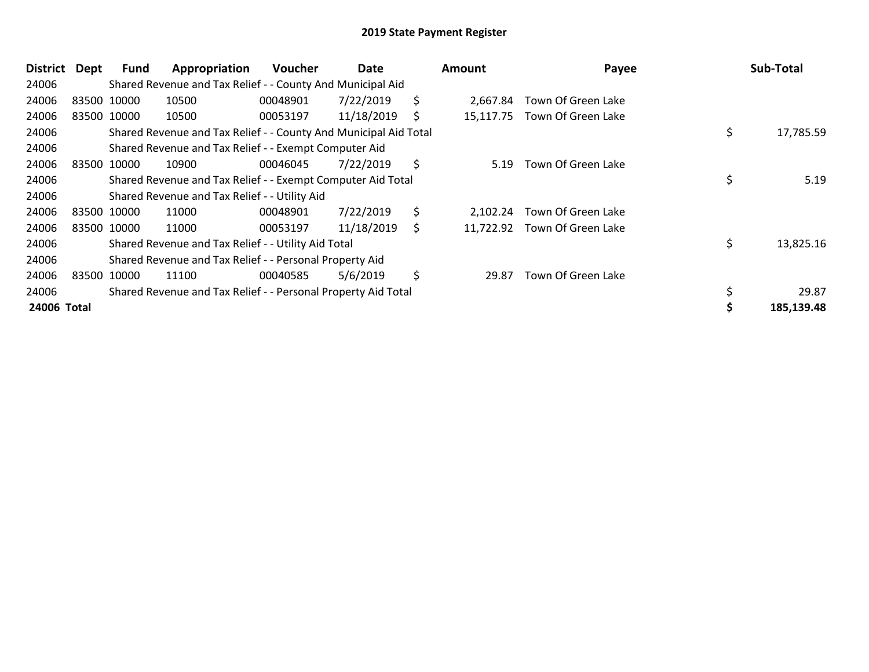| <b>District</b> | Dept        | Fund        | Appropriation                                                    | <b>Voucher</b> | Date       |     | <b>Amount</b> | Payee                        | Sub-Total       |
|-----------------|-------------|-------------|------------------------------------------------------------------|----------------|------------|-----|---------------|------------------------------|-----------------|
| 24006           |             |             | Shared Revenue and Tax Relief - - County And Municipal Aid       |                |            |     |               |                              |                 |
| 24006           |             | 83500 10000 | 10500                                                            | 00048901       | 7/22/2019  | \$. | 2,667.84      | Town Of Green Lake           |                 |
| 24006           | 83500 10000 |             | 10500                                                            | 00053197       | 11/18/2019 | S   |               | 15,117.75 Town Of Green Lake |                 |
| 24006           |             |             | Shared Revenue and Tax Relief - - County And Municipal Aid Total |                |            |     |               |                              | \$<br>17,785.59 |
| 24006           |             |             | Shared Revenue and Tax Relief - - Exempt Computer Aid            |                |            |     |               |                              |                 |
| 24006           | 83500 10000 |             | 10900                                                            | 00046045       | 7/22/2019  | \$  | 5.19          | Town Of Green Lake           |                 |
| 24006           |             |             | Shared Revenue and Tax Relief - - Exempt Computer Aid Total      |                |            |     |               |                              | \$<br>5.19      |
| 24006           |             |             | Shared Revenue and Tax Relief - - Utility Aid                    |                |            |     |               |                              |                 |
| 24006           | 83500 10000 |             | 11000                                                            | 00048901       | 7/22/2019  | \$  | 2.102.24      | Town Of Green Lake           |                 |
| 24006           |             | 83500 10000 | 11000                                                            | 00053197       | 11/18/2019 | \$  |               | 11,722.92 Town Of Green Lake |                 |
| 24006           |             |             | Shared Revenue and Tax Relief - - Utility Aid Total              |                |            |     |               |                              | \$<br>13,825.16 |
| 24006           |             |             | Shared Revenue and Tax Relief - - Personal Property Aid          |                |            |     |               |                              |                 |
| 24006           | 83500 10000 |             | 11100                                                            | 00040585       | 5/6/2019   | \$  | 29.87         | Town Of Green Lake           |                 |
| 24006           |             |             | Shared Revenue and Tax Relief - - Personal Property Aid Total    |                |            |     |               |                              | 29.87           |
| 24006 Total     |             |             |                                                                  |                |            |     |               |                              | 185,139.48      |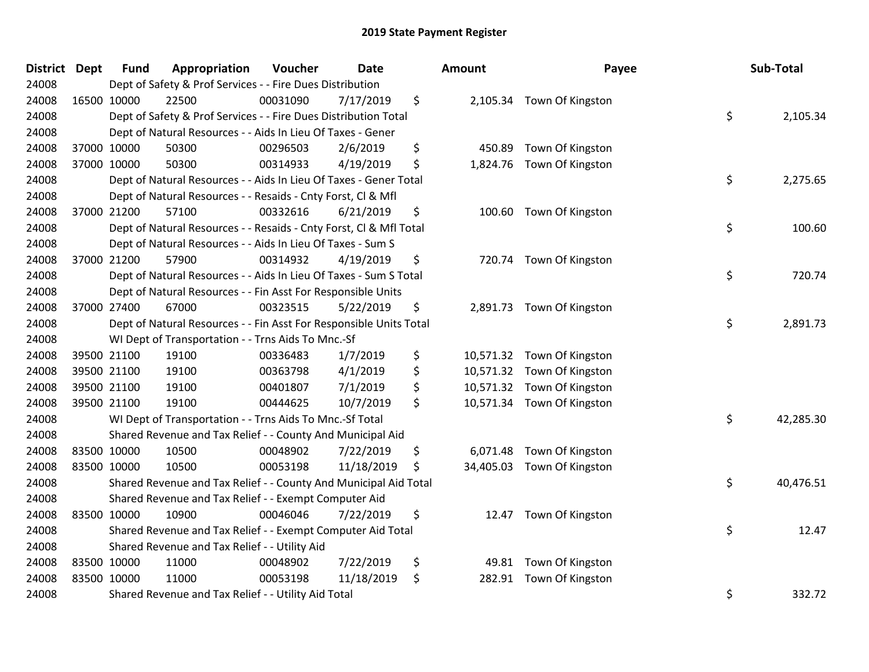| District Dept |             | <b>Fund</b> | Appropriation                                                      | Voucher  | <b>Date</b> | Amount          | Payee                      | Sub-Total       |
|---------------|-------------|-------------|--------------------------------------------------------------------|----------|-------------|-----------------|----------------------------|-----------------|
| 24008         |             |             | Dept of Safety & Prof Services - - Fire Dues Distribution          |          |             |                 |                            |                 |
| 24008         |             | 16500 10000 | 22500                                                              | 00031090 | 7/17/2019   | \$              | 2,105.34 Town Of Kingston  |                 |
| 24008         |             |             | Dept of Safety & Prof Services - - Fire Dues Distribution Total    |          |             |                 |                            | \$<br>2,105.34  |
| 24008         |             |             | Dept of Natural Resources - - Aids In Lieu Of Taxes - Gener        |          |             |                 |                            |                 |
| 24008         |             | 37000 10000 | 50300                                                              | 00296503 | 2/6/2019    | \$<br>450.89    | Town Of Kingston           |                 |
| 24008         |             | 37000 10000 | 50300                                                              | 00314933 | 4/19/2019   | \$<br>1,824.76  | Town Of Kingston           |                 |
| 24008         |             |             | Dept of Natural Resources - - Aids In Lieu Of Taxes - Gener Total  |          |             |                 |                            | \$<br>2,275.65  |
| 24008         |             |             | Dept of Natural Resources - - Resaids - Cnty Forst, Cl & Mfl       |          |             |                 |                            |                 |
| 24008         |             | 37000 21200 | 57100                                                              | 00332616 | 6/21/2019   | \$              | 100.60 Town Of Kingston    |                 |
| 24008         |             |             | Dept of Natural Resources - - Resaids - Cnty Forst, Cl & Mfl Total |          |             |                 |                            | \$<br>100.60    |
| 24008         |             |             | Dept of Natural Resources - - Aids In Lieu Of Taxes - Sum S        |          |             |                 |                            |                 |
| 24008         |             | 37000 21200 | 57900                                                              | 00314932 | 4/19/2019   | \$              | 720.74 Town Of Kingston    |                 |
| 24008         |             |             | Dept of Natural Resources - - Aids In Lieu Of Taxes - Sum S Total  |          |             |                 |                            | \$<br>720.74    |
| 24008         |             |             | Dept of Natural Resources - - Fin Asst For Responsible Units       |          |             |                 |                            |                 |
| 24008         |             | 37000 27400 | 67000                                                              | 00323515 | 5/22/2019   | \$              | 2,891.73 Town Of Kingston  |                 |
| 24008         |             |             | Dept of Natural Resources - - Fin Asst For Responsible Units Total |          |             |                 |                            | \$<br>2,891.73  |
| 24008         |             |             | WI Dept of Transportation - - Trns Aids To Mnc.-Sf                 |          |             |                 |                            |                 |
| 24008         |             | 39500 21100 | 19100                                                              | 00336483 | 1/7/2019    | \$              | 10,571.32 Town Of Kingston |                 |
| 24008         |             | 39500 21100 | 19100                                                              | 00363798 | 4/1/2019    | \$              | 10,571.32 Town Of Kingston |                 |
| 24008         |             | 39500 21100 | 19100                                                              | 00401807 | 7/1/2019    | \$              | 10,571.32 Town Of Kingston |                 |
| 24008         |             | 39500 21100 | 19100                                                              | 00444625 | 10/7/2019   | \$              | 10,571.34 Town Of Kingston |                 |
| 24008         |             |             | WI Dept of Transportation - - Trns Aids To Mnc.-Sf Total           |          |             |                 |                            | \$<br>42,285.30 |
| 24008         |             |             | Shared Revenue and Tax Relief - - County And Municipal Aid         |          |             |                 |                            |                 |
| 24008         | 83500 10000 |             | 10500                                                              | 00048902 | 7/22/2019   | \$              | 6,071.48 Town Of Kingston  |                 |
| 24008         | 83500 10000 |             | 10500                                                              | 00053198 | 11/18/2019  | \$<br>34,405.03 | Town Of Kingston           |                 |
| 24008         |             |             | Shared Revenue and Tax Relief - - County And Municipal Aid Total   |          |             |                 |                            | \$<br>40,476.51 |
| 24008         |             |             | Shared Revenue and Tax Relief - - Exempt Computer Aid              |          |             |                 |                            |                 |
| 24008         |             | 83500 10000 | 10900                                                              | 00046046 | 7/22/2019   | \$              | 12.47 Town Of Kingston     |                 |
| 24008         |             |             | Shared Revenue and Tax Relief - - Exempt Computer Aid Total        |          |             |                 |                            | \$<br>12.47     |
| 24008         |             |             | Shared Revenue and Tax Relief - - Utility Aid                      |          |             |                 |                            |                 |
| 24008         | 83500 10000 |             | 11000                                                              | 00048902 | 7/22/2019   | \$<br>49.81     | Town Of Kingston           |                 |
| 24008         | 83500 10000 |             | 11000                                                              | 00053198 | 11/18/2019  | \$<br>282.91    | Town Of Kingston           |                 |
| 24008         |             |             | Shared Revenue and Tax Relief - - Utility Aid Total                |          |             |                 |                            | \$<br>332.72    |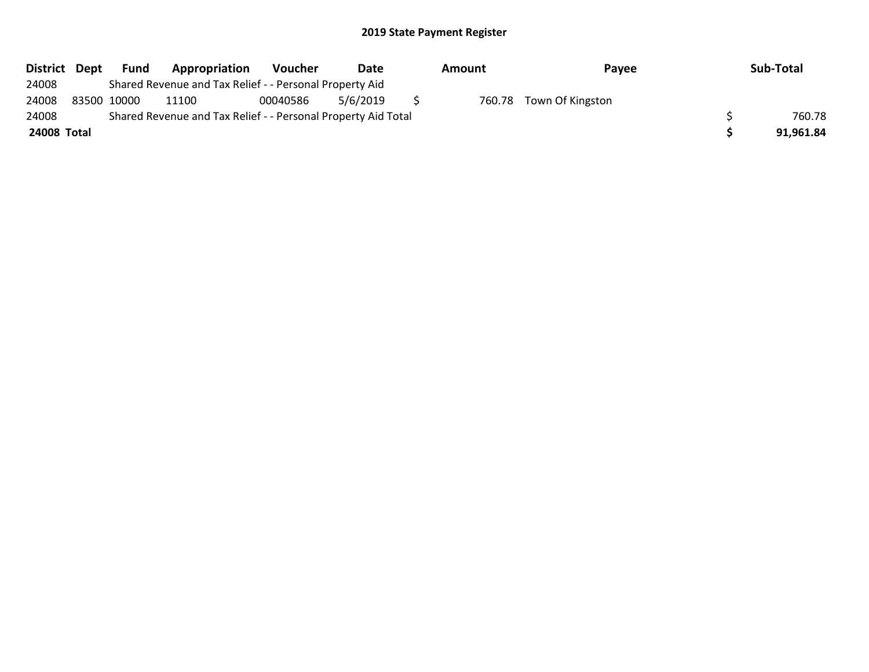| District Dept | Fund        | Appropriation                                                 | Voucher  | Date     | Amount | Payee                   | Sub-Total |
|---------------|-------------|---------------------------------------------------------------|----------|----------|--------|-------------------------|-----------|
| 24008         |             | Shared Revenue and Tax Relief - - Personal Property Aid       |          |          |        |                         |           |
| 24008         | 83500 10000 | 11100                                                         | 00040586 | 5/6/2019 |        | 760.78 Town Of Kingston |           |
| 24008         |             | Shared Revenue and Tax Relief - - Personal Property Aid Total |          |          |        |                         | 760.78    |
| 24008 Total   |             |                                                               |          |          |        |                         | 91.961.84 |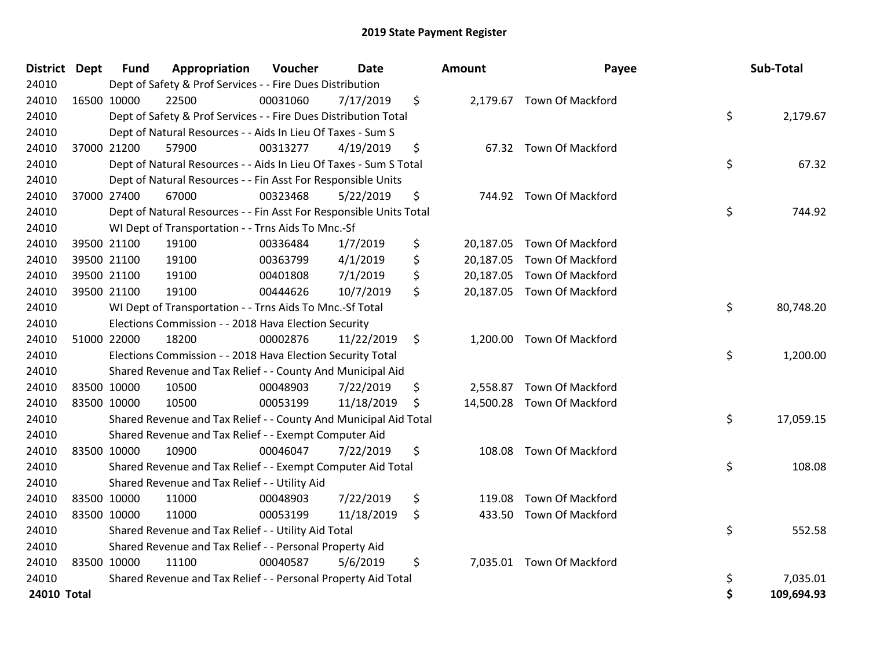| <b>District Dept</b> | <b>Fund</b> | Appropriation                                                      | Voucher  | <b>Date</b> | <b>Amount</b>   | Payee                      |    | Sub-Total  |
|----------------------|-------------|--------------------------------------------------------------------|----------|-------------|-----------------|----------------------------|----|------------|
| 24010                |             | Dept of Safety & Prof Services - - Fire Dues Distribution          |          |             |                 |                            |    |            |
| 24010                | 16500 10000 | 22500                                                              | 00031060 | 7/17/2019   | \$              | 2,179.67 Town Of Mackford  |    |            |
| 24010                |             | Dept of Safety & Prof Services - - Fire Dues Distribution Total    |          |             |                 |                            | \$ | 2,179.67   |
| 24010                |             | Dept of Natural Resources - - Aids In Lieu Of Taxes - Sum S        |          |             |                 |                            |    |            |
| 24010                | 37000 21200 | 57900                                                              | 00313277 | 4/19/2019   | \$              | 67.32 Town Of Mackford     |    |            |
| 24010                |             | Dept of Natural Resources - - Aids In Lieu Of Taxes - Sum S Total  |          |             |                 |                            | \$ | 67.32      |
| 24010                |             | Dept of Natural Resources - - Fin Asst For Responsible Units       |          |             |                 |                            |    |            |
| 24010                | 37000 27400 | 67000                                                              | 00323468 | 5/22/2019   | \$              | 744.92 Town Of Mackford    |    |            |
| 24010                |             | Dept of Natural Resources - - Fin Asst For Responsible Units Total |          |             |                 |                            | \$ | 744.92     |
| 24010                |             | WI Dept of Transportation - - Trns Aids To Mnc.-Sf                 |          |             |                 |                            |    |            |
| 24010                | 39500 21100 | 19100                                                              | 00336484 | 1/7/2019    | \$<br>20,187.05 | <b>Town Of Mackford</b>    |    |            |
| 24010                | 39500 21100 | 19100                                                              | 00363799 | 4/1/2019    | \$<br>20,187.05 | Town Of Mackford           |    |            |
| 24010                | 39500 21100 | 19100                                                              | 00401808 | 7/1/2019    | \$              | 20,187.05 Town Of Mackford |    |            |
| 24010                | 39500 21100 | 19100                                                              | 00444626 | 10/7/2019   | \$              | 20,187.05 Town Of Mackford |    |            |
| 24010                |             | WI Dept of Transportation - - Trns Aids To Mnc.-Sf Total           |          |             |                 |                            | \$ | 80,748.20  |
| 24010                |             | Elections Commission - - 2018 Hava Election Security               |          |             |                 |                            |    |            |
| 24010                | 51000 22000 | 18200                                                              | 00002876 | 11/22/2019  | \$              | 1,200.00 Town Of Mackford  |    |            |
| 24010                |             | Elections Commission - - 2018 Hava Election Security Total         |          |             |                 |                            | \$ | 1,200.00   |
| 24010                |             | Shared Revenue and Tax Relief - - County And Municipal Aid         |          |             |                 |                            |    |            |
| 24010                | 83500 10000 | 10500                                                              | 00048903 | 7/22/2019   | \$              | 2,558.87 Town Of Mackford  |    |            |
| 24010                | 83500 10000 | 10500                                                              | 00053199 | 11/18/2019  | \$              | 14,500.28 Town Of Mackford |    |            |
| 24010                |             | Shared Revenue and Tax Relief - - County And Municipal Aid Total   |          |             |                 |                            | \$ | 17,059.15  |
| 24010                |             | Shared Revenue and Tax Relief - - Exempt Computer Aid              |          |             |                 |                            |    |            |
| 24010                | 83500 10000 | 10900                                                              | 00046047 | 7/22/2019   | \$<br>108.08    | <b>Town Of Mackford</b>    |    |            |
| 24010                |             | Shared Revenue and Tax Relief - - Exempt Computer Aid Total        |          |             |                 |                            | \$ | 108.08     |
| 24010                |             | Shared Revenue and Tax Relief - - Utility Aid                      |          |             |                 |                            |    |            |
| 24010                | 83500 10000 | 11000                                                              | 00048903 | 7/22/2019   | \$<br>119.08    | Town Of Mackford           |    |            |
| 24010                | 83500 10000 | 11000                                                              | 00053199 | 11/18/2019  | \$              | 433.50 Town Of Mackford    |    |            |
| 24010                |             | Shared Revenue and Tax Relief - - Utility Aid Total                |          |             |                 |                            | \$ | 552.58     |
| 24010                |             | Shared Revenue and Tax Relief - - Personal Property Aid            |          |             |                 |                            |    |            |
| 24010                | 83500 10000 | 11100                                                              | 00040587 | 5/6/2019    | \$              | 7,035.01 Town Of Mackford  |    |            |
| 24010                |             | Shared Revenue and Tax Relief - - Personal Property Aid Total      |          |             |                 |                            | \$ | 7,035.01   |
| 24010 Total          |             |                                                                    |          |             |                 |                            | Ś  | 109,694.93 |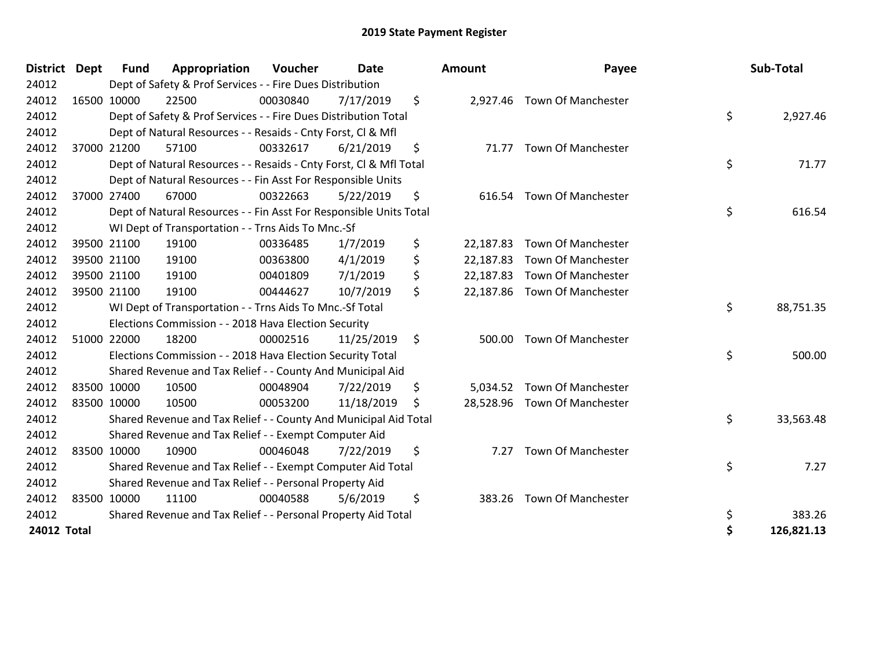| <b>District</b>    | <b>Dept</b> | <b>Fund</b> | Appropriation                                                      | Voucher  | <b>Date</b> |     | Amount    | Payee                        | Sub-Total       |
|--------------------|-------------|-------------|--------------------------------------------------------------------|----------|-------------|-----|-----------|------------------------------|-----------------|
| 24012              |             |             | Dept of Safety & Prof Services - - Fire Dues Distribution          |          |             |     |           |                              |                 |
| 24012              |             | 16500 10000 | 22500                                                              | 00030840 | 7/17/2019   | \$  |           | 2,927.46 Town Of Manchester  |                 |
| 24012              |             |             | Dept of Safety & Prof Services - - Fire Dues Distribution Total    |          |             |     |           |                              | \$<br>2,927.46  |
| 24012              |             |             | Dept of Natural Resources - - Resaids - Cnty Forst, CI & Mfl       |          |             |     |           |                              |                 |
| 24012              |             | 37000 21200 | 57100                                                              | 00332617 | 6/21/2019   | \$  |           | 71.77 Town Of Manchester     |                 |
| 24012              |             |             | Dept of Natural Resources - - Resaids - Cnty Forst, Cl & Mfl Total |          |             |     |           |                              | \$<br>71.77     |
| 24012              |             |             | Dept of Natural Resources - - Fin Asst For Responsible Units       |          |             |     |           |                              |                 |
| 24012              |             | 37000 27400 | 67000                                                              | 00322663 | 5/22/2019   | \$  | 616.54    | <b>Town Of Manchester</b>    |                 |
| 24012              |             |             | Dept of Natural Resources - - Fin Asst For Responsible Units Total |          |             |     |           |                              | \$<br>616.54    |
| 24012              |             |             | WI Dept of Transportation - - Trns Aids To Mnc.-Sf                 |          |             |     |           |                              |                 |
| 24012              |             | 39500 21100 | 19100                                                              | 00336485 | 1/7/2019    | \$  | 22,187.83 | <b>Town Of Manchester</b>    |                 |
| 24012              |             | 39500 21100 | 19100                                                              | 00363800 | 4/1/2019    | \$  | 22,187.83 | <b>Town Of Manchester</b>    |                 |
| 24012              |             | 39500 21100 | 19100                                                              | 00401809 | 7/1/2019    | \$  |           | 22,187.83 Town Of Manchester |                 |
| 24012              |             | 39500 21100 | 19100                                                              | 00444627 | 10/7/2019   | \$  |           | 22,187.86 Town Of Manchester |                 |
| 24012              |             |             | WI Dept of Transportation - - Trns Aids To Mnc.-Sf Total           |          |             |     |           |                              | \$<br>88,751.35 |
| 24012              |             |             | Elections Commission - - 2018 Hava Election Security               |          |             |     |           |                              |                 |
| 24012              |             | 51000 22000 | 18200                                                              | 00002516 | 11/25/2019  | \$  | 500.00    | <b>Town Of Manchester</b>    |                 |
| 24012              |             |             | Elections Commission - - 2018 Hava Election Security Total         |          |             |     |           |                              | \$<br>500.00    |
| 24012              |             |             | Shared Revenue and Tax Relief - - County And Municipal Aid         |          |             |     |           |                              |                 |
| 24012              |             | 83500 10000 | 10500                                                              | 00048904 | 7/22/2019   | \$  |           | 5,034.52 Town Of Manchester  |                 |
| 24012              |             | 83500 10000 | 10500                                                              | 00053200 | 11/18/2019  | \$. |           | 28,528.96 Town Of Manchester |                 |
| 24012              |             |             | Shared Revenue and Tax Relief - - County And Municipal Aid Total   |          |             |     |           |                              | \$<br>33,563.48 |
| 24012              |             |             | Shared Revenue and Tax Relief - - Exempt Computer Aid              |          |             |     |           |                              |                 |
| 24012              |             | 83500 10000 | 10900                                                              | 00046048 | 7/22/2019   | \$  | 7.27      | <b>Town Of Manchester</b>    |                 |
| 24012              |             |             | Shared Revenue and Tax Relief - - Exempt Computer Aid Total        |          |             |     |           |                              | \$<br>7.27      |
| 24012              |             |             | Shared Revenue and Tax Relief - - Personal Property Aid            |          |             |     |           |                              |                 |
| 24012              |             | 83500 10000 | 11100                                                              | 00040588 | 5/6/2019    | \$  | 383.26    | <b>Town Of Manchester</b>    |                 |
| 24012              |             |             | Shared Revenue and Tax Relief - - Personal Property Aid Total      |          |             |     |           |                              | \$<br>383.26    |
| <b>24012 Total</b> |             |             |                                                                    |          |             |     |           |                              | 126,821.13      |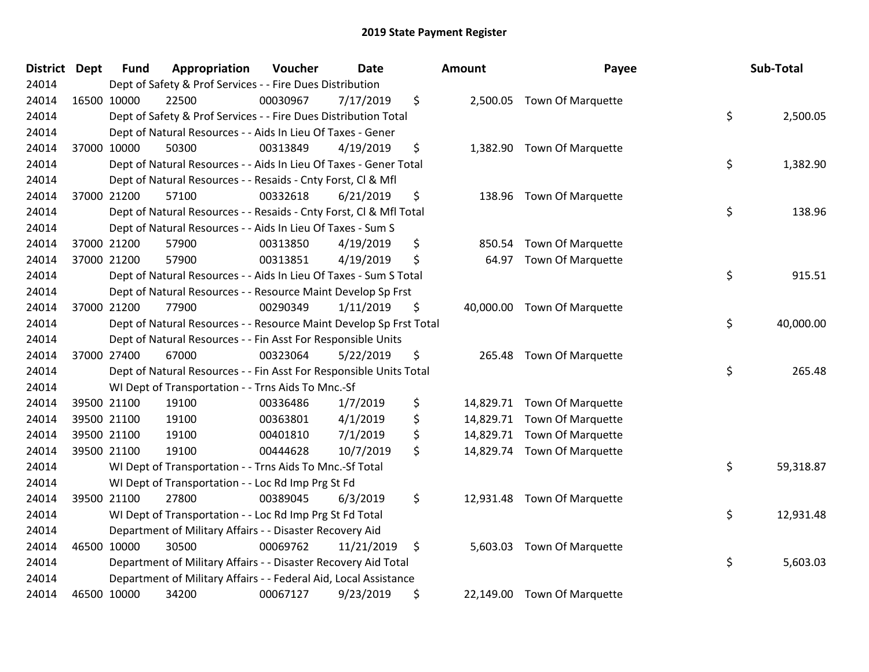| <b>District</b> | <b>Dept</b> | <b>Fund</b> | Appropriation                                                      | Voucher  | <b>Date</b> | Amount          | Payee                       | Sub-Total       |
|-----------------|-------------|-------------|--------------------------------------------------------------------|----------|-------------|-----------------|-----------------------------|-----------------|
| 24014           |             |             | Dept of Safety & Prof Services - - Fire Dues Distribution          |          |             |                 |                             |                 |
| 24014           |             | 16500 10000 | 22500                                                              | 00030967 | 7/17/2019   | \$              | 2,500.05 Town Of Marquette  |                 |
| 24014           |             |             | Dept of Safety & Prof Services - - Fire Dues Distribution Total    |          |             |                 |                             | \$<br>2,500.05  |
| 24014           |             |             | Dept of Natural Resources - - Aids In Lieu Of Taxes - Gener        |          |             |                 |                             |                 |
| 24014           |             | 37000 10000 | 50300                                                              | 00313849 | 4/19/2019   | \$<br>1,382.90  | <b>Town Of Marquette</b>    |                 |
| 24014           |             |             | Dept of Natural Resources - - Aids In Lieu Of Taxes - Gener Total  |          |             |                 |                             | \$<br>1,382.90  |
| 24014           |             |             | Dept of Natural Resources - - Resaids - Cnty Forst, Cl & Mfl       |          |             |                 |                             |                 |
| 24014           |             | 37000 21200 | 57100                                                              | 00332618 | 6/21/2019   | \$<br>138.96    | <b>Town Of Marquette</b>    |                 |
| 24014           |             |             | Dept of Natural Resources - - Resaids - Cnty Forst, Cl & Mfl Total |          |             |                 |                             | \$<br>138.96    |
| 24014           |             |             | Dept of Natural Resources - - Aids In Lieu Of Taxes - Sum S        |          |             |                 |                             |                 |
| 24014           |             | 37000 21200 | 57900                                                              | 00313850 | 4/19/2019   | \$<br>850.54    | <b>Town Of Marquette</b>    |                 |
| 24014           |             | 37000 21200 | 57900                                                              | 00313851 | 4/19/2019   | \$<br>64.97     | Town Of Marquette           |                 |
| 24014           |             |             | Dept of Natural Resources - - Aids In Lieu Of Taxes - Sum S Total  |          |             |                 |                             | \$<br>915.51    |
| 24014           |             |             | Dept of Natural Resources - - Resource Maint Develop Sp Frst       |          |             |                 |                             |                 |
| 24014           |             | 37000 21200 | 77900                                                              | 00290349 | 1/11/2019   | \$<br>40,000.00 | <b>Town Of Marquette</b>    |                 |
| 24014           |             |             | Dept of Natural Resources - - Resource Maint Develop Sp Frst Total |          |             |                 |                             | \$<br>40,000.00 |
| 24014           |             |             | Dept of Natural Resources - - Fin Asst For Responsible Units       |          |             |                 |                             |                 |
| 24014           |             | 37000 27400 | 67000                                                              | 00323064 | 5/22/2019   | \$<br>265.48    | <b>Town Of Marquette</b>    |                 |
| 24014           |             |             | Dept of Natural Resources - - Fin Asst For Responsible Units Total |          |             |                 |                             | \$<br>265.48    |
| 24014           |             |             | WI Dept of Transportation - - Trns Aids To Mnc.-Sf                 |          |             |                 |                             |                 |
| 24014           |             | 39500 21100 | 19100                                                              | 00336486 | 1/7/2019    | \$              | 14,829.71 Town Of Marquette |                 |
| 24014           |             | 39500 21100 | 19100                                                              | 00363801 | 4/1/2019    | \$              | 14,829.71 Town Of Marquette |                 |
| 24014           |             | 39500 21100 | 19100                                                              | 00401810 | 7/1/2019    | \$              | 14,829.71 Town Of Marquette |                 |
| 24014           |             | 39500 21100 | 19100                                                              | 00444628 | 10/7/2019   | \$              | 14,829.74 Town Of Marquette |                 |
| 24014           |             |             | WI Dept of Transportation - - Trns Aids To Mnc.-Sf Total           |          |             |                 |                             | \$<br>59,318.87 |
| 24014           |             |             | WI Dept of Transportation - - Loc Rd Imp Prg St Fd                 |          |             |                 |                             |                 |
| 24014           |             | 39500 21100 | 27800                                                              | 00389045 | 6/3/2019    | \$              | 12,931.48 Town Of Marquette |                 |
| 24014           |             |             | WI Dept of Transportation - - Loc Rd Imp Prg St Fd Total           |          |             |                 |                             | \$<br>12,931.48 |
| 24014           |             |             | Department of Military Affairs - - Disaster Recovery Aid           |          |             |                 |                             |                 |
| 24014           |             | 46500 10000 | 30500                                                              | 00069762 | 11/21/2019  | \$<br>5,603.03  | <b>Town Of Marquette</b>    |                 |
| 24014           |             |             | Department of Military Affairs - - Disaster Recovery Aid Total     |          |             |                 |                             | \$<br>5,603.03  |
| 24014           |             |             | Department of Military Affairs - - Federal Aid, Local Assistance   |          |             |                 |                             |                 |
| 24014           |             | 46500 10000 | 34200                                                              | 00067127 | 9/23/2019   | \$              | 22,149.00 Town Of Marquette |                 |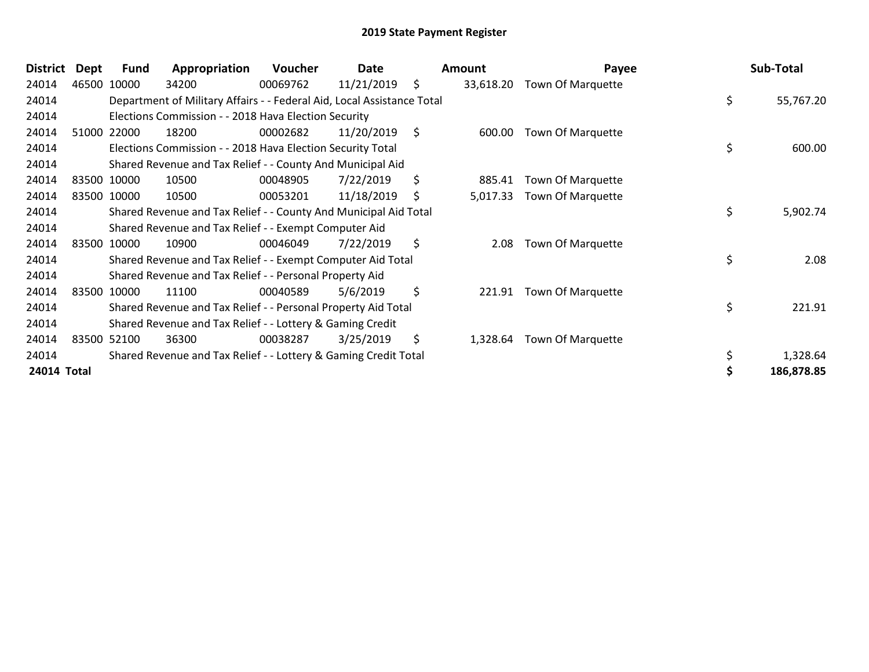| <b>District</b> | Dept | Fund        | Appropriation                                                          | Voucher  | Date       | Amount          | Payee             | Sub-Total       |
|-----------------|------|-------------|------------------------------------------------------------------------|----------|------------|-----------------|-------------------|-----------------|
| 24014           |      | 46500 10000 | 34200                                                                  | 00069762 | 11/21/2019 | \$<br>33,618.20 | Town Of Marquette |                 |
| 24014           |      |             | Department of Military Affairs - - Federal Aid, Local Assistance Total |          |            |                 |                   | \$<br>55,767.20 |
| 24014           |      |             | Elections Commission - - 2018 Hava Election Security                   |          |            |                 |                   |                 |
| 24014           |      | 51000 22000 | 18200                                                                  | 00002682 | 11/20/2019 | \$<br>600.00    | Town Of Marquette |                 |
| 24014           |      |             | Elections Commission - - 2018 Hava Election Security Total             |          |            |                 |                   | \$<br>600.00    |
| 24014           |      |             | Shared Revenue and Tax Relief - - County And Municipal Aid             |          |            |                 |                   |                 |
| 24014           |      | 83500 10000 | 10500                                                                  | 00048905 | 7/22/2019  | \$<br>885.41    | Town Of Marquette |                 |
| 24014           |      | 83500 10000 | 10500                                                                  | 00053201 | 11/18/2019 | \$<br>5,017.33  | Town Of Marquette |                 |
| 24014           |      |             | Shared Revenue and Tax Relief - - County And Municipal Aid Total       |          |            |                 |                   | \$<br>5,902.74  |
| 24014           |      |             | Shared Revenue and Tax Relief - - Exempt Computer Aid                  |          |            |                 |                   |                 |
| 24014           |      | 83500 10000 | 10900                                                                  | 00046049 | 7/22/2019  | \$<br>2.08      | Town Of Marquette |                 |
| 24014           |      |             | Shared Revenue and Tax Relief - - Exempt Computer Aid Total            |          |            |                 |                   | \$<br>2.08      |
| 24014           |      |             | Shared Revenue and Tax Relief - - Personal Property Aid                |          |            |                 |                   |                 |
| 24014           |      | 83500 10000 | 11100                                                                  | 00040589 | 5/6/2019   | \$<br>221.91    | Town Of Marquette |                 |
| 24014           |      |             | Shared Revenue and Tax Relief - - Personal Property Aid Total          |          |            |                 |                   | \$<br>221.91    |
| 24014           |      |             | Shared Revenue and Tax Relief - - Lottery & Gaming Credit              |          |            |                 |                   |                 |
| 24014           |      | 83500 52100 | 36300                                                                  | 00038287 | 3/25/2019  | \$<br>1,328.64  | Town Of Marquette |                 |
| 24014           |      |             | Shared Revenue and Tax Relief - - Lottery & Gaming Credit Total        |          |            |                 |                   | \$<br>1,328.64  |
| 24014 Total     |      |             |                                                                        |          |            |                 |                   | 186,878.85      |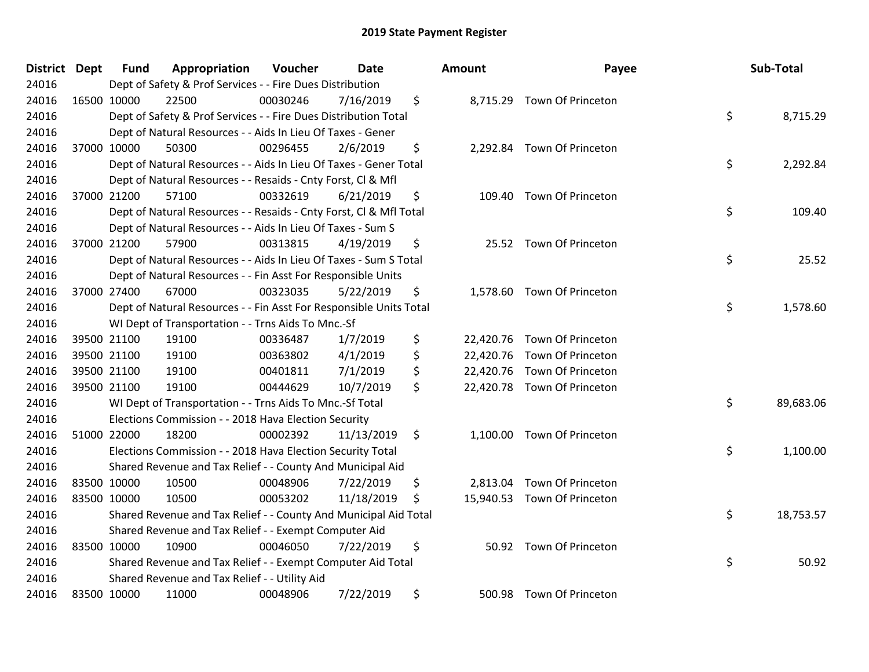| District Dept | <b>Fund</b> | Appropriation                                                      | Voucher  | <b>Date</b> | <b>Amount</b>   | Payee                       | Sub-Total       |
|---------------|-------------|--------------------------------------------------------------------|----------|-------------|-----------------|-----------------------------|-----------------|
| 24016         |             | Dept of Safety & Prof Services - - Fire Dues Distribution          |          |             |                 |                             |                 |
| 24016         | 16500 10000 | 22500                                                              | 00030246 | 7/16/2019   | \$              | 8,715.29 Town Of Princeton  |                 |
| 24016         |             | Dept of Safety & Prof Services - - Fire Dues Distribution Total    |          |             |                 |                             | \$<br>8,715.29  |
| 24016         |             | Dept of Natural Resources - - Aids In Lieu Of Taxes - Gener        |          |             |                 |                             |                 |
| 24016         | 37000 10000 | 50300                                                              | 00296455 | 2/6/2019    | \$              | 2,292.84 Town Of Princeton  |                 |
| 24016         |             | Dept of Natural Resources - - Aids In Lieu Of Taxes - Gener Total  |          |             |                 |                             | \$<br>2,292.84  |
| 24016         |             | Dept of Natural Resources - - Resaids - Cnty Forst, Cl & Mfl       |          |             |                 |                             |                 |
| 24016         | 37000 21200 | 57100                                                              | 00332619 | 6/21/2019   | \$<br>109.40    | Town Of Princeton           |                 |
| 24016         |             | Dept of Natural Resources - - Resaids - Cnty Forst, Cl & Mfl Total |          |             |                 |                             | \$<br>109.40    |
| 24016         |             | Dept of Natural Resources - - Aids In Lieu Of Taxes - Sum S        |          |             |                 |                             |                 |
| 24016         | 37000 21200 | 57900                                                              | 00313815 | 4/19/2019   | \$              | 25.52 Town Of Princeton     |                 |
| 24016         |             | Dept of Natural Resources - - Aids In Lieu Of Taxes - Sum S Total  |          |             |                 |                             | \$<br>25.52     |
| 24016         |             | Dept of Natural Resources - - Fin Asst For Responsible Units       |          |             |                 |                             |                 |
| 24016         | 37000 27400 | 67000                                                              | 00323035 | 5/22/2019   | \$<br>1,578.60  | Town Of Princeton           |                 |
| 24016         |             | Dept of Natural Resources - - Fin Asst For Responsible Units Total |          |             |                 |                             | \$<br>1,578.60  |
| 24016         |             | WI Dept of Transportation - - Trns Aids To Mnc.-Sf                 |          |             |                 |                             |                 |
| 24016         | 39500 21100 | 19100                                                              | 00336487 | 1/7/2019    | \$<br>22,420.76 | Town Of Princeton           |                 |
| 24016         | 39500 21100 | 19100                                                              | 00363802 | 4/1/2019    | \$<br>22,420.76 | Town Of Princeton           |                 |
| 24016         | 39500 21100 | 19100                                                              | 00401811 | 7/1/2019    | \$<br>22,420.76 | Town Of Princeton           |                 |
| 24016         | 39500 21100 | 19100                                                              | 00444629 | 10/7/2019   | \$              | 22,420.78 Town Of Princeton |                 |
| 24016         |             | WI Dept of Transportation - - Trns Aids To Mnc.-Sf Total           |          |             |                 |                             | \$<br>89,683.06 |
| 24016         |             | Elections Commission - - 2018 Hava Election Security               |          |             |                 |                             |                 |
| 24016         | 51000 22000 | 18200                                                              | 00002392 | 11/13/2019  | \$              | 1,100.00 Town Of Princeton  |                 |
| 24016         |             | Elections Commission - - 2018 Hava Election Security Total         |          |             |                 |                             | \$<br>1,100.00  |
| 24016         |             | Shared Revenue and Tax Relief - - County And Municipal Aid         |          |             |                 |                             |                 |
| 24016         | 83500 10000 | 10500                                                              | 00048906 | 7/22/2019   | \$<br>2,813.04  | Town Of Princeton           |                 |
| 24016         | 83500 10000 | 10500                                                              | 00053202 | 11/18/2019  | \$              | 15,940.53 Town Of Princeton |                 |
| 24016         |             | Shared Revenue and Tax Relief - - County And Municipal Aid Total   |          |             |                 |                             | \$<br>18,753.57 |
| 24016         |             | Shared Revenue and Tax Relief - - Exempt Computer Aid              |          |             |                 |                             |                 |
| 24016         | 83500 10000 | 10900                                                              | 00046050 | 7/22/2019   | \$              | 50.92 Town Of Princeton     |                 |
| 24016         |             | Shared Revenue and Tax Relief - - Exempt Computer Aid Total        |          |             |                 |                             | \$<br>50.92     |
| 24016         |             | Shared Revenue and Tax Relief - - Utility Aid                      |          |             |                 |                             |                 |
| 24016         | 83500 10000 | 11000                                                              | 00048906 | 7/22/2019   | \$              | 500.98 Town Of Princeton    |                 |

| unt      | Payee                                                                                  | Sub-Total       |
|----------|----------------------------------------------------------------------------------------|-----------------|
|          | 8,715.29 Town Of Princeton                                                             | \$<br>8,715.29  |
|          | 2,292.84 Town Of Princeton                                                             | \$<br>2,292.84  |
|          | 109.40 Town Of Princeton                                                               | \$<br>109.40    |
|          | 25.52 Town Of Princeton                                                                | \$<br>25.52     |
| 1,578.60 | Town Of Princeton                                                                      | \$<br>1,578.60  |
|          | 2,420.76 Town Of Princeton<br>2,420.76 Town Of Princeton<br>2,420.76 Town Of Princeton |                 |
| 2,420.78 | Town Of Princeton                                                                      | \$<br>89,683.06 |
| 1,100.00 | Town Of Princeton                                                                      | \$<br>1,100.00  |
|          | 2,813.04 Town Of Princeton<br>15,940.53 Town Of Princeton                              | \$<br>18,753.57 |
|          | 50.92 Town Of Princeton                                                                | \$<br>50.92     |
|          | 500.98 Town Of Drincaton                                                               |                 |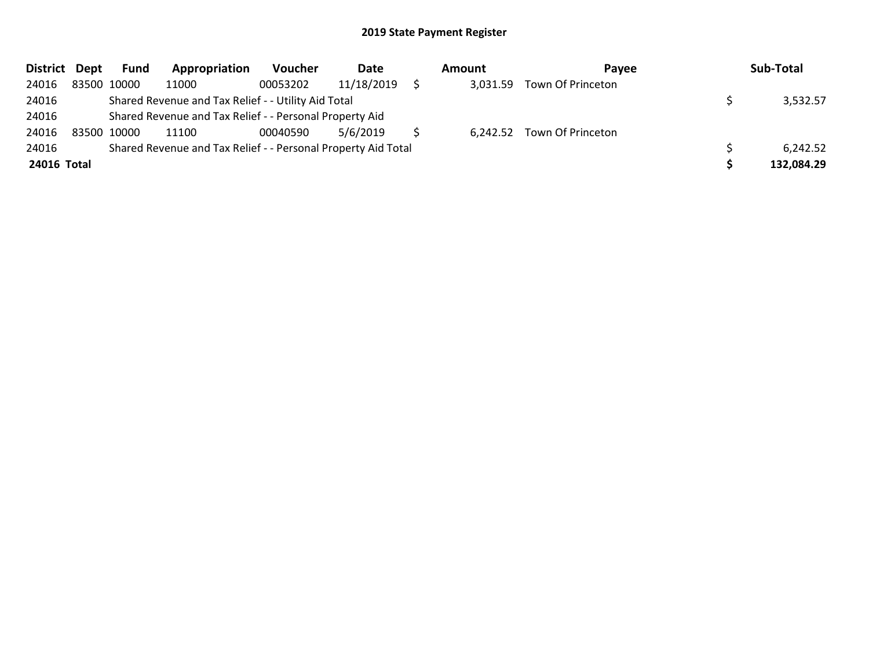| District Dept |             | <b>Fund</b> | Appropriation                                                 | <b>Voucher</b> | Date       | Amount   | <b>Pavee</b>               | Sub-Total  |
|---------------|-------------|-------------|---------------------------------------------------------------|----------------|------------|----------|----------------------------|------------|
| 24016         |             | 83500 10000 | 11000                                                         | 00053202       | 11/18/2019 | 3,031.59 | Town Of Princeton          |            |
| 24016         |             |             | Shared Revenue and Tax Relief - - Utility Aid Total           |                |            |          |                            | 3,532.57   |
| 24016         |             |             | Shared Revenue and Tax Relief - - Personal Property Aid       |                |            |          |                            |            |
| 24016         | 83500 10000 |             | 11100                                                         | 00040590       | 5/6/2019   |          | 6,242.52 Town Of Princeton |            |
| 24016         |             |             | Shared Revenue and Tax Relief - - Personal Property Aid Total |                |            |          |                            | 6,242.52   |
| 24016 Total   |             |             |                                                               |                |            |          |                            | 132,084.29 |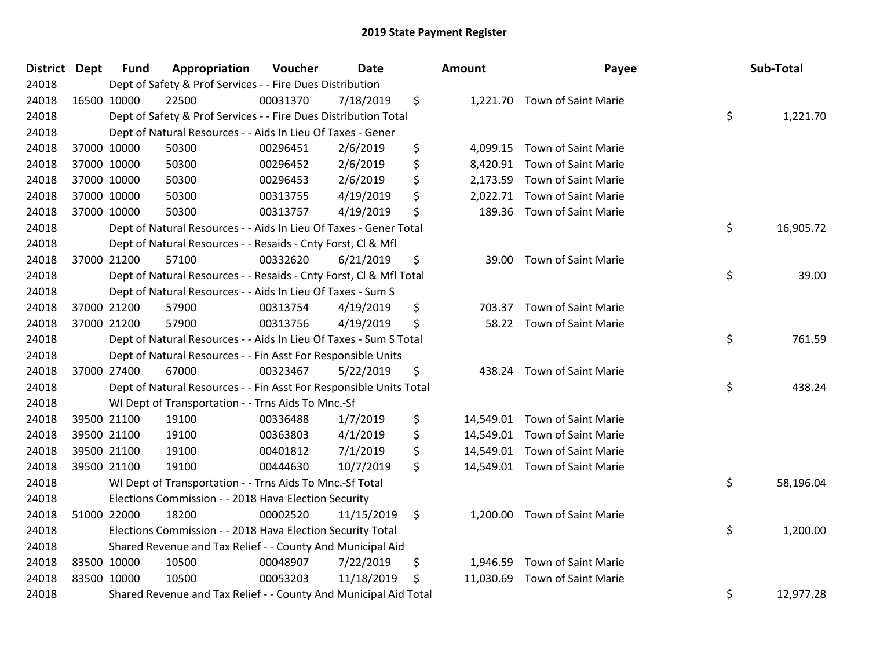| District Dept |             | <b>Fund</b> | Appropriation                                                      | Voucher  | <b>Date</b> | Amount          | Payee                         | Sub-Total       |
|---------------|-------------|-------------|--------------------------------------------------------------------|----------|-------------|-----------------|-------------------------------|-----------------|
| 24018         |             |             | Dept of Safety & Prof Services - - Fire Dues Distribution          |          |             |                 |                               |                 |
| 24018         |             | 16500 10000 | 22500                                                              | 00031370 | 7/18/2019   | \$              | 1,221.70 Town of Saint Marie  |                 |
| 24018         |             |             | Dept of Safety & Prof Services - - Fire Dues Distribution Total    |          |             |                 |                               | \$<br>1,221.70  |
| 24018         |             |             | Dept of Natural Resources - - Aids In Lieu Of Taxes - Gener        |          |             |                 |                               |                 |
| 24018         |             | 37000 10000 | 50300                                                              | 00296451 | 2/6/2019    | \$<br>4,099.15  | Town of Saint Marie           |                 |
| 24018         |             | 37000 10000 | 50300                                                              | 00296452 | 2/6/2019    | \$<br>8,420.91  | <b>Town of Saint Marie</b>    |                 |
| 24018         |             | 37000 10000 | 50300                                                              | 00296453 | 2/6/2019    | \$<br>2,173.59  | Town of Saint Marie           |                 |
| 24018         |             | 37000 10000 | 50300                                                              | 00313755 | 4/19/2019   | \$<br>2,022.71  | <b>Town of Saint Marie</b>    |                 |
| 24018         |             | 37000 10000 | 50300                                                              | 00313757 | 4/19/2019   | \$<br>189.36    | <b>Town of Saint Marie</b>    |                 |
| 24018         |             |             | Dept of Natural Resources - - Aids In Lieu Of Taxes - Gener Total  |          |             |                 |                               | \$<br>16,905.72 |
| 24018         |             |             | Dept of Natural Resources - - Resaids - Cnty Forst, CI & Mfl       |          |             |                 |                               |                 |
| 24018         |             | 37000 21200 | 57100                                                              | 00332620 | 6/21/2019   | \$<br>39.00     | <b>Town of Saint Marie</b>    |                 |
| 24018         |             |             | Dept of Natural Resources - - Resaids - Cnty Forst, Cl & Mfl Total |          |             |                 |                               | \$<br>39.00     |
| 24018         |             |             | Dept of Natural Resources - - Aids In Lieu Of Taxes - Sum S        |          |             |                 |                               |                 |
| 24018         |             | 37000 21200 | 57900                                                              | 00313754 | 4/19/2019   | \$<br>703.37    | Town of Saint Marie           |                 |
| 24018         |             | 37000 21200 | 57900                                                              | 00313756 | 4/19/2019   | \$<br>58.22     | Town of Saint Marie           |                 |
| 24018         |             |             | Dept of Natural Resources - - Aids In Lieu Of Taxes - Sum S Total  |          |             |                 |                               | \$<br>761.59    |
| 24018         |             |             | Dept of Natural Resources - - Fin Asst For Responsible Units       |          |             |                 |                               |                 |
| 24018         |             | 37000 27400 | 67000                                                              | 00323467 | 5/22/2019   | \$              | 438.24 Town of Saint Marie    |                 |
| 24018         |             |             | Dept of Natural Resources - - Fin Asst For Responsible Units Total |          |             |                 |                               | \$<br>438.24    |
| 24018         |             |             | WI Dept of Transportation - - Trns Aids To Mnc.-Sf                 |          |             |                 |                               |                 |
| 24018         |             | 39500 21100 | 19100                                                              | 00336488 | 1/7/2019    | \$              | 14,549.01 Town of Saint Marie |                 |
| 24018         |             | 39500 21100 | 19100                                                              | 00363803 | 4/1/2019    | \$              | 14,549.01 Town of Saint Marie |                 |
| 24018         |             | 39500 21100 | 19100                                                              | 00401812 | 7/1/2019    | \$              | 14,549.01 Town of Saint Marie |                 |
| 24018         |             | 39500 21100 | 19100                                                              | 00444630 | 10/7/2019   | \$              | 14,549.01 Town of Saint Marie |                 |
| 24018         |             |             | WI Dept of Transportation - - Trns Aids To Mnc.-Sf Total           |          |             |                 |                               | \$<br>58,196.04 |
| 24018         |             |             | Elections Commission - - 2018 Hava Election Security               |          |             |                 |                               |                 |
| 24018         |             | 51000 22000 | 18200                                                              | 00002520 | 11/15/2019  | \$              | 1,200.00 Town of Saint Marie  |                 |
| 24018         |             |             | Elections Commission - - 2018 Hava Election Security Total         |          |             |                 |                               | \$<br>1,200.00  |
| 24018         |             |             | Shared Revenue and Tax Relief - - County And Municipal Aid         |          |             |                 |                               |                 |
| 24018         |             | 83500 10000 | 10500                                                              | 00048907 | 7/22/2019   | \$<br>1,946.59  | Town of Saint Marie           |                 |
| 24018         | 83500 10000 |             | 10500                                                              | 00053203 | 11/18/2019  | \$<br>11,030.69 | Town of Saint Marie           |                 |
| 24018         |             |             | Shared Revenue and Tax Relief - - County And Municipal Aid Total   |          |             |                 |                               | \$<br>12,977.28 |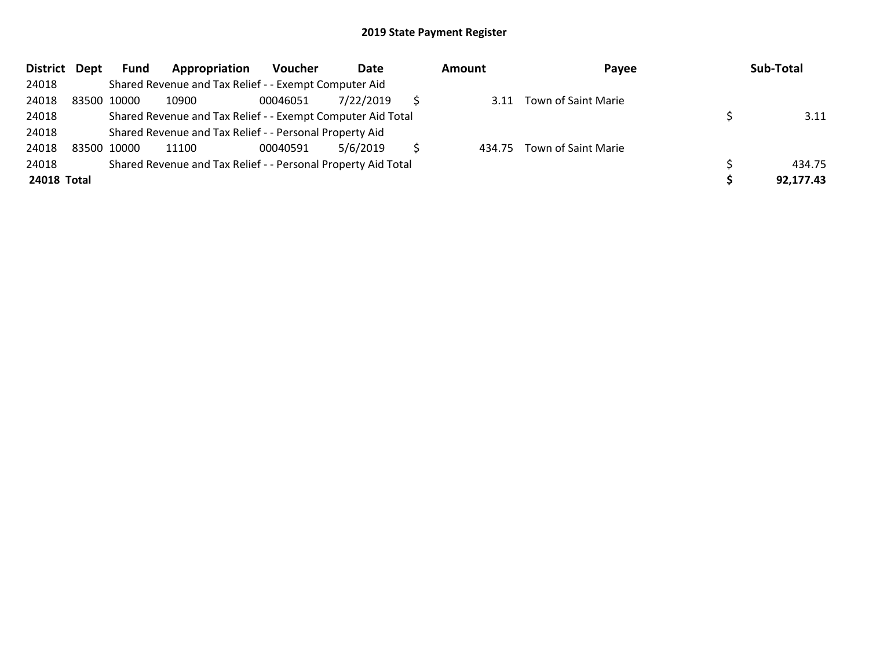| District Dept |             | Fund | Appropriation                                                 | Voucher  | Date      | <b>Amount</b> | Payee                    | Sub-Total |
|---------------|-------------|------|---------------------------------------------------------------|----------|-----------|---------------|--------------------------|-----------|
| 24018         |             |      | Shared Revenue and Tax Relief - - Exempt Computer Aid         |          |           |               |                          |           |
| 24018         | 83500 10000 |      | 10900                                                         | 00046051 | 7/22/2019 |               | 3.11 Town of Saint Marie |           |
| 24018         |             |      | Shared Revenue and Tax Relief - - Exempt Computer Aid Total   |          |           |               |                          | 3.11      |
| 24018         |             |      | Shared Revenue and Tax Relief - - Personal Property Aid       |          |           |               |                          |           |
| 24018         | 83500 10000 |      | 11100                                                         | 00040591 | 5/6/2019  | 434.75        | Town of Saint Marie      |           |
| 24018         |             |      | Shared Revenue and Tax Relief - - Personal Property Aid Total |          |           |               |                          | 434.75    |
| 24018 Total   |             |      |                                                               |          |           |               |                          | 92,177.43 |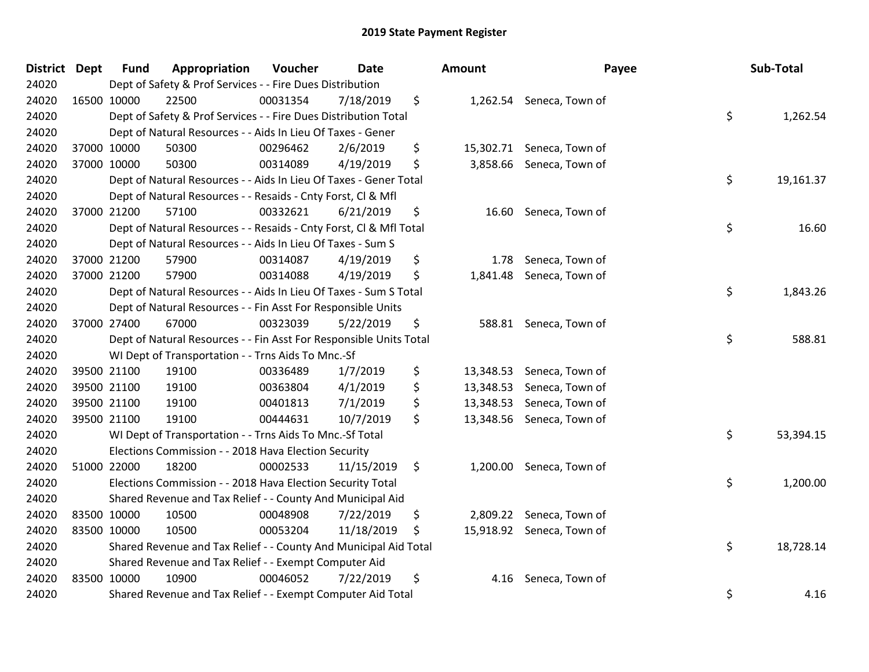| District Dept | <b>Fund</b> | Appropriation                                                      | Voucher  | <b>Date</b> | <b>Amount</b>   | Payee                     | Sub-Total       |
|---------------|-------------|--------------------------------------------------------------------|----------|-------------|-----------------|---------------------------|-----------------|
| 24020         |             | Dept of Safety & Prof Services - - Fire Dues Distribution          |          |             |                 |                           |                 |
| 24020         | 16500 10000 | 22500                                                              | 00031354 | 7/18/2019   | \$              | 1,262.54 Seneca, Town of  |                 |
| 24020         |             | Dept of Safety & Prof Services - - Fire Dues Distribution Total    |          |             |                 |                           | \$<br>1,262.54  |
| 24020         |             | Dept of Natural Resources - - Aids In Lieu Of Taxes - Gener        |          |             |                 |                           |                 |
| 24020         | 37000 10000 | 50300                                                              | 00296462 | 2/6/2019    | \$<br>15,302.71 | Seneca, Town of           |                 |
| 24020         | 37000 10000 | 50300                                                              | 00314089 | 4/19/2019   | \$<br>3,858.66  | Seneca, Town of           |                 |
| 24020         |             | Dept of Natural Resources - - Aids In Lieu Of Taxes - Gener Total  |          |             |                 |                           | \$<br>19,161.37 |
| 24020         |             | Dept of Natural Resources - - Resaids - Cnty Forst, Cl & Mfl       |          |             |                 |                           |                 |
| 24020         | 37000 21200 | 57100                                                              | 00332621 | 6/21/2019   | \$<br>16.60     | Seneca, Town of           |                 |
| 24020         |             | Dept of Natural Resources - - Resaids - Cnty Forst, Cl & Mfl Total |          |             |                 |                           | \$<br>16.60     |
| 24020         |             | Dept of Natural Resources - - Aids In Lieu Of Taxes - Sum S        |          |             |                 |                           |                 |
| 24020         | 37000 21200 | 57900                                                              | 00314087 | 4/19/2019   | \$<br>1.78      | Seneca, Town of           |                 |
| 24020         | 37000 21200 | 57900                                                              | 00314088 | 4/19/2019   | \$<br>1,841.48  | Seneca, Town of           |                 |
| 24020         |             | Dept of Natural Resources - - Aids In Lieu Of Taxes - Sum S Total  |          |             |                 |                           | \$<br>1,843.26  |
| 24020         |             | Dept of Natural Resources - - Fin Asst For Responsible Units       |          |             |                 |                           |                 |
| 24020         | 37000 27400 | 67000                                                              | 00323039 | 5/22/2019   | \$<br>588.81    | Seneca, Town of           |                 |
| 24020         |             | Dept of Natural Resources - - Fin Asst For Responsible Units Total |          |             |                 |                           | \$<br>588.81    |
| 24020         |             | WI Dept of Transportation - - Trns Aids To Mnc.-Sf                 |          |             |                 |                           |                 |
| 24020         | 39500 21100 | 19100                                                              | 00336489 | 1/7/2019    | \$<br>13,348.53 | Seneca, Town of           |                 |
| 24020         | 39500 21100 | 19100                                                              | 00363804 | 4/1/2019    | \$<br>13,348.53 | Seneca, Town of           |                 |
| 24020         | 39500 21100 | 19100                                                              | 00401813 | 7/1/2019    | \$<br>13,348.53 | Seneca, Town of           |                 |
| 24020         | 39500 21100 | 19100                                                              | 00444631 | 10/7/2019   | \$<br>13,348.56 | Seneca, Town of           |                 |
| 24020         |             | WI Dept of Transportation - - Trns Aids To Mnc.-Sf Total           |          |             |                 |                           | \$<br>53,394.15 |
| 24020         |             | Elections Commission - - 2018 Hava Election Security               |          |             |                 |                           |                 |
| 24020         | 51000 22000 | 18200                                                              | 00002533 | 11/15/2019  | \$<br>1,200.00  | Seneca, Town of           |                 |
| 24020         |             | Elections Commission - - 2018 Hava Election Security Total         |          |             |                 |                           | \$<br>1,200.00  |
| 24020         |             | Shared Revenue and Tax Relief - - County And Municipal Aid         |          |             |                 |                           |                 |
| 24020         | 83500 10000 | 10500                                                              | 00048908 | 7/22/2019   | \$<br>2,809.22  | Seneca, Town of           |                 |
| 24020         | 83500 10000 | 10500                                                              | 00053204 | 11/18/2019  | \$              | 15,918.92 Seneca, Town of |                 |
| 24020         |             | Shared Revenue and Tax Relief - - County And Municipal Aid Total   |          |             |                 |                           | \$<br>18,728.14 |
| 24020         |             | Shared Revenue and Tax Relief - - Exempt Computer Aid              |          |             |                 |                           |                 |
| 24020         | 83500 10000 | 10900                                                              | 00046052 | 7/22/2019   | \$<br>4.16      | Seneca, Town of           |                 |
| 24020         |             | Shared Revenue and Tax Relief - - Exempt Computer Aid Total        |          |             |                 |                           | \$<br>4.16      |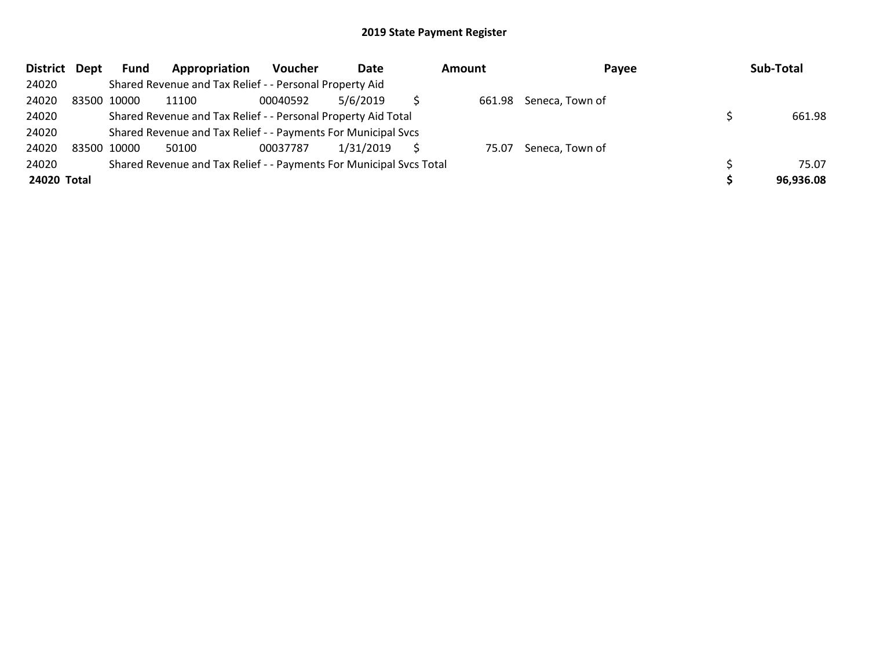| District Dept |             | <b>Fund</b> | Appropriation                                                       | Voucher  | Date      | Amount | Payee           | Sub-Total |
|---------------|-------------|-------------|---------------------------------------------------------------------|----------|-----------|--------|-----------------|-----------|
| 24020         |             |             | Shared Revenue and Tax Relief - - Personal Property Aid             |          |           |        |                 |           |
| 24020         | 83500 10000 |             | 11100                                                               | 00040592 | 5/6/2019  | 661.98 | Seneca, Town of |           |
| 24020         |             |             | Shared Revenue and Tax Relief - - Personal Property Aid Total       |          |           |        |                 | 661.98    |
| 24020         |             |             | Shared Revenue and Tax Relief - - Payments For Municipal Svcs       |          |           |        |                 |           |
| 24020         | 83500 10000 |             | 50100                                                               | 00037787 | 1/31/2019 | 75.07  | Seneca, Town of |           |
| 24020         |             |             | Shared Revenue and Tax Relief - - Payments For Municipal Svcs Total |          |           |        |                 | 75.07     |
| 24020 Total   |             |             |                                                                     |          |           |        |                 | 96,936.08 |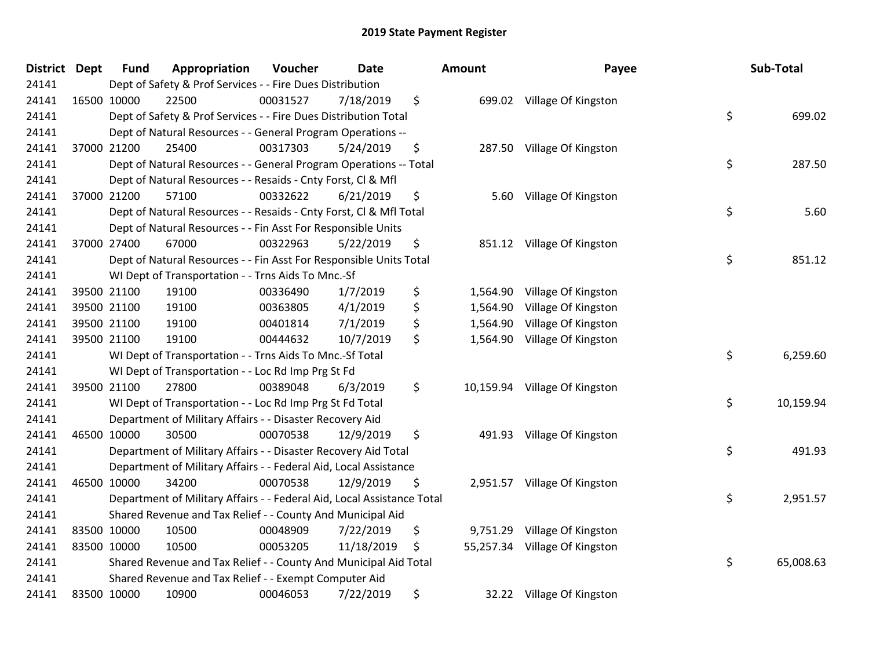| <b>District Dept</b> | <b>Fund</b> | Appropriation                                                          | Voucher  | <b>Date</b> |     | Amount    | Payee                         | Sub-Total       |
|----------------------|-------------|------------------------------------------------------------------------|----------|-------------|-----|-----------|-------------------------------|-----------------|
| 24141                |             | Dept of Safety & Prof Services - - Fire Dues Distribution              |          |             |     |           |                               |                 |
| 24141                | 16500 10000 | 22500                                                                  | 00031527 | 7/18/2019   | \$  |           | 699.02 Village Of Kingston    |                 |
| 24141                |             | Dept of Safety & Prof Services - - Fire Dues Distribution Total        |          |             |     |           |                               | \$<br>699.02    |
| 24141                |             | Dept of Natural Resources - - General Program Operations --            |          |             |     |           |                               |                 |
| 24141                | 37000 21200 | 25400                                                                  | 00317303 | 5/24/2019   | \$  | 287.50    | Village Of Kingston           |                 |
| 24141                |             | Dept of Natural Resources - - General Program Operations -- Total      |          |             |     |           |                               | \$<br>287.50    |
| 24141                |             | Dept of Natural Resources - - Resaids - Cnty Forst, Cl & Mfl           |          |             |     |           |                               |                 |
| 24141                | 37000 21200 | 57100                                                                  | 00332622 | 6/21/2019   | \$  | 5.60      | Village Of Kingston           |                 |
| 24141                |             | Dept of Natural Resources - - Resaids - Cnty Forst, Cl & Mfl Total     |          |             |     |           |                               | \$<br>5.60      |
| 24141                |             | Dept of Natural Resources - - Fin Asst For Responsible Units           |          |             |     |           |                               |                 |
| 24141                | 37000 27400 | 67000                                                                  | 00322963 | 5/22/2019   | \$  |           | 851.12 Village Of Kingston    |                 |
| 24141                |             | Dept of Natural Resources - - Fin Asst For Responsible Units Total     |          |             |     |           |                               | \$<br>851.12    |
| 24141                |             | WI Dept of Transportation - - Trns Aids To Mnc.-Sf                     |          |             |     |           |                               |                 |
| 24141                | 39500 21100 | 19100                                                                  | 00336490 | 1/7/2019    | \$  | 1,564.90  | Village Of Kingston           |                 |
| 24141                | 39500 21100 | 19100                                                                  | 00363805 | 4/1/2019    | \$  | 1,564.90  | Village Of Kingston           |                 |
| 24141                | 39500 21100 | 19100                                                                  | 00401814 | 7/1/2019    | \$  | 1,564.90  | Village Of Kingston           |                 |
| 24141                | 39500 21100 | 19100                                                                  | 00444632 | 10/7/2019   | \$. | 1,564.90  | Village Of Kingston           |                 |
| 24141                |             | WI Dept of Transportation - - Trns Aids To Mnc.-Sf Total               |          |             |     |           |                               | \$<br>6,259.60  |
| 24141                |             | WI Dept of Transportation - - Loc Rd Imp Prg St Fd                     |          |             |     |           |                               |                 |
| 24141                | 39500 21100 | 27800                                                                  | 00389048 | 6/3/2019    | \$  |           | 10,159.94 Village Of Kingston |                 |
| 24141                |             | WI Dept of Transportation - - Loc Rd Imp Prg St Fd Total               |          |             |     |           |                               | \$<br>10,159.94 |
| 24141                |             | Department of Military Affairs - - Disaster Recovery Aid               |          |             |     |           |                               |                 |
| 24141                | 46500 10000 | 30500                                                                  | 00070538 | 12/9/2019   | \$  |           | 491.93 Village Of Kingston    |                 |
| 24141                |             | Department of Military Affairs - - Disaster Recovery Aid Total         |          |             |     |           |                               | \$<br>491.93    |
| 24141                |             | Department of Military Affairs - - Federal Aid, Local Assistance       |          |             |     |           |                               |                 |
| 24141                | 46500 10000 | 34200                                                                  | 00070538 | 12/9/2019   | \$  |           | 2,951.57 Village Of Kingston  |                 |
| 24141                |             | Department of Military Affairs - - Federal Aid, Local Assistance Total |          |             |     |           |                               | \$<br>2,951.57  |
| 24141                |             | Shared Revenue and Tax Relief - - County And Municipal Aid             |          |             |     |           |                               |                 |
| 24141                | 83500 10000 | 10500                                                                  | 00048909 | 7/22/2019   | \$  |           | 9,751.29 Village Of Kingston  |                 |
| 24141                | 83500 10000 | 10500                                                                  | 00053205 | 11/18/2019  | \$. | 55,257.34 | Village Of Kingston           |                 |
| 24141                |             | Shared Revenue and Tax Relief - - County And Municipal Aid Total       |          |             |     |           |                               | \$<br>65,008.63 |
| 24141                |             | Shared Revenue and Tax Relief - - Exempt Computer Aid                  |          |             |     |           |                               |                 |
| 24141                | 83500 10000 | 10900                                                                  | 00046053 | 7/22/2019   | \$  |           | 32.22 Village Of Kingston     |                 |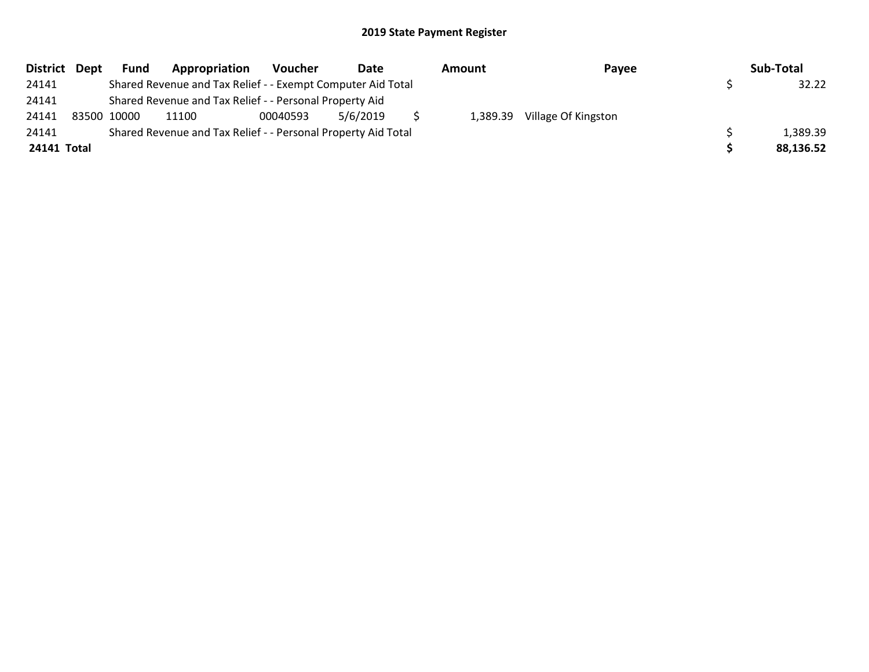|             | District Dept | <b>Fund</b> | Appropriation                                                 | <b>Voucher</b> | Date     | Amount   | Payee               | Sub-Total |
|-------------|---------------|-------------|---------------------------------------------------------------|----------------|----------|----------|---------------------|-----------|
| 24141       |               |             | Shared Revenue and Tax Relief - - Exempt Computer Aid Total   |                |          |          |                     | 32.22     |
| 24141       |               |             | Shared Revenue and Tax Relief - - Personal Property Aid       |                |          |          |                     |           |
| 24141       |               | 83500 10000 | 11100                                                         | 00040593       | 5/6/2019 | 1,389.39 | Village Of Kingston |           |
| 24141       |               |             | Shared Revenue and Tax Relief - - Personal Property Aid Total |                |          |          |                     | 1,389.39  |
| 24141 Total |               |             |                                                               |                |          |          |                     | 88,136.52 |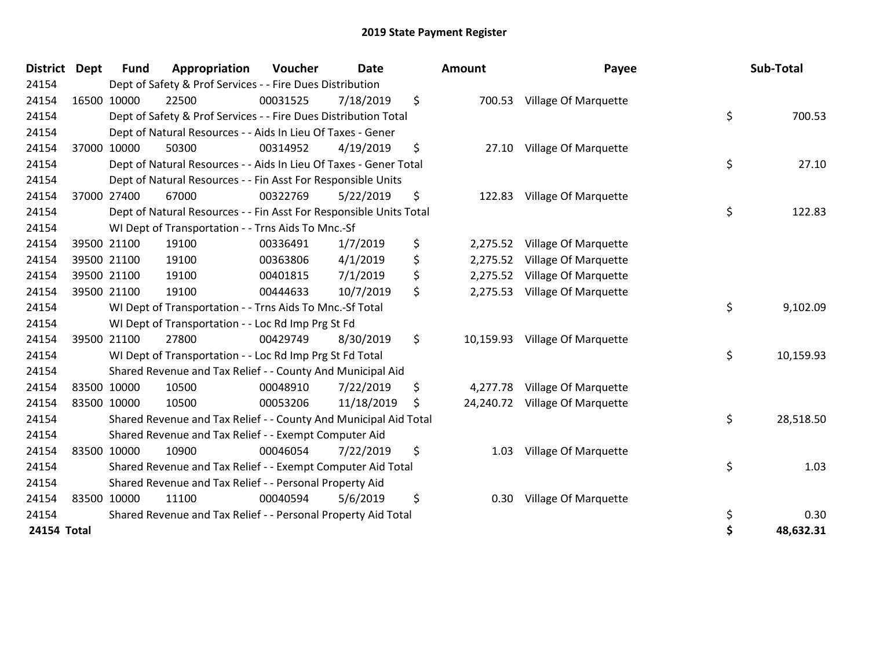| <b>District</b> | Dept | <b>Fund</b> | Appropriation                                                      | Voucher  | <b>Date</b> | <b>Amount</b>  | Payee                          | Sub-Total       |
|-----------------|------|-------------|--------------------------------------------------------------------|----------|-------------|----------------|--------------------------------|-----------------|
| 24154           |      |             | Dept of Safety & Prof Services - - Fire Dues Distribution          |          |             |                |                                |                 |
| 24154           |      | 16500 10000 | 22500                                                              | 00031525 | 7/18/2019   | \$             | 700.53 Village Of Marquette    |                 |
| 24154           |      |             | Dept of Safety & Prof Services - - Fire Dues Distribution Total    |          |             |                |                                | \$<br>700.53    |
| 24154           |      |             | Dept of Natural Resources - - Aids In Lieu Of Taxes - Gener        |          |             |                |                                |                 |
| 24154           |      | 37000 10000 | 50300                                                              | 00314952 | 4/19/2019   | \$<br>27.10    | <b>Village Of Marquette</b>    |                 |
| 24154           |      |             | Dept of Natural Resources - - Aids In Lieu Of Taxes - Gener Total  |          |             |                |                                | \$<br>27.10     |
| 24154           |      |             | Dept of Natural Resources - - Fin Asst For Responsible Units       |          |             |                |                                |                 |
| 24154           |      | 37000 27400 | 67000                                                              | 00322769 | 5/22/2019   | \$<br>122.83   | Village Of Marquette           |                 |
| 24154           |      |             | Dept of Natural Resources - - Fin Asst For Responsible Units Total |          |             |                |                                | \$<br>122.83    |
| 24154           |      |             | WI Dept of Transportation - - Trns Aids To Mnc.-Sf                 |          |             |                |                                |                 |
| 24154           |      | 39500 21100 | 19100                                                              | 00336491 | 1/7/2019    | \$<br>2,275.52 | Village Of Marquette           |                 |
| 24154           |      | 39500 21100 | 19100                                                              | 00363806 | 4/1/2019    | \$<br>2,275.52 | Village Of Marquette           |                 |
| 24154           |      | 39500 21100 | 19100                                                              | 00401815 | 7/1/2019    | \$<br>2,275.52 | Village Of Marquette           |                 |
| 24154           |      | 39500 21100 | 19100                                                              | 00444633 | 10/7/2019   | \$<br>2,275.53 | Village Of Marquette           |                 |
| 24154           |      |             | WI Dept of Transportation - - Trns Aids To Mnc.-Sf Total           |          |             |                |                                | \$<br>9,102.09  |
| 24154           |      |             | WI Dept of Transportation - - Loc Rd Imp Prg St Fd                 |          |             |                |                                |                 |
| 24154           |      | 39500 21100 | 27800                                                              | 00429749 | 8/30/2019   | \$             | 10,159.93 Village Of Marquette |                 |
| 24154           |      |             | WI Dept of Transportation - - Loc Rd Imp Prg St Fd Total           |          |             |                |                                | \$<br>10,159.93 |
| 24154           |      |             | Shared Revenue and Tax Relief - - County And Municipal Aid         |          |             |                |                                |                 |
| 24154           |      | 83500 10000 | 10500                                                              | 00048910 | 7/22/2019   | \$<br>4,277.78 | Village Of Marquette           |                 |
| 24154           |      | 83500 10000 | 10500                                                              | 00053206 | 11/18/2019  | \$             | 24,240.72 Village Of Marquette |                 |
| 24154           |      |             | Shared Revenue and Tax Relief - - County And Municipal Aid Total   |          |             |                |                                | \$<br>28,518.50 |
| 24154           |      |             | Shared Revenue and Tax Relief - - Exempt Computer Aid              |          |             |                |                                |                 |
| 24154           |      | 83500 10000 | 10900                                                              | 00046054 | 7/22/2019   | \$<br>1.03     | Village Of Marquette           |                 |
| 24154           |      |             | Shared Revenue and Tax Relief - - Exempt Computer Aid Total        |          |             |                |                                | \$<br>1.03      |
| 24154           |      |             | Shared Revenue and Tax Relief - - Personal Property Aid            |          |             |                |                                |                 |
| 24154           |      | 83500 10000 | 11100                                                              | 00040594 | 5/6/2019    | \$<br>0.30     | <b>Village Of Marquette</b>    |                 |
| 24154           |      |             | Shared Revenue and Tax Relief - - Personal Property Aid Total      |          |             |                |                                | \$<br>0.30      |
| 24154 Total     |      |             |                                                                    |          |             |                |                                | \$<br>48,632.31 |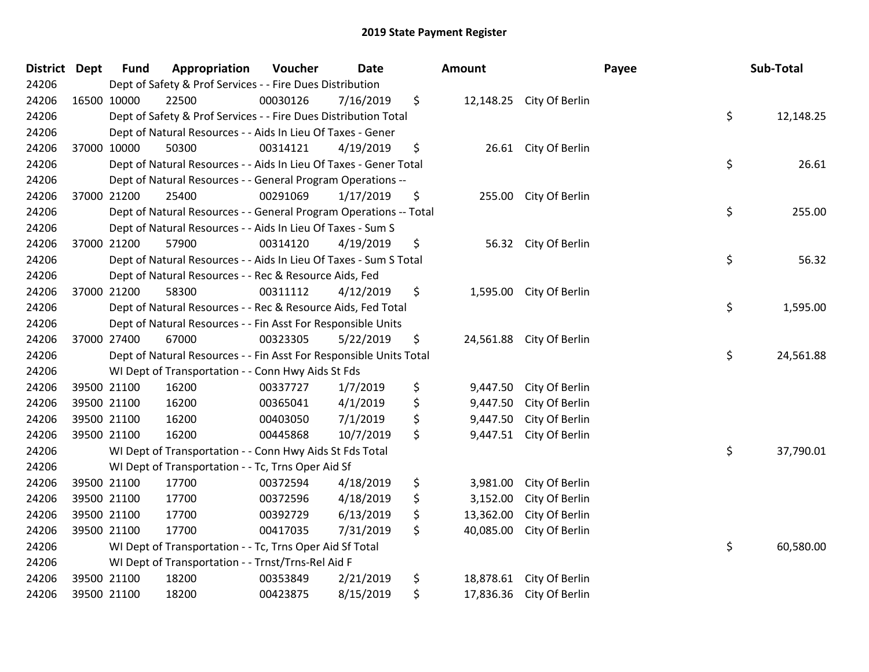| District Dept |             | <b>Fund</b> | Appropriation                                                      | Voucher  | <b>Date</b> | Amount          |                          | Payee | Sub-Total |
|---------------|-------------|-------------|--------------------------------------------------------------------|----------|-------------|-----------------|--------------------------|-------|-----------|
| 24206         |             |             | Dept of Safety & Prof Services - - Fire Dues Distribution          |          |             |                 |                          |       |           |
| 24206         | 16500 10000 |             | 22500                                                              | 00030126 | 7/16/2019   | \$              | 12,148.25 City Of Berlin |       |           |
| 24206         |             |             | Dept of Safety & Prof Services - - Fire Dues Distribution Total    |          |             |                 |                          | \$    | 12,148.25 |
| 24206         |             |             | Dept of Natural Resources - - Aids In Lieu Of Taxes - Gener        |          |             |                 |                          |       |           |
| 24206         |             | 37000 10000 | 50300                                                              | 00314121 | 4/19/2019   | \$<br>26.61     | City Of Berlin           |       |           |
| 24206         |             |             | Dept of Natural Resources - - Aids In Lieu Of Taxes - Gener Total  |          |             |                 |                          | \$    | 26.61     |
| 24206         |             |             | Dept of Natural Resources - - General Program Operations --        |          |             |                 |                          |       |           |
| 24206         |             | 37000 21200 | 25400                                                              | 00291069 | 1/17/2019   | \$<br>255.00    | City Of Berlin           |       |           |
| 24206         |             |             | Dept of Natural Resources - - General Program Operations -- Total  |          |             |                 |                          | \$    | 255.00    |
| 24206         |             |             | Dept of Natural Resources - - Aids In Lieu Of Taxes - Sum S        |          |             |                 |                          |       |           |
| 24206         |             | 37000 21200 | 57900                                                              | 00314120 | 4/19/2019   | \$<br>56.32     | City Of Berlin           |       |           |
| 24206         |             |             | Dept of Natural Resources - - Aids In Lieu Of Taxes - Sum S Total  |          |             |                 |                          | \$    | 56.32     |
| 24206         |             |             | Dept of Natural Resources - - Rec & Resource Aids, Fed             |          |             |                 |                          |       |           |
| 24206         |             | 37000 21200 | 58300                                                              | 00311112 | 4/12/2019   | \$<br>1,595.00  | City Of Berlin           |       |           |
| 24206         |             |             | Dept of Natural Resources - - Rec & Resource Aids, Fed Total       |          |             |                 |                          | \$    | 1,595.00  |
| 24206         |             |             | Dept of Natural Resources - - Fin Asst For Responsible Units       |          |             |                 |                          |       |           |
| 24206         |             | 37000 27400 | 67000                                                              | 00323305 | 5/22/2019   | \$<br>24,561.88 | City Of Berlin           |       |           |
| 24206         |             |             | Dept of Natural Resources - - Fin Asst For Responsible Units Total |          |             |                 |                          | \$    | 24,561.88 |
| 24206         |             |             | WI Dept of Transportation - - Conn Hwy Aids St Fds                 |          |             |                 |                          |       |           |
| 24206         |             | 39500 21100 | 16200                                                              | 00337727 | 1/7/2019    | \$<br>9,447.50  | City Of Berlin           |       |           |
| 24206         |             | 39500 21100 | 16200                                                              | 00365041 | 4/1/2019    | \$<br>9,447.50  | City Of Berlin           |       |           |
| 24206         |             | 39500 21100 | 16200                                                              | 00403050 | 7/1/2019    | \$<br>9,447.50  | City Of Berlin           |       |           |
| 24206         | 39500 21100 |             | 16200                                                              | 00445868 | 10/7/2019   | \$<br>9,447.51  | City Of Berlin           |       |           |
| 24206         |             |             | WI Dept of Transportation - - Conn Hwy Aids St Fds Total           |          |             |                 |                          | \$    | 37,790.01 |
| 24206         |             |             | WI Dept of Transportation - - Tc, Trns Oper Aid Sf                 |          |             |                 |                          |       |           |
| 24206         |             | 39500 21100 | 17700                                                              | 00372594 | 4/18/2019   | \$<br>3,981.00  | City Of Berlin           |       |           |
| 24206         |             | 39500 21100 | 17700                                                              | 00372596 | 4/18/2019   | \$<br>3,152.00  | City Of Berlin           |       |           |
| 24206         |             | 39500 21100 | 17700                                                              | 00392729 | 6/13/2019   | \$<br>13,362.00 | City Of Berlin           |       |           |
| 24206         |             | 39500 21100 | 17700                                                              | 00417035 | 7/31/2019   | \$<br>40,085.00 | City Of Berlin           |       |           |
| 24206         |             |             | WI Dept of Transportation - - Tc, Trns Oper Aid Sf Total           |          |             |                 |                          | \$    | 60,580.00 |
| 24206         |             |             | WI Dept of Transportation - - Trnst/Trns-Rel Aid F                 |          |             |                 |                          |       |           |
| 24206         |             | 39500 21100 | 18200                                                              | 00353849 | 2/21/2019   | \$<br>18,878.61 | City Of Berlin           |       |           |
| 24206         |             | 39500 21100 | 18200                                                              | 00423875 | 8/15/2019   | \$<br>17,836.36 | City Of Berlin           |       |           |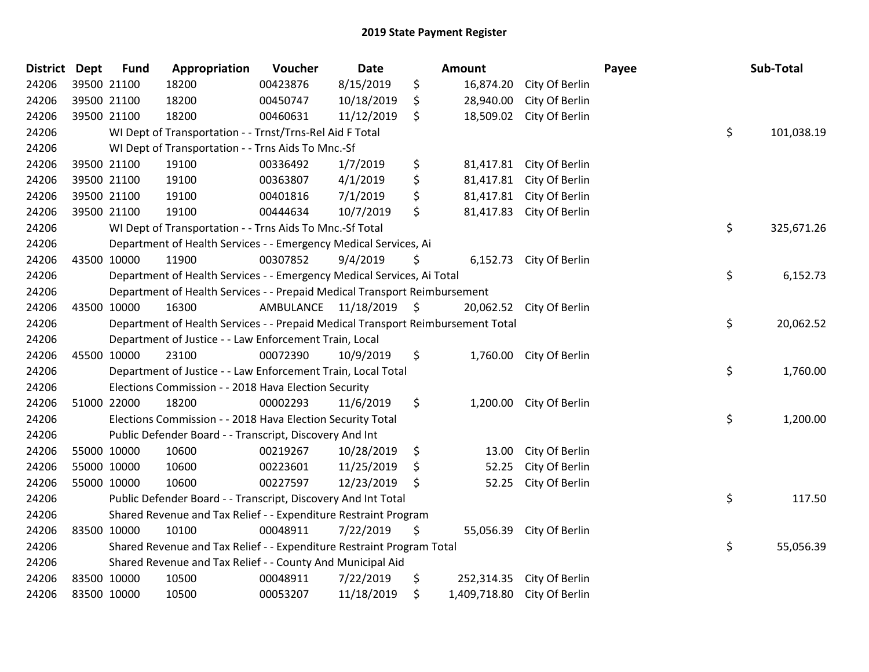| <b>District Dept</b> | <b>Fund</b> | Appropriation                                                                   | Voucher   | Date          |    | Amount                      |                           | Payee | Sub-Total  |
|----------------------|-------------|---------------------------------------------------------------------------------|-----------|---------------|----|-----------------------------|---------------------------|-------|------------|
| 24206                | 39500 21100 | 18200                                                                           | 00423876  | 8/15/2019     | \$ | 16,874.20                   | City Of Berlin            |       |            |
| 24206                | 39500 21100 | 18200                                                                           | 00450747  | 10/18/2019    | \$ | 28,940.00                   | City Of Berlin            |       |            |
| 24206                | 39500 21100 | 18200                                                                           | 00460631  | 11/12/2019    | \$ |                             | 18,509.02 City Of Berlin  |       |            |
| 24206                |             | WI Dept of Transportation - - Trnst/Trns-Rel Aid F Total                        |           |               |    |                             |                           | \$    | 101,038.19 |
| 24206                |             | WI Dept of Transportation - - Trns Aids To Mnc.-Sf                              |           |               |    |                             |                           |       |            |
| 24206                | 39500 21100 | 19100                                                                           | 00336492  | 1/7/2019      | \$ | 81,417.81                   | City Of Berlin            |       |            |
| 24206                | 39500 21100 | 19100                                                                           | 00363807  | 4/1/2019      | \$ |                             | 81,417.81 City Of Berlin  |       |            |
| 24206                | 39500 21100 | 19100                                                                           | 00401816  | 7/1/2019      | \$ |                             | 81,417.81 City Of Berlin  |       |            |
| 24206                | 39500 21100 | 19100                                                                           | 00444634  | 10/7/2019     | \$ | 81,417.83                   | City Of Berlin            |       |            |
| 24206                |             | WI Dept of Transportation - - Trns Aids To Mnc.-Sf Total                        |           |               |    |                             |                           | \$    | 325,671.26 |
| 24206                |             | Department of Health Services - - Emergency Medical Services, Ai                |           |               |    |                             |                           |       |            |
| 24206                | 43500 10000 | 11900                                                                           | 00307852  | 9/4/2019      | Ş  |                             | 6,152.73 City Of Berlin   |       |            |
| 24206                |             | Department of Health Services - - Emergency Medical Services, Ai Total          |           |               |    |                             |                           | \$    | 6,152.73   |
| 24206                |             | Department of Health Services - - Prepaid Medical Transport Reimbursement       |           |               |    |                             |                           |       |            |
| 24206                | 43500 10000 | 16300                                                                           | AMBULANCE | 11/18/2019 \$ |    |                             | 20,062.52 City Of Berlin  |       |            |
| 24206                |             | Department of Health Services - - Prepaid Medical Transport Reimbursement Total |           |               |    |                             |                           | \$    | 20,062.52  |
| 24206                |             | Department of Justice - - Law Enforcement Train, Local                          |           |               |    |                             |                           |       |            |
| 24206                | 45500 10000 | 23100                                                                           | 00072390  | 10/9/2019     | \$ |                             | 1,760.00 City Of Berlin   |       |            |
| 24206                |             | Department of Justice - - Law Enforcement Train, Local Total                    |           |               |    |                             |                           | \$    | 1,760.00   |
| 24206                |             | Elections Commission - - 2018 Hava Election Security                            |           |               |    |                             |                           |       |            |
| 24206                | 51000 22000 | 18200                                                                           | 00002293  | 11/6/2019     | \$ |                             | 1,200.00 City Of Berlin   |       |            |
| 24206                |             | Elections Commission - - 2018 Hava Election Security Total                      |           |               |    |                             |                           | \$    | 1,200.00   |
| 24206                |             | Public Defender Board - - Transcript, Discovery And Int                         |           |               |    |                             |                           |       |            |
| 24206                | 55000 10000 | 10600                                                                           | 00219267  | 10/28/2019    | \$ | 13.00                       | City Of Berlin            |       |            |
| 24206                | 55000 10000 | 10600                                                                           | 00223601  | 11/25/2019    | \$ | 52.25                       | City Of Berlin            |       |            |
| 24206                | 55000 10000 | 10600                                                                           | 00227597  | 12/23/2019    | \$ | 52.25                       | City Of Berlin            |       |            |
| 24206                |             | Public Defender Board - - Transcript, Discovery And Int Total                   |           |               |    |                             |                           | \$    | 117.50     |
| 24206                |             | Shared Revenue and Tax Relief - - Expenditure Restraint Program                 |           |               |    |                             |                           |       |            |
| 24206                | 83500 10000 | 10100                                                                           | 00048911  | 7/22/2019     | \$ |                             | 55,056.39 City Of Berlin  |       |            |
| 24206                |             | Shared Revenue and Tax Relief - - Expenditure Restraint Program Total           |           |               |    |                             |                           | \$    | 55,056.39  |
| 24206                |             | Shared Revenue and Tax Relief - - County And Municipal Aid                      |           |               |    |                             |                           |       |            |
| 24206                | 83500 10000 | 10500                                                                           | 00048911  | 7/22/2019     | \$ |                             | 252,314.35 City Of Berlin |       |            |
| 24206                | 83500 10000 | 10500                                                                           | 00053207  | 11/18/2019    | \$ | 1,409,718.80 City Of Berlin |                           |       |            |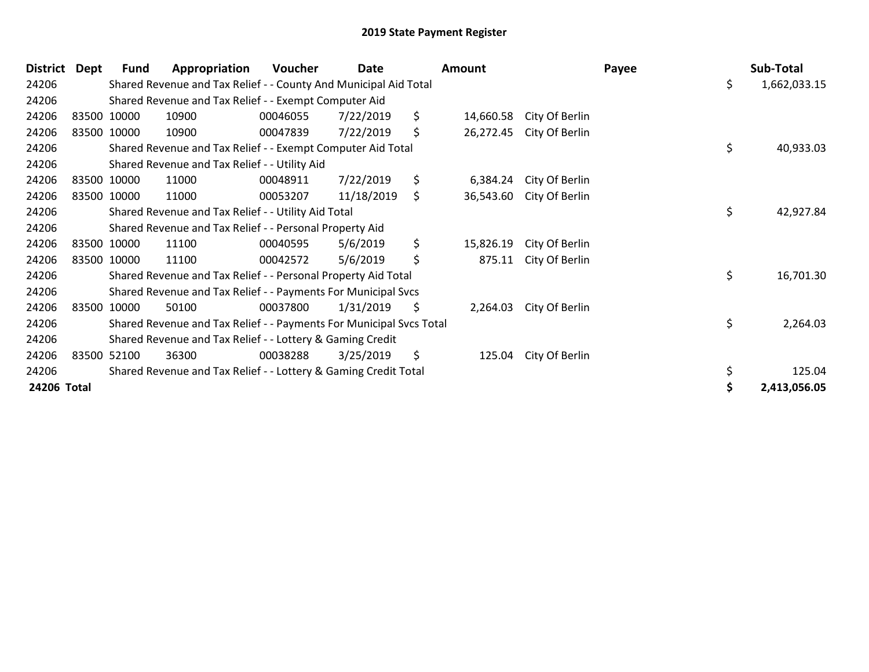| <b>District</b> | Dept        | Fund | Appropriation                                                       | Voucher  | Date       | Amount          |                | Payee | Sub-Total          |
|-----------------|-------------|------|---------------------------------------------------------------------|----------|------------|-----------------|----------------|-------|--------------------|
| 24206           |             |      | Shared Revenue and Tax Relief - - County And Municipal Aid Total    |          |            |                 |                |       | \$<br>1,662,033.15 |
| 24206           |             |      | Shared Revenue and Tax Relief - - Exempt Computer Aid               |          |            |                 |                |       |                    |
| 24206           | 83500 10000 |      | 10900                                                               | 00046055 | 7/22/2019  | \$<br>14,660.58 | City Of Berlin |       |                    |
| 24206           | 83500 10000 |      | 10900                                                               | 00047839 | 7/22/2019  | \$<br>26,272.45 | City Of Berlin |       |                    |
| 24206           |             |      | Shared Revenue and Tax Relief - - Exempt Computer Aid Total         |          |            |                 |                |       | \$<br>40,933.03    |
| 24206           |             |      | Shared Revenue and Tax Relief - - Utility Aid                       |          |            |                 |                |       |                    |
| 24206           | 83500 10000 |      | 11000                                                               | 00048911 | 7/22/2019  | \$<br>6,384.24  | City Of Berlin |       |                    |
| 24206           | 83500 10000 |      | 11000                                                               | 00053207 | 11/18/2019 | \$<br>36,543.60 | City Of Berlin |       |                    |
| 24206           |             |      | Shared Revenue and Tax Relief - - Utility Aid Total                 |          |            |                 |                |       | \$<br>42,927.84    |
| 24206           |             |      | Shared Revenue and Tax Relief - - Personal Property Aid             |          |            |                 |                |       |                    |
| 24206           | 83500 10000 |      | 11100                                                               | 00040595 | 5/6/2019   | \$<br>15,826.19 | City Of Berlin |       |                    |
| 24206           | 83500 10000 |      | 11100                                                               | 00042572 | 5/6/2019   | \$<br>875.11    | City Of Berlin |       |                    |
| 24206           |             |      | Shared Revenue and Tax Relief - - Personal Property Aid Total       |          |            |                 |                |       | \$<br>16,701.30    |
| 24206           |             |      | Shared Revenue and Tax Relief - - Payments For Municipal Svcs       |          |            |                 |                |       |                    |
| 24206           | 83500 10000 |      | 50100                                                               | 00037800 | 1/31/2019  | \$<br>2,264.03  | City Of Berlin |       |                    |
| 24206           |             |      | Shared Revenue and Tax Relief - - Payments For Municipal Svcs Total |          |            |                 |                |       | \$<br>2,264.03     |
| 24206           |             |      | Shared Revenue and Tax Relief - - Lottery & Gaming Credit           |          |            |                 |                |       |                    |
| 24206           | 83500 52100 |      | 36300                                                               | 00038288 | 3/25/2019  | \$<br>125.04    | City Of Berlin |       |                    |
| 24206           |             |      | Shared Revenue and Tax Relief - - Lottery & Gaming Credit Total     |          |            |                 |                |       | 125.04             |
| 24206 Total     |             |      |                                                                     |          |            |                 |                |       | 2,413,056.05       |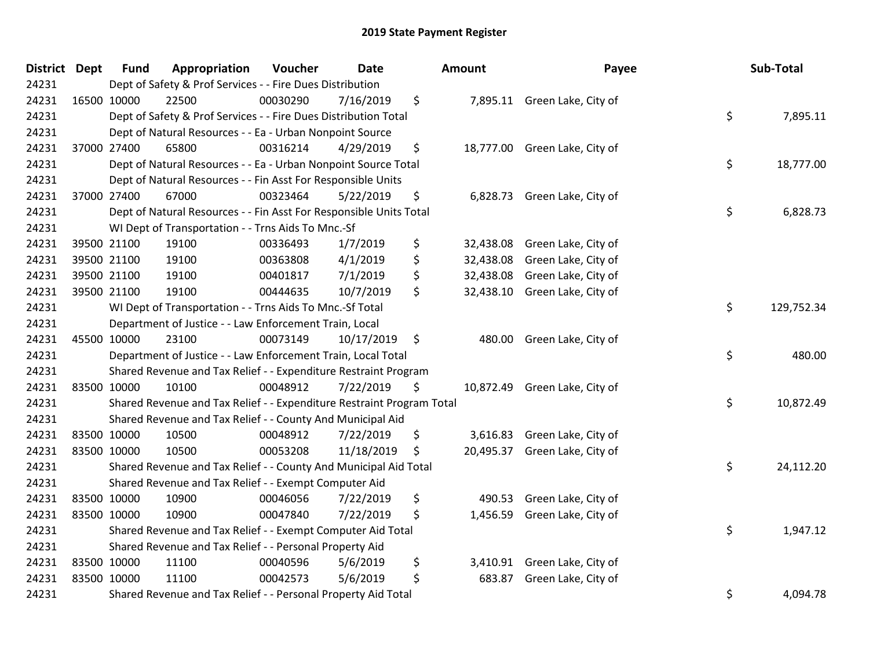| <b>District Dept</b> | <b>Fund</b> | Appropriation                                                         | Voucher  | <b>Date</b> | Amount          | Payee                         | Sub-Total        |
|----------------------|-------------|-----------------------------------------------------------------------|----------|-------------|-----------------|-------------------------------|------------------|
| 24231                |             | Dept of Safety & Prof Services - - Fire Dues Distribution             |          |             |                 |                               |                  |
| 24231                | 16500 10000 | 22500                                                                 | 00030290 | 7/16/2019   | \$              | 7,895.11 Green Lake, City of  |                  |
| 24231                |             | Dept of Safety & Prof Services - - Fire Dues Distribution Total       |          |             |                 |                               | \$<br>7,895.11   |
| 24231                |             | Dept of Natural Resources - - Ea - Urban Nonpoint Source              |          |             |                 |                               |                  |
| 24231                | 37000 27400 | 65800                                                                 | 00316214 | 4/29/2019   | \$              | 18,777.00 Green Lake, City of |                  |
| 24231                |             | Dept of Natural Resources - - Ea - Urban Nonpoint Source Total        |          |             |                 |                               | \$<br>18,777.00  |
| 24231                |             | Dept of Natural Resources - - Fin Asst For Responsible Units          |          |             |                 |                               |                  |
| 24231                | 37000 27400 | 67000                                                                 | 00323464 | 5/22/2019   | \$              | 6,828.73 Green Lake, City of  |                  |
| 24231                |             | Dept of Natural Resources - - Fin Asst For Responsible Units Total    |          |             |                 |                               | \$<br>6,828.73   |
| 24231                |             | WI Dept of Transportation - - Trns Aids To Mnc.-Sf                    |          |             |                 |                               |                  |
| 24231                | 39500 21100 | 19100                                                                 | 00336493 | 1/7/2019    | \$<br>32,438.08 | Green Lake, City of           |                  |
| 24231                | 39500 21100 | 19100                                                                 | 00363808 | 4/1/2019    | \$<br>32,438.08 | Green Lake, City of           |                  |
| 24231                | 39500 21100 | 19100                                                                 | 00401817 | 7/1/2019    | \$<br>32,438.08 | Green Lake, City of           |                  |
| 24231                | 39500 21100 | 19100                                                                 | 00444635 | 10/7/2019   | \$<br>32,438.10 | Green Lake, City of           |                  |
| 24231                |             | WI Dept of Transportation - - Trns Aids To Mnc.-Sf Total              |          |             |                 |                               | \$<br>129,752.34 |
| 24231                |             | Department of Justice - - Law Enforcement Train, Local                |          |             |                 |                               |                  |
| 24231                | 45500 10000 | 23100                                                                 | 00073149 | 10/17/2019  | \$<br>480.00    | Green Lake, City of           |                  |
| 24231                |             | Department of Justice - - Law Enforcement Train, Local Total          |          |             |                 |                               | \$<br>480.00     |
| 24231                |             | Shared Revenue and Tax Relief - - Expenditure Restraint Program       |          |             |                 |                               |                  |
| 24231                | 83500 10000 | 10100                                                                 | 00048912 | 7/22/2019   | \$              | 10,872.49 Green Lake, City of |                  |
| 24231                |             | Shared Revenue and Tax Relief - - Expenditure Restraint Program Total |          |             |                 |                               | \$<br>10,872.49  |
| 24231                |             | Shared Revenue and Tax Relief - - County And Municipal Aid            |          |             |                 |                               |                  |
| 24231                | 83500 10000 | 10500                                                                 | 00048912 | 7/22/2019   | \$              | 3,616.83 Green Lake, City of  |                  |
| 24231                | 83500 10000 | 10500                                                                 | 00053208 | 11/18/2019  | \$<br>20,495.37 | Green Lake, City of           |                  |
| 24231                |             | Shared Revenue and Tax Relief - - County And Municipal Aid Total      |          |             |                 |                               | \$<br>24,112.20  |
| 24231                |             | Shared Revenue and Tax Relief - - Exempt Computer Aid                 |          |             |                 |                               |                  |
| 24231                | 83500 10000 | 10900                                                                 | 00046056 | 7/22/2019   | \$<br>490.53    | Green Lake, City of           |                  |
| 24231                | 83500 10000 | 10900                                                                 | 00047840 | 7/22/2019   | \$<br>1,456.59  | Green Lake, City of           |                  |
| 24231                |             | Shared Revenue and Tax Relief - - Exempt Computer Aid Total           |          |             |                 |                               | \$<br>1,947.12   |
| 24231                |             | Shared Revenue and Tax Relief - - Personal Property Aid               |          |             |                 |                               |                  |
| 24231                | 83500 10000 | 11100                                                                 | 00040596 | 5/6/2019    | \$              | 3,410.91 Green Lake, City of  |                  |
| 24231                | 83500 10000 | 11100                                                                 | 00042573 | 5/6/2019    | \$<br>683.87    | Green Lake, City of           |                  |
| 24231                |             | Shared Revenue and Tax Relief - - Personal Property Aid Total         |          |             |                 |                               | \$<br>4,094.78   |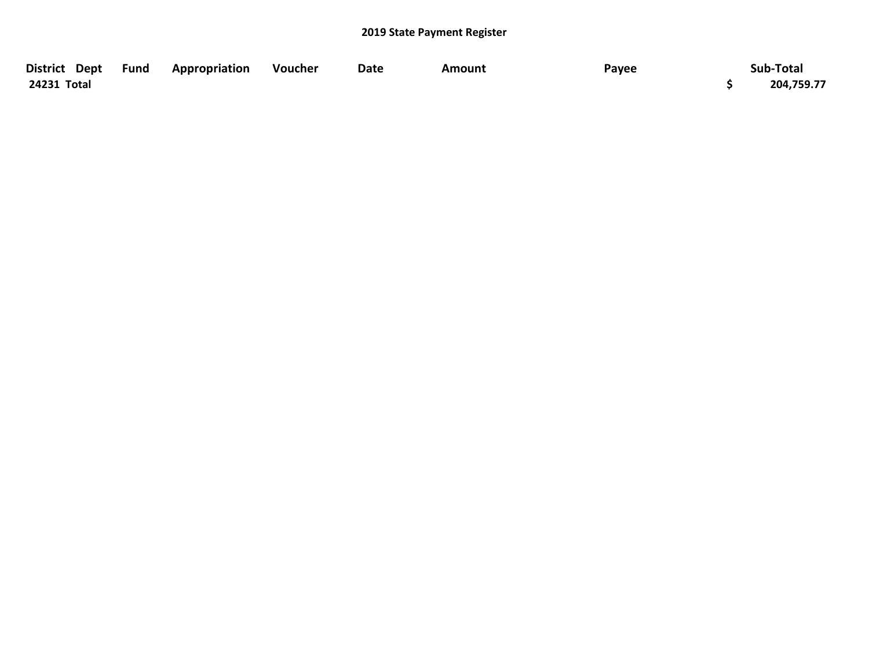| District Dept Fund | Appropriation | <b>Voucher</b> | Date | Amount | Payee | Sub-Total  |
|--------------------|---------------|----------------|------|--------|-------|------------|
| 24231 Total        |               |                |      |        |       | 204,759.77 |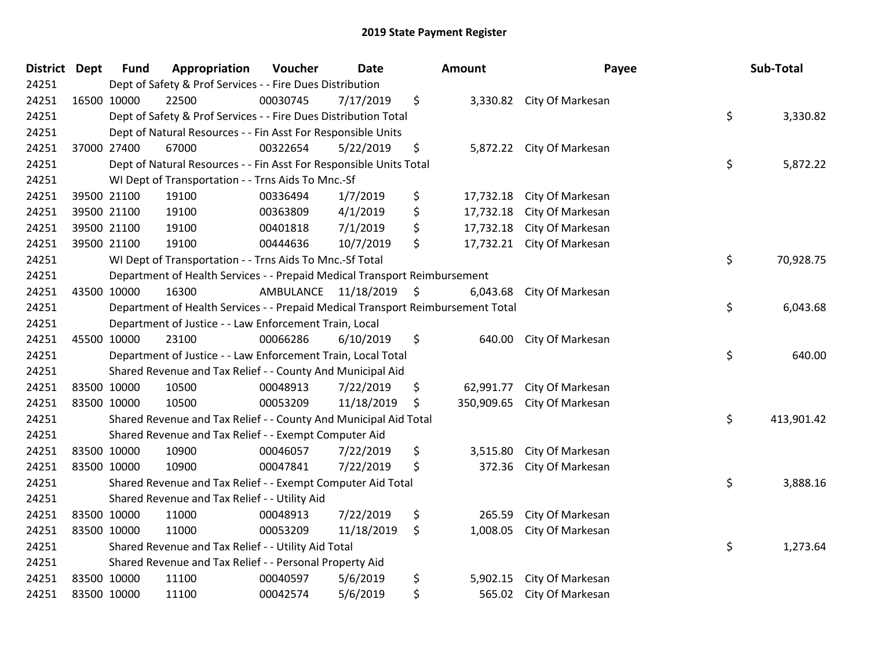| District Dept | <b>Fund</b> | Appropriation                                                                   | Voucher   | <b>Date</b>   | Amount           | Payee                     | Sub-Total        |
|---------------|-------------|---------------------------------------------------------------------------------|-----------|---------------|------------------|---------------------------|------------------|
| 24251         |             | Dept of Safety & Prof Services - - Fire Dues Distribution                       |           |               |                  |                           |                  |
| 24251         | 16500 10000 | 22500                                                                           | 00030745  | 7/17/2019     | \$               | 3,330.82 City Of Markesan |                  |
| 24251         |             | Dept of Safety & Prof Services - - Fire Dues Distribution Total                 |           |               |                  |                           | \$<br>3,330.82   |
| 24251         |             | Dept of Natural Resources - - Fin Asst For Responsible Units                    |           |               |                  |                           |                  |
| 24251         | 37000 27400 | 67000                                                                           | 00322654  | 5/22/2019     | \$<br>5,872.22   | City Of Markesan          |                  |
| 24251         |             | Dept of Natural Resources - - Fin Asst For Responsible Units Total              |           |               |                  |                           | \$<br>5,872.22   |
| 24251         |             | WI Dept of Transportation - - Trns Aids To Mnc.-Sf                              |           |               |                  |                           |                  |
| 24251         | 39500 21100 | 19100                                                                           | 00336494  | 1/7/2019      | \$<br>17,732.18  | City Of Markesan          |                  |
| 24251         | 39500 21100 | 19100                                                                           | 00363809  | 4/1/2019      | \$<br>17,732.18  | City Of Markesan          |                  |
| 24251         | 39500 21100 | 19100                                                                           | 00401818  | 7/1/2019      | \$<br>17,732.18  | City Of Markesan          |                  |
| 24251         | 39500 21100 | 19100                                                                           | 00444636  | 10/7/2019     | \$<br>17,732.21  | City Of Markesan          |                  |
| 24251         |             | WI Dept of Transportation - - Trns Aids To Mnc.-Sf Total                        |           |               |                  |                           | \$<br>70,928.75  |
| 24251         |             | Department of Health Services - - Prepaid Medical Transport Reimbursement       |           |               |                  |                           |                  |
| 24251         | 43500 10000 | 16300                                                                           | AMBULANCE | 11/18/2019 \$ | 6,043.68         | City Of Markesan          |                  |
| 24251         |             | Department of Health Services - - Prepaid Medical Transport Reimbursement Total |           |               |                  |                           | \$<br>6,043.68   |
| 24251         |             | Department of Justice - - Law Enforcement Train, Local                          |           |               |                  |                           |                  |
| 24251         | 45500 10000 | 23100                                                                           | 00066286  | 6/10/2019     | \$<br>640.00     | City Of Markesan          |                  |
| 24251         |             | Department of Justice - - Law Enforcement Train, Local Total                    |           |               |                  |                           | \$<br>640.00     |
| 24251         |             | Shared Revenue and Tax Relief - - County And Municipal Aid                      |           |               |                  |                           |                  |
| 24251         | 83500 10000 | 10500                                                                           | 00048913  | 7/22/2019     | \$<br>62,991.77  | City Of Markesan          |                  |
| 24251         | 83500 10000 | 10500                                                                           | 00053209  | 11/18/2019    | \$<br>350,909.65 | City Of Markesan          |                  |
| 24251         |             | Shared Revenue and Tax Relief - - County And Municipal Aid Total                |           |               |                  |                           | \$<br>413,901.42 |
| 24251         |             | Shared Revenue and Tax Relief - - Exempt Computer Aid                           |           |               |                  |                           |                  |
| 24251         | 83500 10000 | 10900                                                                           | 00046057  | 7/22/2019     | \$<br>3,515.80   | City Of Markesan          |                  |
| 24251         | 83500 10000 | 10900                                                                           | 00047841  | 7/22/2019     | \$<br>372.36     | City Of Markesan          |                  |
| 24251         |             | Shared Revenue and Tax Relief - - Exempt Computer Aid Total                     |           |               |                  |                           | \$<br>3,888.16   |
| 24251         |             | Shared Revenue and Tax Relief - - Utility Aid                                   |           |               |                  |                           |                  |
| 24251         | 83500 10000 | 11000                                                                           | 00048913  | 7/22/2019     | \$<br>265.59     | City Of Markesan          |                  |
| 24251         | 83500 10000 | 11000                                                                           | 00053209  | 11/18/2019    | \$<br>1,008.05   | City Of Markesan          |                  |
| 24251         |             | Shared Revenue and Tax Relief - - Utility Aid Total                             |           |               |                  |                           | \$<br>1,273.64   |
| 24251         |             | Shared Revenue and Tax Relief - - Personal Property Aid                         |           |               |                  |                           |                  |
| 24251         | 83500 10000 | 11100                                                                           | 00040597  | 5/6/2019      | \$<br>5,902.15   | City Of Markesan          |                  |
| 24251         | 83500 10000 | 11100                                                                           | 00042574  | 5/6/2019      | \$<br>565.02     | City Of Markesan          |                  |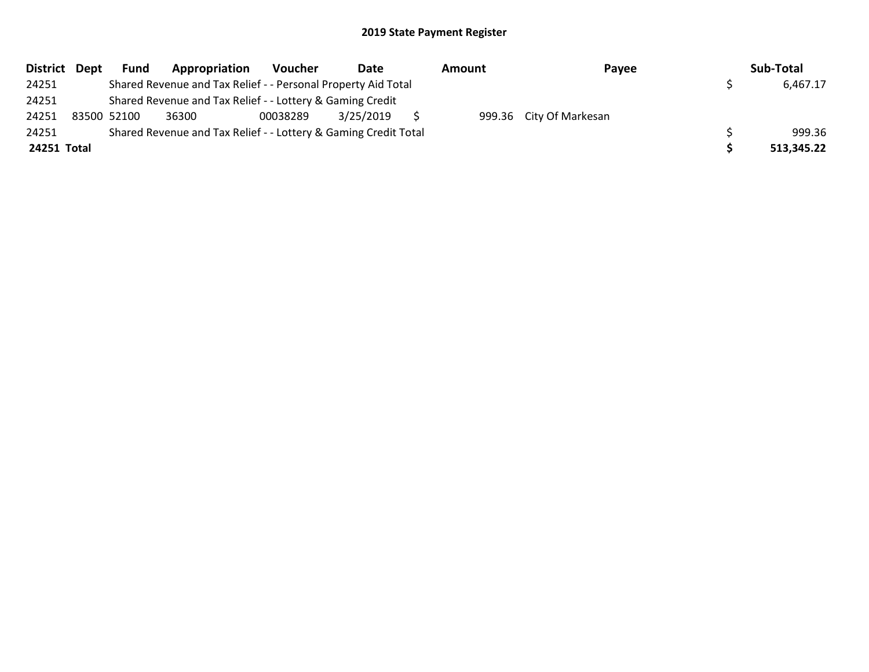| District Dept | <b>Fund</b> | Appropriation                                                   | Voucher  | Date      | Amount | Payee                   | Sub-Total  |
|---------------|-------------|-----------------------------------------------------------------|----------|-----------|--------|-------------------------|------------|
| 24251         |             | Shared Revenue and Tax Relief - - Personal Property Aid Total   |          |           |        |                         | 6,467.17   |
| 24251         |             | Shared Revenue and Tax Relief - - Lottery & Gaming Credit       |          |           |        |                         |            |
| 24251         | 83500 52100 | 36300                                                           | 00038289 | 3/25/2019 |        | 999.36 City Of Markesan |            |
| 24251         |             | Shared Revenue and Tax Relief - - Lottery & Gaming Credit Total |          |           |        |                         | 999.36     |
| 24251 Total   |             |                                                                 |          |           |        |                         | 513,345.22 |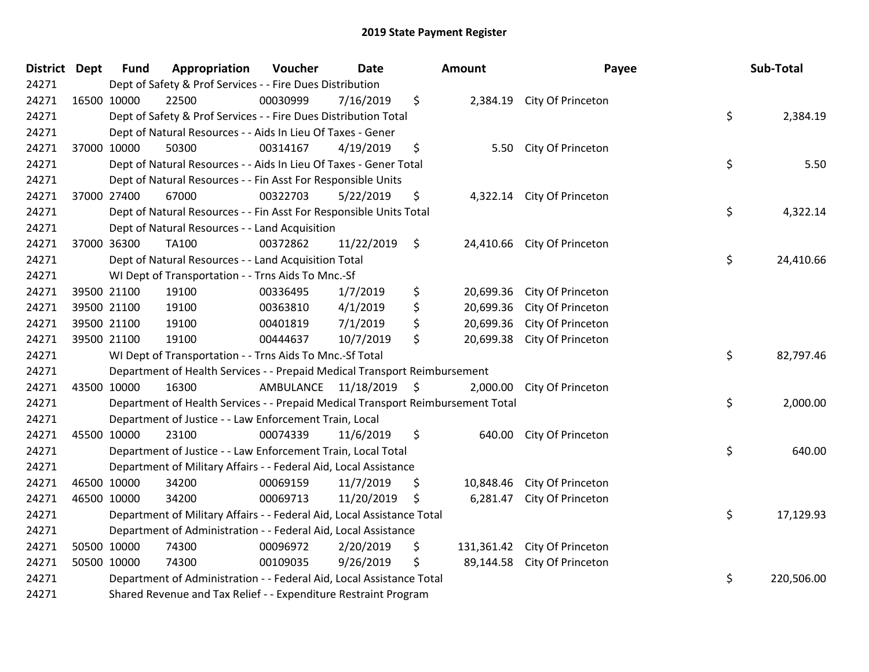| District Dept |             | <b>Fund</b> | Appropriation                                                                   | Voucher                 | <b>Date</b> | <b>Amount</b>    | Payee                       | Sub-Total        |
|---------------|-------------|-------------|---------------------------------------------------------------------------------|-------------------------|-------------|------------------|-----------------------------|------------------|
| 24271         |             |             | Dept of Safety & Prof Services - - Fire Dues Distribution                       |                         |             |                  |                             |                  |
| 24271         | 16500 10000 |             | 22500                                                                           | 00030999                | 7/16/2019   | \$               | 2,384.19 City Of Princeton  |                  |
| 24271         |             |             | Dept of Safety & Prof Services - - Fire Dues Distribution Total                 |                         |             |                  |                             | \$<br>2,384.19   |
| 24271         |             |             | Dept of Natural Resources - - Aids In Lieu Of Taxes - Gener                     |                         |             |                  |                             |                  |
| 24271         |             | 37000 10000 | 50300                                                                           | 00314167                | 4/19/2019   | \$<br>5.50       | City Of Princeton           |                  |
| 24271         |             |             | Dept of Natural Resources - - Aids In Lieu Of Taxes - Gener Total               |                         |             |                  |                             | \$<br>5.50       |
| 24271         |             |             | Dept of Natural Resources - - Fin Asst For Responsible Units                    |                         |             |                  |                             |                  |
| 24271         |             | 37000 27400 | 67000                                                                           | 00322703                | 5/22/2019   | \$               | 4,322.14 City Of Princeton  |                  |
| 24271         |             |             | Dept of Natural Resources - - Fin Asst For Responsible Units Total              |                         |             |                  |                             | \$<br>4,322.14   |
| 24271         |             |             | Dept of Natural Resources - - Land Acquisition                                  |                         |             |                  |                             |                  |
| 24271         |             | 37000 36300 | TA100                                                                           | 00372862                | 11/22/2019  | \$               | 24,410.66 City Of Princeton |                  |
| 24271         |             |             | Dept of Natural Resources - - Land Acquisition Total                            |                         |             |                  |                             | \$<br>24,410.66  |
| 24271         |             |             | WI Dept of Transportation - - Trns Aids To Mnc.-Sf                              |                         |             |                  |                             |                  |
| 24271         |             | 39500 21100 | 19100                                                                           | 00336495                | 1/7/2019    | \$<br>20,699.36  | City Of Princeton           |                  |
| 24271         |             | 39500 21100 | 19100                                                                           | 00363810                | 4/1/2019    | \$<br>20,699.36  | City Of Princeton           |                  |
| 24271         |             | 39500 21100 | 19100                                                                           | 00401819                | 7/1/2019    | \$<br>20,699.36  | City Of Princeton           |                  |
| 24271         |             | 39500 21100 | 19100                                                                           | 00444637                | 10/7/2019   | \$<br>20,699.38  | City Of Princeton           |                  |
| 24271         |             |             | WI Dept of Transportation - - Trns Aids To Mnc.-Sf Total                        |                         |             |                  |                             | \$<br>82,797.46  |
| 24271         |             |             | Department of Health Services - - Prepaid Medical Transport Reimbursement       |                         |             |                  |                             |                  |
| 24271         |             | 43500 10000 | 16300                                                                           | AMBULANCE 11/18/2019 \$ |             | 2,000.00         | City Of Princeton           |                  |
| 24271         |             |             | Department of Health Services - - Prepaid Medical Transport Reimbursement Total |                         |             |                  |                             | \$<br>2,000.00   |
| 24271         |             |             | Department of Justice - - Law Enforcement Train, Local                          |                         |             |                  |                             |                  |
| 24271         | 45500 10000 |             | 23100                                                                           | 00074339                | 11/6/2019   | \$<br>640.00     | City Of Princeton           |                  |
| 24271         |             |             | Department of Justice - - Law Enforcement Train, Local Total                    |                         |             |                  |                             | \$<br>640.00     |
| 24271         |             |             | Department of Military Affairs - - Federal Aid, Local Assistance                |                         |             |                  |                             |                  |
| 24271         | 46500 10000 |             | 34200                                                                           | 00069159                | 11/7/2019   | \$<br>10,848.46  | City Of Princeton           |                  |
| 24271         |             | 46500 10000 | 34200                                                                           | 00069713                | 11/20/2019  | \$<br>6,281.47   | City Of Princeton           |                  |
| 24271         |             |             | Department of Military Affairs - - Federal Aid, Local Assistance Total          |                         |             |                  |                             | \$<br>17,129.93  |
| 24271         |             |             | Department of Administration - - Federal Aid, Local Assistance                  |                         |             |                  |                             |                  |
| 24271         |             | 50500 10000 | 74300                                                                           | 00096972                | 2/20/2019   | \$<br>131,361.42 | City Of Princeton           |                  |
| 24271         |             | 50500 10000 | 74300                                                                           | 00109035                | 9/26/2019   | \$<br>89,144.58  | City Of Princeton           |                  |
| 24271         |             |             | Department of Administration - - Federal Aid, Local Assistance Total            |                         |             |                  |                             | \$<br>220,506.00 |
| 24271         |             |             | Shared Revenue and Tax Relief - - Expenditure Restraint Program                 |                         |             |                  |                             |                  |